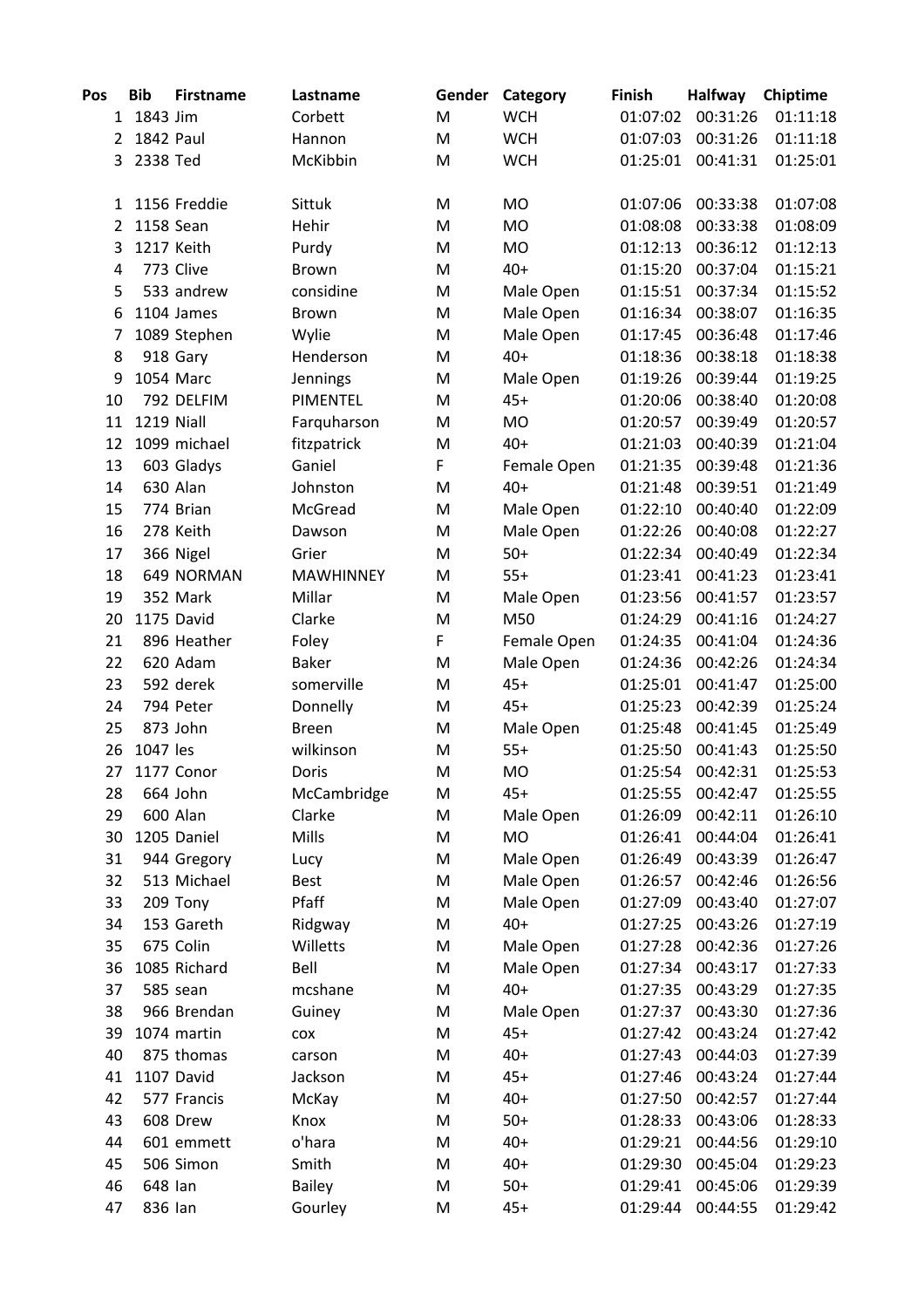| Pos | <b>Bib</b> | <b>Firstname</b> | Lastname         | Gender | Category    | <b>Finish</b> | <b>Halfway</b> | Chiptime |
|-----|------------|------------------|------------------|--------|-------------|---------------|----------------|----------|
|     | 1 1843 Jim |                  | Corbett          | M      | <b>WCH</b>  | 01:07:02      | 00:31:26       | 01:11:18 |
| 2   | 1842 Paul  |                  | Hannon           | M      | <b>WCH</b>  | 01:07:03      | 00:31:26       | 01:11:18 |
| 3   | 2338 Ted   |                  | McKibbin         | M      | <b>WCH</b>  | 01:25:01      | 00:41:31       | 01:25:01 |
| 1   |            | 1156 Freddie     | Sittuk           | M      | <b>MO</b>   | 01:07:06      | 00:33:38       | 01:07:08 |
| 2   | 1158 Sean  |                  | Hehir            | M      | <b>MO</b>   | 01:08:08      | 00:33:38       | 01:08:09 |
| 3   |            | 1217 Keith       | Purdy            | M      | <b>MO</b>   | 01:12:13      | 00:36:12       | 01:12:13 |
| 4   |            | 773 Clive        | <b>Brown</b>     | M      | $40+$       | 01:15:20      | 00:37:04       | 01:15:21 |
| 5   |            | 533 andrew       | considine        | M      | Male Open   | 01:15:51      | 00:37:34       | 01:15:52 |
| 6   |            | 1104 James       | Brown            | M      | Male Open   | 01:16:34      | 00:38:07       | 01:16:35 |
| 7   |            | 1089 Stephen     | Wylie            | M      | Male Open   | 01:17:45      | 00:36:48       | 01:17:46 |
| 8   |            | 918 Gary         | Henderson        | M      | $40+$       | 01:18:36      | 00:38:18       | 01:18:38 |
| 9   |            | 1054 Marc        | Jennings         | M      | Male Open   | 01:19:26      | 00:39:44       | 01:19:25 |
| 10  |            | 792 DELFIM       | PIMENTEL         | M      | $45+$       | 01:20:06      | 00:38:40       | 01:20:08 |
| 11  | 1219 Niall |                  | Farquharson      | M      | <b>MO</b>   | 01:20:57      | 00:39:49       | 01:20:57 |
| 12  |            | 1099 michael     | fitzpatrick      | M      | $40+$       | 01:21:03      | 00:40:39       | 01:21:04 |
| 13  |            | 603 Gladys       | Ganiel           | F      | Female Open | 01:21:35      | 00:39:48       | 01:21:36 |
| 14  |            | 630 Alan         | Johnston         | M      | $40+$       | 01:21:48      | 00:39:51       | 01:21:49 |
| 15  |            | 774 Brian        | McGread          | M      | Male Open   | 01:22:10      | 00:40:40       | 01:22:09 |
| 16  |            | 278 Keith        | Dawson           | M      | Male Open   | 01:22:26      | 00:40:08       | 01:22:27 |
| 17  |            | 366 Nigel        | Grier            | M      | $50+$       | 01:22:34      | 00:40:49       | 01:22:34 |
| 18  |            | 649 NORMAN       | <b>MAWHINNEY</b> | M      | $55+$       | 01:23:41      | 00:41:23       | 01:23:41 |
| 19  |            | 352 Mark         | Millar           | M      | Male Open   | 01:23:56      | 00:41:57       | 01:23:57 |
| 20  |            | 1175 David       | Clarke           | M      | M50         | 01:24:29      | 00:41:16       | 01:24:27 |
| 21  |            | 896 Heather      | Foley            | F      | Female Open | 01:24:35      | 00:41:04       | 01:24:36 |
| 22  |            | 620 Adam         | <b>Baker</b>     | M      | Male Open   | 01:24:36      | 00:42:26       | 01:24:34 |
| 23  |            | 592 derek        | somerville       | M      | $45+$       | 01:25:01      | 00:41:47       | 01:25:00 |
| 24  |            | 794 Peter        | Donnelly         | M      | $45+$       | 01:25:23      | 00:42:39       | 01:25:24 |
| 25  |            | 873 John         | <b>Breen</b>     | M      | Male Open   | 01:25:48      | 00:41:45       | 01:25:49 |
| 26  | 1047 les   |                  | wilkinson        | M      | $55+$       | 01:25:50      | 00:41:43       | 01:25:50 |
| 27  |            | 1177 Conor       | Doris            | M      | <b>MO</b>   | 01:25:54      | 00:42:31       | 01:25:53 |
| 28  |            | 664 John         | McCambridge      | M      | $45+$       | 01:25:55      | 00:42:47       | 01:25:55 |
| 29  |            | 600 Alan         | Clarke           | M      | Male Open   | 01:26:09      | 00:42:11       | 01:26:10 |
| 30  |            | 1205 Daniel      | Mills            | M      | <b>MO</b>   | 01:26:41      | 00:44:04       | 01:26:41 |
| 31  |            | 944 Gregory      | Lucy             | M      | Male Open   | 01:26:49      | 00:43:39       | 01:26:47 |
| 32  |            | 513 Michael      | <b>Best</b>      | M      | Male Open   | 01:26:57      | 00:42:46       | 01:26:56 |
| 33  |            | 209 Tony         | Pfaff            | M      | Male Open   | 01:27:09      | 00:43:40       | 01:27:07 |
| 34  |            | 153 Gareth       | Ridgway          | M      | $40+$       | 01:27:25      | 00:43:26       | 01:27:19 |
| 35  |            | 675 Colin        | Willetts         | M      | Male Open   | 01:27:28      | 00:42:36       | 01:27:26 |
| 36  |            | 1085 Richard     | Bell             | M      | Male Open   | 01:27:34      | 00:43:17       | 01:27:33 |
| 37  |            | 585 sean         | mcshane          | M      | $40+$       | 01:27:35      | 00:43:29       | 01:27:35 |
| 38  |            | 966 Brendan      | Guiney           | M      | Male Open   | 01:27:37      | 00:43:30       | 01:27:36 |
| 39  |            | 1074 martin      | COX              | M      | $45+$       | 01:27:42      | 00:43:24       | 01:27:42 |
| 40  |            | 875 thomas       | carson           | M      | $40+$       | 01:27:43      | 00:44:03       | 01:27:39 |
| 41  |            | 1107 David       | Jackson          | M      | $45+$       | 01:27:46      | 00:43:24       | 01:27:44 |
| 42  |            | 577 Francis      | McKay            | M      | $40+$       | 01:27:50      | 00:42:57       | 01:27:44 |
| 43  |            | 608 Drew         | Knox             | M      | $50+$       | 01:28:33      | 00:43:06       | 01:28:33 |
| 44  |            | 601 emmett       | o'hara           | M      | $40+$       | 01:29:21      | 00:44:56       | 01:29:10 |
| 45  |            | 506 Simon        | Smith            | M      | $40+$       | 01:29:30      | 00:45:04       | 01:29:23 |
| 46  | 648 lan    |                  | <b>Bailey</b>    | M      | $50+$       | 01:29:41      | 00:45:06       | 01:29:39 |
| 47  | 836 Ian    |                  | Gourley          | M      | $45+$       | 01:29:44      | 00:44:55       | 01:29:42 |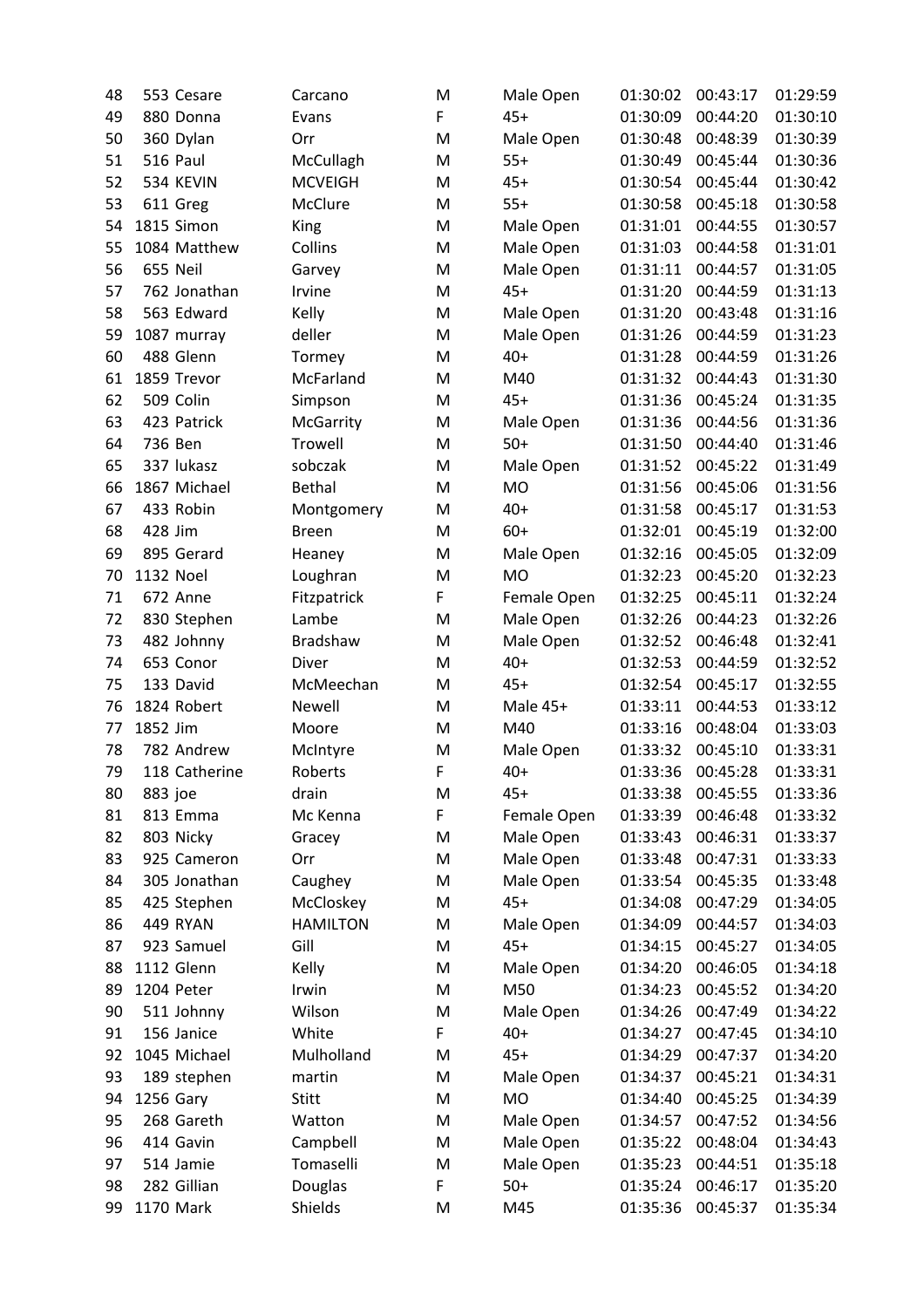| 48 |           | 553 Cesare               | Carcano          | M | Male Open          | 01:30:02 | 00:43:17 | 01:29:59 |
|----|-----------|--------------------------|------------------|---|--------------------|----------|----------|----------|
| 49 |           | 880 Donna                | Evans            | F | $45+$              | 01:30:09 | 00:44:20 | 01:30:10 |
| 50 |           | 360 Dylan                | Orr              | M | Male Open          | 01:30:48 | 00:48:39 | 01:30:39 |
| 51 |           | 516 Paul                 | McCullagh        | M | $55+$              | 01:30:49 | 00:45:44 | 01:30:36 |
| 52 |           | 534 KEVIN                | <b>MCVEIGH</b>   | M | $45+$              | 01:30:54 | 00:45:44 | 01:30:42 |
| 53 |           | 611 Greg                 | McClure          | M | $55+$              | 01:30:58 | 00:45:18 | 01:30:58 |
| 54 |           | 1815 Simon               | King             | M | Male Open          | 01:31:01 | 00:44:55 | 01:30:57 |
| 55 |           | 1084 Matthew             | Collins          | M | Male Open          | 01:31:03 | 00:44:58 | 01:31:01 |
| 56 |           | 655 Neil                 | Garvey           | M | Male Open          | 01:31:11 | 00:44:57 | 01:31:05 |
| 57 |           | 762 Jonathan             | Irvine           | M | $45+$              | 01:31:20 | 00:44:59 | 01:31:13 |
| 58 |           | 563 Edward               | Kelly            | M | Male Open          | 01:31:20 | 00:43:48 | 01:31:16 |
| 59 |           | 1087 murray              | deller           | M | Male Open          | 01:31:26 | 00:44:59 | 01:31:23 |
| 60 |           | 488 Glenn                | Tormey           | M | $40+$              | 01:31:28 | 00:44:59 | 01:31:26 |
| 61 |           | 1859 Trevor              | McFarland        | M | M40                | 01:31:32 | 00:44:43 | 01:31:30 |
| 62 |           | 509 Colin                | Simpson          | M | $45+$              | 01:31:36 | 00:45:24 | 01:31:35 |
| 63 |           | 423 Patrick              | <b>McGarrity</b> | M | Male Open          | 01:31:36 | 00:44:56 | 01:31:36 |
| 64 | 736 Ben   |                          | <b>Trowell</b>   | M | $50+$              | 01:31:50 | 00:44:40 | 01:31:46 |
| 65 |           | 337 lukasz               | sobczak          | M | Male Open          | 01:31:52 | 00:45:22 | 01:31:49 |
| 66 |           | 1867 Michael             | <b>Bethal</b>    | M | <b>MO</b>          | 01:31:56 | 00:45:06 | 01:31:56 |
| 67 |           | 433 Robin                | Montgomery       | M | $40+$              | 01:31:58 | 00:45:17 | 01:31:53 |
| 68 | 428 Jim   |                          | <b>Breen</b>     | M | $60+$              | 01:32:01 | 00:45:19 | 01:32:00 |
| 69 |           | 895 Gerard               | Heaney           | M | Male Open          | 01:32:16 | 00:45:05 | 01:32:09 |
| 70 | 1132 Noel |                          | Loughran         | M | <b>MO</b>          | 01:32:23 | 00:45:20 | 01:32:23 |
| 71 |           | 672 Anne                 | Fitzpatrick      | F | Female Open        | 01:32:25 | 00:45:11 | 01:32:24 |
| 72 |           | 830 Stephen              | Lambe            | M | Male Open          | 01:32:26 | 00:44:23 | 01:32:26 |
| 73 |           | 482 Johnny               | Bradshaw         | M | Male Open          | 01:32:52 | 00:46:48 | 01:32:41 |
| 74 |           | 653 Conor                | Diver            | M | $40+$              | 01:32:53 | 00:44:59 | 01:32:52 |
| 75 |           | 133 David                | McMeechan        | M | $45+$              | 01:32:54 | 00:45:17 | 01:32:55 |
| 76 |           | 1824 Robert              | Newell           | M | Male 45+           | 01:33:11 | 00:44:53 | 01:33:12 |
| 77 | 1852 Jim  |                          | Moore            | M | M40                | 01:33:16 | 00:48:04 | 01:33:03 |
| 78 |           | 782 Andrew               | McIntyre         | M | Male Open          | 01:33:32 | 00:45:10 | 01:33:31 |
| 79 |           | 118 Catherine            | Roberts          | F | $40+$              | 01:33:36 | 00:45:28 | 01:33:31 |
| 80 | 883 joe   |                          | drain            | M | $45+$              | 01:33:38 | 00:45:55 | 01:33:36 |
| 81 |           | 813 Emma                 | Mc Kenna         | F | Female Open        | 01:33:39 | 00:46:48 | 01:33:32 |
| 82 |           | 803 Nicky                | Gracey           | M | Male Open          | 01:33:43 | 00:46:31 | 01:33:37 |
| 83 |           | 925 Cameron              | Orr              | M | Male Open          | 01:33:48 | 00:47:31 | 01:33:33 |
| 84 |           | 305 Jonathan             | Caughey          | M | Male Open          | 01:33:54 | 00:45:35 | 01:33:48 |
| 85 |           | 425 Stephen              | McCloskey        | M | $45+$              | 01:34:08 | 00:47:29 | 01:34:05 |
| 86 |           | 449 RYAN                 | <b>HAMILTON</b>  | M | Male Open          | 01:34:09 | 00:44:57 | 01:34:03 |
| 87 |           | 923 Samuel               | Gill             | M | $45+$              | 01:34:15 | 00:45:27 | 01:34:05 |
| 88 |           | 1112 Glenn               | Kelly            | M | Male Open          | 01:34:20 | 00:46:05 | 01:34:18 |
|    |           | 1204 Peter               | Irwin            | M | M50                | 01:34:23 | 00:45:52 | 01:34:20 |
| 89 |           |                          | Wilson           | M |                    | 01:34:26 | 00:47:49 | 01:34:22 |
| 90 |           | 511 Johnny<br>156 Janice | White            | F | Male Open<br>$40+$ |          |          |          |
| 91 |           |                          |                  |   |                    | 01:34:27 | 00:47:45 | 01:34:10 |
| 92 |           | 1045 Michael             | Mulholland       | M | $45+$              | 01:34:29 | 00:47:37 | 01:34:20 |
| 93 |           | 189 stephen              | martin           | M | Male Open          | 01:34:37 | 00:45:21 | 01:34:31 |
| 94 | 1256 Gary |                          | Stitt            | M | <b>MO</b>          | 01:34:40 | 00:45:25 | 01:34:39 |
| 95 |           | 268 Gareth               | Watton           | M | Male Open          | 01:34:57 | 00:47:52 | 01:34:56 |
| 96 |           | 414 Gavin                | Campbell         | M | Male Open          | 01:35:22 | 00:48:04 | 01:34:43 |
| 97 |           | 514 Jamie                | Tomaselli        | M | Male Open          | 01:35:23 | 00:44:51 | 01:35:18 |
| 98 |           | 282 Gillian              | Douglas          | F | $50+$              | 01:35:24 | 00:46:17 | 01:35:20 |
| 99 |           | 1170 Mark                | Shields          | M | M45                | 01:35:36 | 00:45:37 | 01:35:34 |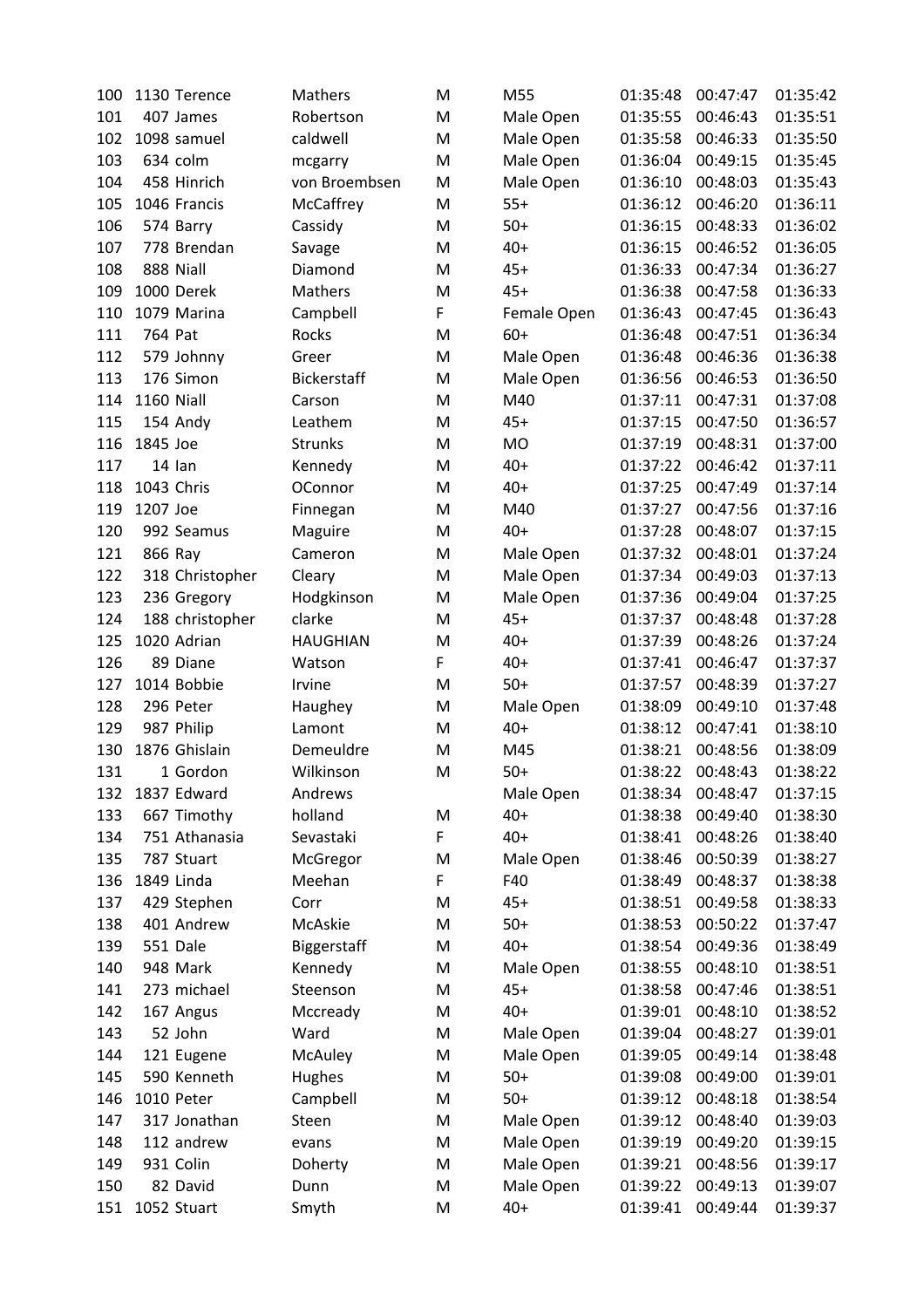| 100 | 1130 Terence    | Mathers         | M | M55         | 01:35:48 | 00:47:47 | 01:35:42 |
|-----|-----------------|-----------------|---|-------------|----------|----------|----------|
| 101 | 407 James       | Robertson       | M | Male Open   | 01:35:55 | 00:46:43 | 01:35:51 |
| 102 | 1098 samuel     | caldwell        | M | Male Open   | 01:35:58 | 00:46:33 | 01:35:50 |
| 103 | 634 colm        | mcgarry         | M | Male Open   | 01:36:04 | 00:49:15 | 01:35:45 |
| 104 | 458 Hinrich     | von Broembsen   | M | Male Open   | 01:36:10 | 00:48:03 | 01:35:43 |
| 105 | 1046 Francis    | McCaffrey       | M | $55+$       | 01:36:12 | 00:46:20 | 01:36:11 |
| 106 | 574 Barry       | Cassidy         | M | $50+$       | 01:36:15 | 00:48:33 | 01:36:02 |
| 107 | 778 Brendan     | Savage          | M | $40+$       | 01:36:15 | 00:46:52 | 01:36:05 |
| 108 | 888 Niall       | Diamond         | M | $45+$       | 01:36:33 | 00:47:34 | 01:36:27 |
| 109 | 1000 Derek      | Mathers         | M | $45+$       | 01:36:38 | 00:47:58 | 01:36:33 |
| 110 | 1079 Marina     | Campbell        | F | Female Open | 01:36:43 | 00:47:45 | 01:36:43 |
| 111 | 764 Pat         | Rocks           | M | $60+$       | 01:36:48 | 00:47:51 | 01:36:34 |
| 112 | 579 Johnny      | Greer           | M | Male Open   | 01:36:48 | 00:46:36 | 01:36:38 |
| 113 | 176 Simon       | Bickerstaff     | M | Male Open   | 01:36:56 | 00:46:53 | 01:36:50 |
| 114 | 1160 Niall      | Carson          | M | M40         | 01:37:11 | 00:47:31 | 01:37:08 |
| 115 | 154 Andy        | Leathem         | M | $45+$       | 01:37:15 | 00:47:50 | 01:36:57 |
| 116 | 1845 Joe        | Strunks         | M | <b>MO</b>   | 01:37:19 | 00:48:31 | 01:37:00 |
| 117 | 14 lan          | Kennedy         | M | $40+$       | 01:37:22 | 00:46:42 | 01:37:11 |
| 118 | 1043 Chris      | OConnor         | M | $40+$       | 01:37:25 | 00:47:49 | 01:37:14 |
| 119 | 1207 Joe        | Finnegan        | M | M40         | 01:37:27 | 00:47:56 | 01:37:16 |
| 120 | 992 Seamus      | Maguire         | M | $40+$       | 01:37:28 | 00:48:07 | 01:37:15 |
| 121 | 866 Ray         | Cameron         | M | Male Open   | 01:37:32 | 00:48:01 | 01:37:24 |
| 122 | 318 Christopher | Cleary          | M | Male Open   | 01:37:34 | 00:49:03 | 01:37:13 |
| 123 | 236 Gregory     | Hodgkinson      | M | Male Open   | 01:37:36 | 00:49:04 | 01:37:25 |
| 124 | 188 christopher | clarke          | M | $45+$       | 01:37:37 | 00:48:48 | 01:37:28 |
| 125 | 1020 Adrian     | <b>HAUGHIAN</b> | M | $40+$       | 01:37:39 | 00:48:26 | 01:37:24 |
| 126 | 89 Diane        | Watson          | F | $40+$       | 01:37:41 | 00:46:47 | 01:37:37 |
| 127 | 1014 Bobbie     | Irvine          | M | $50+$       | 01:37:57 | 00:48:39 | 01:37:27 |
| 128 | 296 Peter       | Haughey         | M | Male Open   | 01:38:09 | 00:49:10 | 01:37:48 |
| 129 | 987 Philip      | Lamont          | M | $40+$       | 01:38:12 | 00:47:41 | 01:38:10 |
| 130 | 1876 Ghislain   | Demeuldre       | M | M45         | 01:38:21 | 00:48:56 | 01:38:09 |
| 131 | 1 Gordon        | Wilkinson       | M | $50+$       | 01:38:22 | 00:48:43 | 01:38:22 |
| 132 | 1837 Edward     | Andrews         |   | Male Open   | 01:38:34 | 00:48:47 | 01:37:15 |
| 133 | 667 Timothy     | holland         | M | $40+$       | 01:38:38 | 00:49:40 | 01:38:30 |
| 134 | 751 Athanasia   | Sevastaki       | F | $40+$       | 01:38:41 | 00:48:26 | 01:38:40 |
| 135 | 787 Stuart      | McGregor        | M | Male Open   | 01:38:46 | 00:50:39 | 01:38:27 |
| 136 | 1849 Linda      | Meehan          | F | F40         | 01:38:49 | 00:48:37 | 01:38:38 |
| 137 | 429 Stephen     | Corr            | M | $45+$       | 01:38:51 | 00:49:58 | 01:38:33 |
| 138 | 401 Andrew      | McAskie         | M | $50+$       | 01:38:53 | 00:50:22 | 01:37:47 |
| 139 | 551 Dale        | Biggerstaff     | M | $40+$       | 01:38:54 | 00:49:36 | 01:38:49 |
| 140 | 948 Mark        | Kennedy         | M | Male Open   | 01:38:55 | 00:48:10 | 01:38:51 |
| 141 | 273 michael     | Steenson        | M | $45+$       | 01:38:58 | 00:47:46 | 01:38:51 |
| 142 | 167 Angus       | Mccready        | M | $40+$       | 01:39:01 | 00:48:10 | 01:38:52 |
| 143 | 52 John         | Ward            | M | Male Open   | 01:39:04 | 00:48:27 | 01:39:01 |
| 144 | 121 Eugene      | McAuley         | M | Male Open   | 01:39:05 | 00:49:14 | 01:38:48 |
| 145 | 590 Kenneth     | Hughes          | M | $50+$       | 01:39:08 | 00:49:00 | 01:39:01 |
| 146 | 1010 Peter      | Campbell        | M | $50+$       | 01:39:12 | 00:48:18 | 01:38:54 |
| 147 | 317 Jonathan    | Steen           | M | Male Open   | 01:39:12 | 00:48:40 | 01:39:03 |
| 148 | 112 andrew      | evans           | M | Male Open   | 01:39:19 | 00:49:20 | 01:39:15 |
| 149 | 931 Colin       | Doherty         | M | Male Open   | 01:39:21 | 00:48:56 | 01:39:17 |
| 150 | 82 David        | Dunn            | M | Male Open   | 01:39:22 | 00:49:13 | 01:39:07 |
| 151 | 1052 Stuart     | Smyth           | M | $40+$       | 01:39:41 | 00:49:44 | 01:39:37 |
|     |                 |                 |   |             |          |          |          |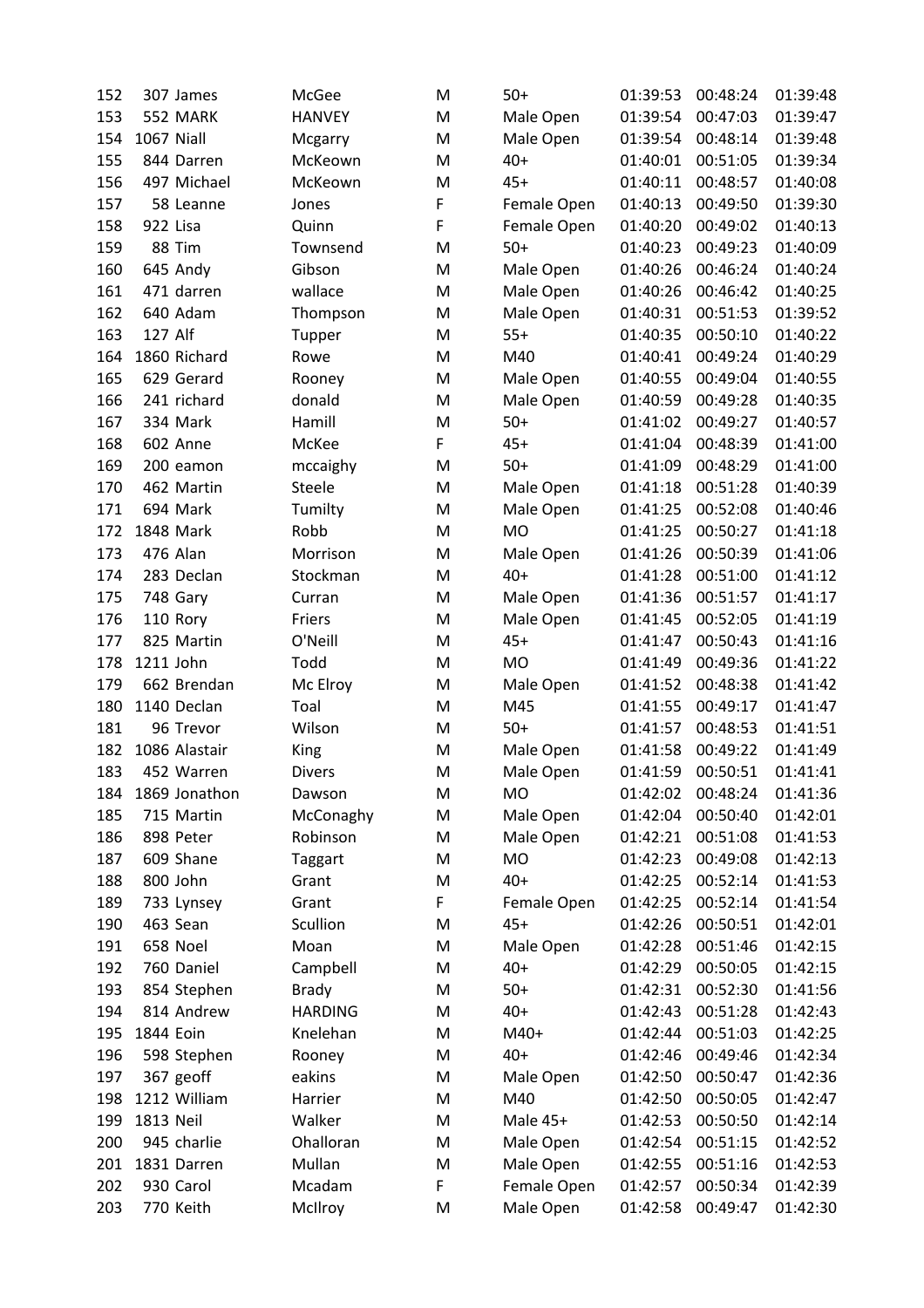| 152        | 307 James                | McGee          | M      | $50+$       | 01:39:53             | 00:48:24             | 01:39:48             |
|------------|--------------------------|----------------|--------|-------------|----------------------|----------------------|----------------------|
| 153        | 552 MARK                 | <b>HANVEY</b>  | M      | Male Open   | 01:39:54             | 00:47:03             | 01:39:47             |
| 154        | 1067 Niall               | Mcgarry        | M      | Male Open   | 01:39:54             | 00:48:14             | 01:39:48             |
| 155        | 844 Darren               | McKeown        | M      | $40+$       | 01:40:01             | 00:51:05             | 01:39:34             |
| 156        | 497 Michael              | McKeown        | M      | $45+$       | 01:40:11             | 00:48:57             | 01:40:08             |
| 157        | 58 Leanne                | Jones          | F      | Female Open | 01:40:13             | 00:49:50             | 01:39:30             |
| 158        | 922 Lisa                 | Quinn          | F      | Female Open | 01:40:20             | 00:49:02             | 01:40:13             |
| 159        | 88 Tim                   | Townsend       | M      | $50+$       | 01:40:23             | 00:49:23             | 01:40:09             |
| 160        | 645 Andy                 | Gibson         | M      | Male Open   | 01:40:26             | 00:46:24             | 01:40:24             |
| 161        | 471 darren               | wallace        | M      | Male Open   | 01:40:26             | 00:46:42             | 01:40:25             |
| 162        | 640 Adam                 | Thompson       | M      | Male Open   | 01:40:31             | 00:51:53             | 01:39:52             |
| 163        | 127 Alf                  | Tupper         | M      | $55+$       | 01:40:35             | 00:50:10             | 01:40:22             |
| 164        | 1860 Richard             | Rowe           | M      | M40         | 01:40:41             | 00:49:24             | 01:40:29             |
| 165        | 629 Gerard               | Rooney         | M      | Male Open   | 01:40:55             | 00:49:04             | 01:40:55             |
| 166        | 241 richard              | donald         | M      | Male Open   | 01:40:59             | 00:49:28             | 01:40:35             |
| 167        | 334 Mark                 | Hamill         | M      | $50+$       | 01:41:02             | 00:49:27             | 01:40:57             |
| 168        | 602 Anne                 | McKee          | F      | $45+$       | 01:41:04             | 00:48:39             | 01:41:00             |
| 169        | 200 eamon                | mccaighy       | M      | $50+$       | 01:41:09             | 00:48:29             | 01:41:00             |
| 170        | 462 Martin               | Steele         | M      | Male Open   | 01:41:18             | 00:51:28             | 01:40:39             |
| 171        | 694 Mark                 | Tumilty        | M      | Male Open   | 01:41:25             | 00:52:08             | 01:40:46             |
| 172        | 1848 Mark                | Robb           | M      | <b>MO</b>   | 01:41:25             | 00:50:27             | 01:41:18             |
| 173        | 476 Alan                 | Morrison       | M      | Male Open   | 01:41:26             | 00:50:39             | 01:41:06             |
| 174        | 283 Declan               | Stockman       | M      | $40+$       | 01:41:28             | 00:51:00             | 01:41:12             |
| 175        | 748 Gary                 | Curran         | M      | Male Open   | 01:41:36             | 00:51:57             | 01:41:17             |
| 176        | 110 Rory                 | Friers         | M      | Male Open   | 01:41:45             | 00:52:05             | 01:41:19             |
| 177        | 825 Martin               | O'Neill        | M      | $45+$       | 01:41:47             | 00:50:43             | 01:41:16             |
| 178        | 1211 John                | Todd           | M      | <b>MO</b>   | 01:41:49             | 00:49:36             | 01:41:22             |
| 179        | 662 Brendan              | Mc Elroy       | M      | Male Open   | 01:41:52             | 00:48:38             | 01:41:42             |
| 180        | 1140 Declan              | Toal           | M      | M45         | 01:41:55             | 00:49:17             | 01:41:47             |
| 181        | 96 Trevor                | Wilson         | M      | $50+$       | 01:41:57             | 00:48:53             | 01:41:51             |
| 182        | 1086 Alastair            | King           | M      | Male Open   | 01:41:58             | 00:49:22             | 01:41:49             |
| 183        | 452 Warren               | <b>Divers</b>  | M      | Male Open   | 01:41:59             | 00:50:51             | 01:41:41             |
| 184        | 1869 Jonathon            | Dawson         | M      | MO          | 01:42:02             | 00:48:24             | 01:41:36             |
| 185        | 715 Martin               | McConaghy      | M      | Male Open   | 01:42:04             | 00:50:40             | 01:42:01             |
| 186        | 898 Peter                | Robinson       | M      | Male Open   | 01:42:21             | 00:51:08             | 01:41:53             |
| 187        | 609 Shane                | <b>Taggart</b> | M      | MO          | 01:42:23             | 00:49:08             | 01:42:13             |
| 188        | 800 John                 | Grant          | M      | $40+$       | 01:42:25             | 00:52:14             | 01:41:53             |
| 189        | 733 Lynsey               | Grant          | F      | Female Open | 01:42:25             | 00:52:14             | 01:41:54             |
| 190        | 463 Sean                 | Scullion       | M      | $45+$       | 01:42:26             | 00:50:51             | 01:42:01             |
| 191        | 658 Noel                 | Moan           | M      | Male Open   | 01:42:28             | 00:51:46             | 01:42:15             |
| 192        | 760 Daniel               | Campbell       | M      | $40+$       | 01:42:29             | 00:50:05             | 01:42:15             |
| 193        | 854 Stephen              | <b>Brady</b>   | M      | $50+$       | 01:42:31             | 00:52:30             | 01:41:56             |
| 194        | 814 Andrew               | <b>HARDING</b> | M      | $40+$       | 01:42:43             | 00:51:28             | 01:42:43             |
| 195        | 1844 Eoin                | Knelehan       | M      | M40+        | 01:42:44             | 00:51:03             | 01:42:25             |
| 196        | 598 Stephen              | Rooney         | M      | $40+$       | 01:42:46             | 00:49:46             | 01:42:34             |
| 197        | 367 geoff                | eakins         | M      | Male Open   | 01:42:50             | 00:50:47             | 01:42:36             |
| 198        | 1212 William             | Harrier        | M      | M40         | 01:42:50             | 00:50:05             | 01:42:47             |
|            |                          | Walker         |        |             |                      |                      |                      |
| 199<br>200 | 1813 Neil<br>945 charlie | Ohalloran      | M      | Male 45+    | 01:42:53             | 00:50:50<br>00:51:15 | 01:42:14             |
| 201        | 1831 Darren              | Mullan         | M<br>M | Male Open   | 01:42:54<br>01:42:55 | 00:51:16             | 01:42:52<br>01:42:53 |
| 202        | 930 Carol                | Mcadam         | F      | Male Open   |                      | 00:50:34             |                      |
| 203        | 770 Keith                |                | M      | Female Open | 01:42:57             |                      | 01:42:39<br>01:42:30 |
|            |                          | McIlroy        |        | Male Open   | 01:42:58             | 00:49:47             |                      |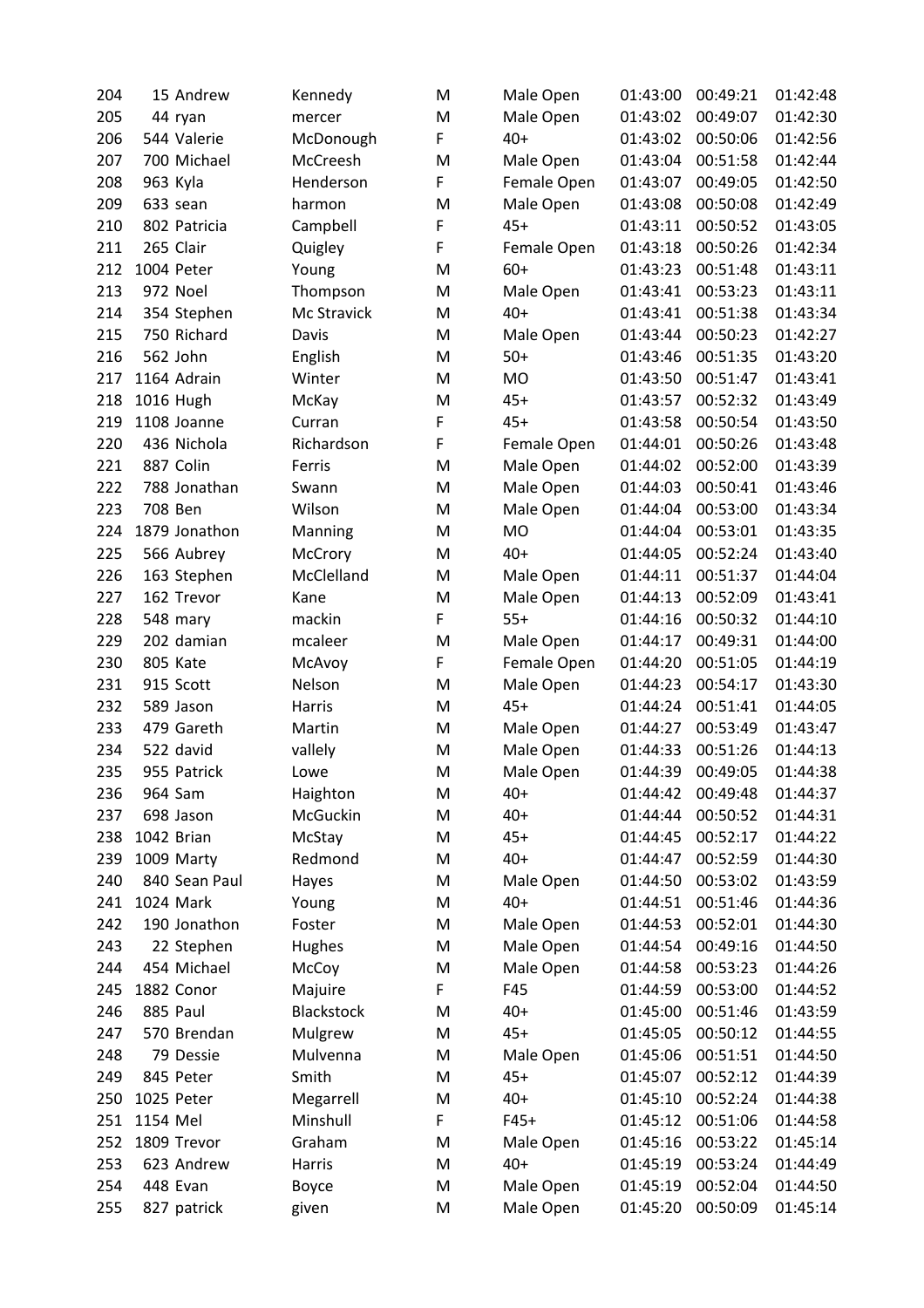| 204 |             | 15 Andrew     | Kennedy           | M | Male Open   | 01:43:00 | 00:49:21 | 01:42:48 |
|-----|-------------|---------------|-------------------|---|-------------|----------|----------|----------|
| 205 | 44 ryan     |               | mercer            | M | Male Open   | 01:43:02 | 00:49:07 | 01:42:30 |
| 206 |             | 544 Valerie   | McDonough         | F | $40+$       | 01:43:02 | 00:50:06 | 01:42:56 |
| 207 |             | 700 Michael   | McCreesh          | M | Male Open   | 01:43:04 | 00:51:58 | 01:42:44 |
| 208 | 963 Kyla    |               | Henderson         | F | Female Open | 01:43:07 | 00:49:05 | 01:42:50 |
| 209 | 633 sean    |               | harmon            | M | Male Open   | 01:43:08 | 00:50:08 | 01:42:49 |
| 210 |             | 802 Patricia  | Campbell          | F | $45+$       | 01:43:11 | 00:50:52 | 01:43:05 |
| 211 | 265 Clair   |               | Quigley           | F | Female Open | 01:43:18 | 00:50:26 | 01:42:34 |
| 212 | 1004 Peter  |               | Young             | M | $60+$       | 01:43:23 | 00:51:48 | 01:43:11 |
| 213 | 972 Noel    |               | Thompson          | M | Male Open   | 01:43:41 | 00:53:23 | 01:43:11 |
| 214 |             | 354 Stephen   | Mc Stravick       | M | $40+$       | 01:43:41 | 00:51:38 | 01:43:34 |
| 215 |             | 750 Richard   | Davis             | M | Male Open   | 01:43:44 | 00:50:23 | 01:42:27 |
| 216 | 562 John    |               | English           | M | $50+$       | 01:43:46 | 00:51:35 | 01:43:20 |
| 217 | 1164 Adrain |               | Winter            | M | <b>MO</b>   | 01:43:50 | 00:51:47 | 01:43:41 |
| 218 | 1016 Hugh   |               | McKay             | M | $45+$       | 01:43:57 | 00:52:32 | 01:43:49 |
| 219 | 1108 Joanne |               | Curran            | F | $45+$       | 01:43:58 | 00:50:54 | 01:43:50 |
| 220 |             | 436 Nichola   | Richardson        | F | Female Open | 01:44:01 | 00:50:26 | 01:43:48 |
| 221 | 887 Colin   |               | Ferris            | M | Male Open   | 01:44:02 | 00:52:00 | 01:43:39 |
| 222 |             | 788 Jonathan  | Swann             | M | Male Open   | 01:44:03 | 00:50:41 | 01:43:46 |
| 223 | 708 Ben     |               | Wilson            | M | Male Open   | 01:44:04 | 00:53:00 | 01:43:34 |
| 224 |             | 1879 Jonathon | Manning           | M | MO          | 01:44:04 | 00:53:01 | 01:43:35 |
| 225 |             | 566 Aubrey    | McCrory           | M | $40+$       | 01:44:05 | 00:52:24 | 01:43:40 |
| 226 |             | 163 Stephen   | McClelland        | M | Male Open   | 01:44:11 | 00:51:37 | 01:44:04 |
| 227 |             | 162 Trevor    | Kane              | M | Male Open   | 01:44:13 | 00:52:09 | 01:43:41 |
| 228 | 548 mary    |               | mackin            | F | $55+$       | 01:44:16 | 00:50:32 | 01:44:10 |
| 229 |             | 202 damian    | mcaleer           | M | Male Open   | 01:44:17 | 00:49:31 | 01:44:00 |
| 230 | 805 Kate    |               | McAvoy            | F | Female Open | 01:44:20 | 00:51:05 | 01:44:19 |
| 231 | 915 Scott   |               | Nelson            | M | Male Open   | 01:44:23 | 00:54:17 | 01:43:30 |
| 232 | 589 Jason   |               | Harris            | M | $45+$       | 01:44:24 | 00:51:41 | 01:44:05 |
| 233 |             | 479 Gareth    | Martin            | M | Male Open   | 01:44:27 | 00:53:49 | 01:43:47 |
| 234 | 522 david   |               | vallely           | M | Male Open   | 01:44:33 | 00:51:26 | 01:44:13 |
| 235 |             | 955 Patrick   | Lowe              | M | Male Open   | 01:44:39 | 00:49:05 | 01:44:38 |
| 236 | 964 Sam     |               | Haighton          | M | $40+$       | 01:44:42 | 00:49:48 | 01:44:37 |
| 237 | 698 Jason   |               | McGuckin          | M | $40+$       | 01:44:44 | 00:50:52 | 01:44:31 |
| 238 | 1042 Brian  |               | McStay            | M | $45+$       | 01:44:45 | 00:52:17 | 01:44:22 |
| 239 | 1009 Marty  |               | Redmond           | M | $40+$       | 01:44:47 | 00:52:59 | 01:44:30 |
| 240 |             | 840 Sean Paul | Hayes             | M | Male Open   | 01:44:50 | 00:53:02 | 01:43:59 |
| 241 | 1024 Mark   |               | Young             | M | $40+$       | 01:44:51 | 00:51:46 | 01:44:36 |
| 242 |             | 190 Jonathon  | Foster            | M | Male Open   | 01:44:53 | 00:52:01 | 01:44:30 |
| 243 |             | 22 Stephen    | Hughes            | M | Male Open   | 01:44:54 | 00:49:16 | 01:44:50 |
| 244 |             | 454 Michael   | McCoy             | M | Male Open   | 01:44:58 | 00:53:23 | 01:44:26 |
| 245 | 1882 Conor  |               | Majuire           | F | F45         | 01:44:59 | 00:53:00 | 01:44:52 |
| 246 | 885 Paul    |               | <b>Blackstock</b> | M | $40+$       | 01:45:00 | 00:51:46 | 01:43:59 |
| 247 |             | 570 Brendan   | Mulgrew           | M | $45+$       | 01:45:05 | 00:50:12 | 01:44:55 |
| 248 |             | 79 Dessie     | Mulvenna          | M | Male Open   | 01:45:06 | 00:51:51 | 01:44:50 |
| 249 | 845 Peter   |               | Smith             | M | $45+$       | 01:45:07 | 00:52:12 | 01:44:39 |
| 250 | 1025 Peter  |               | Megarrell         | M | $40+$       | 01:45:10 | 00:52:24 | 01:44:38 |
| 251 | 1154 Mel    |               | Minshull          | F | $F45+$      | 01:45:12 | 00:51:06 | 01:44:58 |
| 252 | 1809 Trevor |               | Graham            | M | Male Open   | 01:45:16 | 00:53:22 | 01:45:14 |
| 253 |             | 623 Andrew    | Harris            | M | $40+$       | 01:45:19 | 00:53:24 | 01:44:49 |
| 254 | 448 Evan    |               | Boyce             | M | Male Open   | 01:45:19 | 00:52:04 | 01:44:50 |
| 255 |             | 827 patrick   | given             | M | Male Open   | 01:45:20 | 00:50:09 | 01:45:14 |
|     |             |               |                   |   |             |          |          |          |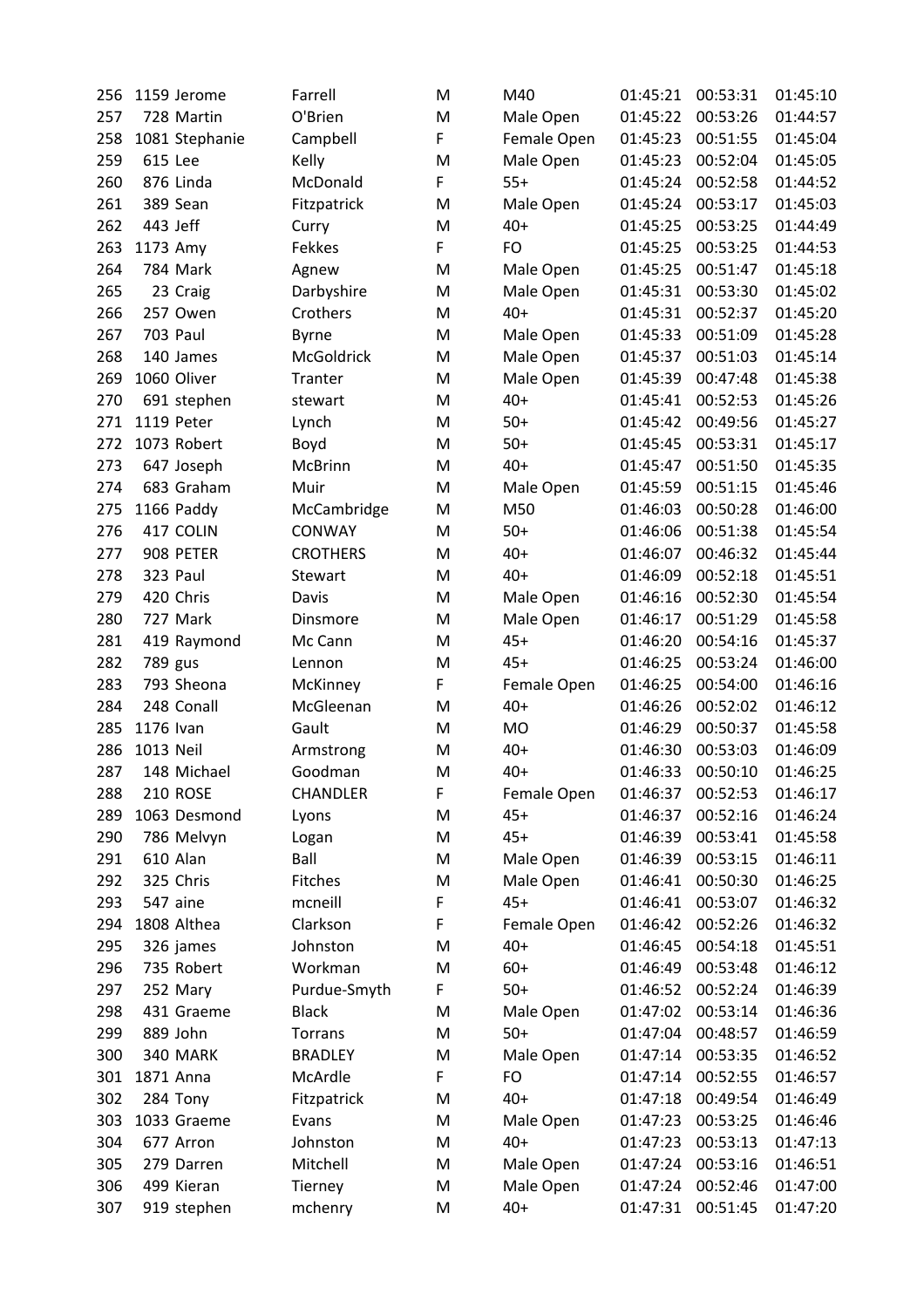| 256 | 1159 Jerome     | Farrell         | M | M40         | 01:45:21 | 00:53:31 | 01:45:10 |
|-----|-----------------|-----------------|---|-------------|----------|----------|----------|
| 257 | 728 Martin      | O'Brien         | M | Male Open   | 01:45:22 | 00:53:26 | 01:44:57 |
| 258 | 1081 Stephanie  | Campbell        | F | Female Open | 01:45:23 | 00:51:55 | 01:45:04 |
| 259 | 615 Lee         | Kelly           | M | Male Open   | 01:45:23 | 00:52:04 | 01:45:05 |
| 260 | 876 Linda       | McDonald        | F | $55+$       | 01:45:24 | 00:52:58 | 01:44:52 |
| 261 | 389 Sean        | Fitzpatrick     | M | Male Open   | 01:45:24 | 00:53:17 | 01:45:03 |
| 262 | 443 Jeff        | Curry           | M | $40+$       | 01:45:25 | 00:53:25 | 01:44:49 |
| 263 | 1173 Amy        | Fekkes          | F | FO          | 01:45:25 | 00:53:25 | 01:44:53 |
| 264 | 784 Mark        | Agnew           | M | Male Open   | 01:45:25 | 00:51:47 | 01:45:18 |
| 265 | 23 Craig        | Darbyshire      | M | Male Open   | 01:45:31 | 00:53:30 | 01:45:02 |
| 266 | 257 Owen        | Crothers        | M | $40+$       | 01:45:31 | 00:52:37 | 01:45:20 |
| 267 | <b>703 Paul</b> | <b>Byrne</b>    | M | Male Open   | 01:45:33 | 00:51:09 | 01:45:28 |
| 268 | 140 James       | McGoldrick      | M | Male Open   | 01:45:37 | 00:51:03 | 01:45:14 |
| 269 | 1060 Oliver     | <b>Tranter</b>  | M | Male Open   | 01:45:39 | 00:47:48 | 01:45:38 |
| 270 | 691 stephen     | stewart         | M | $40+$       | 01:45:41 | 00:52:53 | 01:45:26 |
| 271 | 1119 Peter      | Lynch           | M | $50+$       | 01:45:42 | 00:49:56 | 01:45:27 |
| 272 | 1073 Robert     | Boyd            | M | $50+$       | 01:45:45 | 00:53:31 | 01:45:17 |
| 273 | 647 Joseph      | McBrinn         | M | $40+$       | 01:45:47 | 00:51:50 | 01:45:35 |
| 274 | 683 Graham      | Muir            | M | Male Open   | 01:45:59 | 00:51:15 | 01:45:46 |
| 275 | 1166 Paddy      | McCambridge     | M | M50         | 01:46:03 | 00:50:28 | 01:46:00 |
| 276 | 417 COLIN       | <b>CONWAY</b>   | M | $50+$       | 01:46:06 | 00:51:38 | 01:45:54 |
| 277 | 908 PETER       | <b>CROTHERS</b> | M | $40+$       | 01:46:07 | 00:46:32 | 01:45:44 |
| 278 | 323 Paul        | Stewart         | M | $40+$       | 01:46:09 | 00:52:18 | 01:45:51 |
| 279 | 420 Chris       | Davis           | M | Male Open   | 01:46:16 | 00:52:30 | 01:45:54 |
| 280 | 727 Mark        | Dinsmore        | M | Male Open   | 01:46:17 | 00:51:29 | 01:45:58 |
| 281 | 419 Raymond     | Mc Cann         | M | $45+$       | 01:46:20 | 00:54:16 | 01:45:37 |
| 282 | 789 gus         | Lennon          | M | $45+$       | 01:46:25 | 00:53:24 | 01:46:00 |
| 283 | 793 Sheona      | McKinney        | F | Female Open | 01:46:25 | 00:54:00 | 01:46:16 |
| 284 | 248 Conall      | McGleenan       | M | $40+$       | 01:46:26 | 00:52:02 | 01:46:12 |
| 285 | 1176 Ivan       | Gault           | M | MO          | 01:46:29 | 00:50:37 | 01:45:58 |
| 286 | 1013 Neil       | Armstrong       | M | $40+$       | 01:46:30 | 00:53:03 | 01:46:09 |
| 287 | 148 Michael     | Goodman         | M | $40+$       | 01:46:33 | 00:50:10 | 01:46:25 |
| 288 | <b>210 ROSE</b> | <b>CHANDLER</b> | F | Female Open | 01:46:37 | 00:52:53 | 01:46:17 |
| 289 | 1063 Desmond    | Lyons           | M | $45+$       | 01:46:37 | 00:52:16 | 01:46:24 |
| 290 | 786 Melvyn      | Logan           | M | $45+$       | 01:46:39 | 00:53:41 | 01:45:58 |
| 291 | 610 Alan        | Ball            | M | Male Open   | 01:46:39 | 00:53:15 | 01:46:11 |
| 292 | 325 Chris       | Fitches         | M | Male Open   | 01:46:41 | 00:50:30 | 01:46:25 |
| 293 | 547 aine        | mcneill         | F | $45+$       | 01:46:41 | 00:53:07 | 01:46:32 |
| 294 | 1808 Althea     | Clarkson        | F | Female Open | 01:46:42 | 00:52:26 | 01:46:32 |
| 295 | 326 james       | Johnston        | M | $40+$       | 01:46:45 | 00:54:18 | 01:45:51 |
| 296 | 735 Robert      | Workman         | M | $60+$       | 01:46:49 | 00:53:48 | 01:46:12 |
| 297 | 252 Mary        | Purdue-Smyth    | F | $50+$       | 01:46:52 | 00:52:24 | 01:46:39 |
| 298 | 431 Graeme      | <b>Black</b>    | M | Male Open   | 01:47:02 | 00:53:14 | 01:46:36 |
| 299 | 889 John        | <b>Torrans</b>  | M | $50+$       | 01:47:04 | 00:48:57 | 01:46:59 |
| 300 | 340 MARK        | <b>BRADLEY</b>  | M | Male Open   | 01:47:14 | 00:53:35 | 01:46:52 |
| 301 | 1871 Anna       | McArdle         | F | FO          | 01:47:14 | 00:52:55 | 01:46:57 |
| 302 | 284 Tony        | Fitzpatrick     | M | $40+$       | 01:47:18 | 00:49:54 | 01:46:49 |
| 303 | 1033 Graeme     | Evans           | M | Male Open   | 01:47:23 | 00:53:25 | 01:46:46 |
| 304 | 677 Arron       | Johnston        | M | $40+$       | 01:47:23 | 00:53:13 | 01:47:13 |
| 305 | 279 Darren      | Mitchell        | M | Male Open   | 01:47:24 | 00:53:16 | 01:46:51 |
| 306 | 499 Kieran      | Tierney         | M | Male Open   | 01:47:24 | 00:52:46 | 01:47:00 |
| 307 | 919 stephen     | mchenry         | M | $40+$       | 01:47:31 | 00:51:45 | 01:47:20 |
|     |                 |                 |   |             |          |          |          |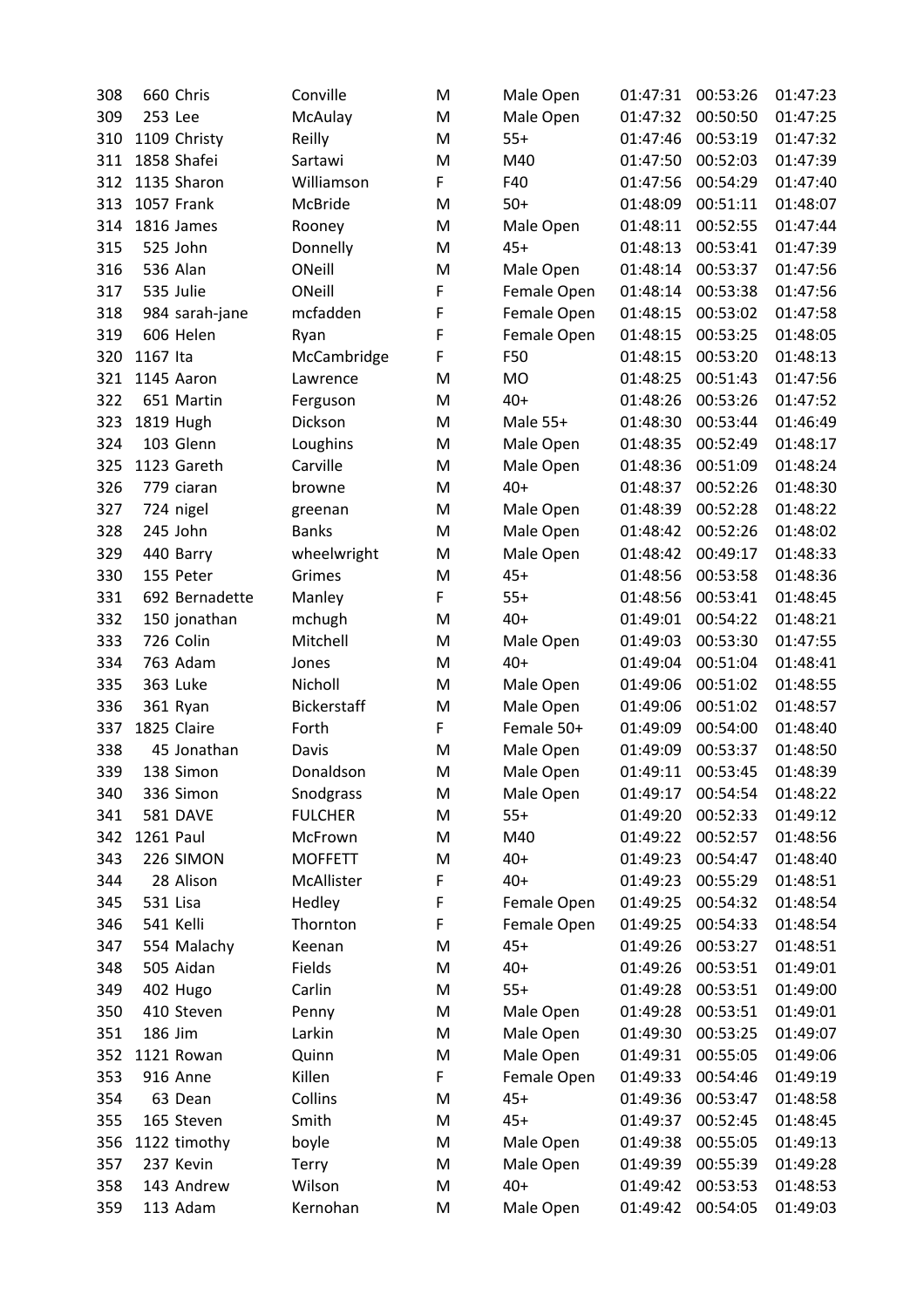| 308 | 660 Chris       | Conville           | M | Male Open   | 01:47:31 | 00:53:26 | 01:47:23 |
|-----|-----------------|--------------------|---|-------------|----------|----------|----------|
| 309 | 253 Lee         | McAulay            | M | Male Open   | 01:47:32 | 00:50:50 | 01:47:25 |
| 310 | 1109 Christy    | Reilly             | M | $55+$       | 01:47:46 | 00:53:19 | 01:47:32 |
| 311 | 1858 Shafei     | Sartawi            | M | M40         | 01:47:50 | 00:52:03 | 01:47:39 |
| 312 | 1135 Sharon     | Williamson         | F | F40         | 01:47:56 | 00:54:29 | 01:47:40 |
| 313 | 1057 Frank      | McBride            | M | $50+$       | 01:48:09 | 00:51:11 | 01:48:07 |
| 314 | 1816 James      | Rooney             | M | Male Open   | 01:48:11 | 00:52:55 | 01:47:44 |
| 315 | 525 John        | Donnelly           | M | $45+$       | 01:48:13 | 00:53:41 | 01:47:39 |
| 316 | 536 Alan        | ONeill             | M | Male Open   | 01:48:14 | 00:53:37 | 01:47:56 |
| 317 | 535 Julie       | ONeill             | F | Female Open | 01:48:14 | 00:53:38 | 01:47:56 |
| 318 | 984 sarah-jane  | mcfadden           | F | Female Open | 01:48:15 | 00:53:02 | 01:47:58 |
| 319 | 606 Helen       | Ryan               | F | Female Open | 01:48:15 | 00:53:25 | 01:48:05 |
| 320 | 1167 Ita        | McCambridge        | F | F50         | 01:48:15 | 00:53:20 | 01:48:13 |
| 321 | 1145 Aaron      | Lawrence           | M | <b>MO</b>   | 01:48:25 | 00:51:43 | 01:47:56 |
| 322 | 651 Martin      | Ferguson           | M | $40+$       | 01:48:26 | 00:53:26 | 01:47:52 |
| 323 | 1819 Hugh       | Dickson            | M | Male 55+    | 01:48:30 | 00:53:44 | 01:46:49 |
| 324 | 103 Glenn       | Loughins           | M | Male Open   | 01:48:35 | 00:52:49 | 01:48:17 |
| 325 | 1123 Gareth     | Carville           | M | Male Open   | 01:48:36 | 00:51:09 | 01:48:24 |
| 326 | 779 ciaran      | browne             | M | $40+$       | 01:48:37 | 00:52:26 | 01:48:30 |
| 327 | 724 nigel       | greenan            | M | Male Open   | 01:48:39 | 00:52:28 | 01:48:22 |
| 328 | 245 John        | <b>Banks</b>       | M | Male Open   | 01:48:42 | 00:52:26 | 01:48:02 |
| 329 | 440 Barry       | wheelwright        | M | Male Open   | 01:48:42 | 00:49:17 | 01:48:33 |
| 330 | 155 Peter       | Grimes             | M | $45+$       | 01:48:56 | 00:53:58 | 01:48:36 |
| 331 | 692 Bernadette  | Manley             | F | $55+$       | 01:48:56 | 00:53:41 | 01:48:45 |
| 332 | 150 jonathan    | mchugh             | M | $40+$       | 01:49:01 | 00:54:22 | 01:48:21 |
| 333 | 726 Colin       | Mitchell           | M | Male Open   | 01:49:03 | 00:53:30 | 01:47:55 |
| 334 | 763 Adam        | Jones              | M | $40+$       | 01:49:04 | 00:51:04 | 01:48:41 |
| 335 | 363 Luke        | Nicholl            | M | Male Open   | 01:49:06 | 00:51:02 | 01:48:55 |
| 336 | 361 Ryan        | <b>Bickerstaff</b> | M | Male Open   | 01:49:06 | 00:51:02 | 01:48:57 |
| 337 | 1825 Claire     | Forth              | F | Female 50+  | 01:49:09 | 00:54:00 | 01:48:40 |
| 338 | 45 Jonathan     | Davis              | M | Male Open   | 01:49:09 | 00:53:37 | 01:48:50 |
| 339 | 138 Simon       | Donaldson          | M | Male Open   | 01:49:11 | 00:53:45 | 01:48:39 |
| 340 | 336 Simon       | Snodgrass          | M | Male Open   | 01:49:17 | 00:54:54 | 01:48:22 |
| 341 | <b>581 DAVE</b> | <b>FULCHER</b>     | M | $55+$       | 01:49:20 | 00:52:33 | 01:49:12 |
| 342 | 1261 Paul       | McFrown            | M | M40         | 01:49:22 | 00:52:57 | 01:48:56 |
| 343 | 226 SIMON       | <b>MOFFETT</b>     | M | $40+$       | 01:49:23 | 00:54:47 | 01:48:40 |
| 344 | 28 Alison       | McAllister         | F | $40+$       | 01:49:23 | 00:55:29 | 01:48:51 |
| 345 | 531 Lisa        | Hedley             | F | Female Open | 01:49:25 | 00:54:32 | 01:48:54 |
| 346 | 541 Kelli       | Thornton           | F | Female Open | 01:49:25 | 00:54:33 | 01:48:54 |
| 347 | 554 Malachy     | Keenan             | M | $45+$       | 01:49:26 | 00:53:27 | 01:48:51 |
| 348 | 505 Aidan       | Fields             | M | $40+$       | 01:49:26 | 00:53:51 | 01:49:01 |
| 349 | 402 Hugo        | Carlin             | M | $55+$       | 01:49:28 | 00:53:51 | 01:49:00 |
| 350 | 410 Steven      | Penny              | M | Male Open   | 01:49:28 | 00:53:51 | 01:49:01 |
| 351 | 186 Jim         | Larkin             | M | Male Open   | 01:49:30 | 00:53:25 | 01:49:07 |
| 352 | 1121 Rowan      | Quinn              | M | Male Open   | 01:49:31 | 00:55:05 | 01:49:06 |
| 353 | 916 Anne        | Killen             | F | Female Open | 01:49:33 | 00:54:46 | 01:49:19 |
| 354 | 63 Dean         | Collins            | M | $45+$       | 01:49:36 | 00:53:47 | 01:48:58 |
| 355 | 165 Steven      | Smith              | M | $45+$       | 01:49:37 | 00:52:45 | 01:48:45 |
| 356 | 1122 timothy    | boyle              | M | Male Open   | 01:49:38 | 00:55:05 | 01:49:13 |
| 357 | 237 Kevin       | <b>Terry</b>       | M | Male Open   | 01:49:39 | 00:55:39 | 01:49:28 |
| 358 | 143 Andrew      | Wilson             | M | $40+$       | 01:49:42 | 00:53:53 | 01:48:53 |
| 359 | 113 Adam        | Kernohan           | M | Male Open   | 01:49:42 | 00:54:05 | 01:49:03 |
|     |                 |                    |   |             |          |          |          |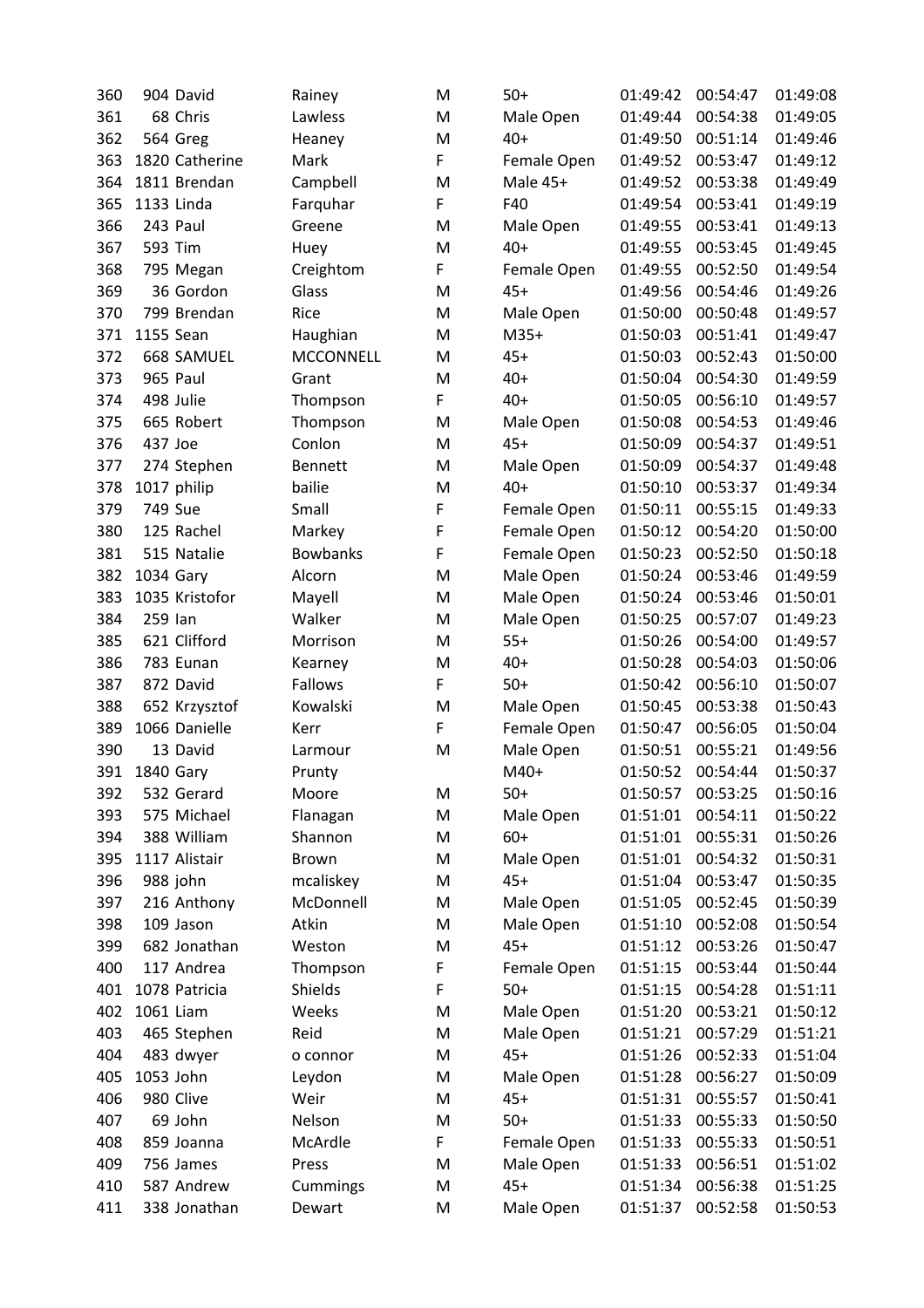| 360 | 904 David      | Rainey           | M | $50+$       | 01:49:42 | 00:54:47 | 01:49:08 |
|-----|----------------|------------------|---|-------------|----------|----------|----------|
| 361 | 68 Chris       | Lawless          | M | Male Open   | 01:49:44 | 00:54:38 | 01:49:05 |
| 362 | 564 Greg       | Heaney           | M | $40+$       | 01:49:50 | 00:51:14 | 01:49:46 |
| 363 | 1820 Catherine | Mark             | F | Female Open | 01:49:52 | 00:53:47 | 01:49:12 |
| 364 | 1811 Brendan   | Campbell         | M | Male 45+    | 01:49:52 | 00:53:38 | 01:49:49 |
| 365 | 1133 Linda     | Farquhar         | F | F40         | 01:49:54 | 00:53:41 | 01:49:19 |
| 366 | 243 Paul       | Greene           | M | Male Open   | 01:49:55 | 00:53:41 | 01:49:13 |
| 367 | 593 Tim        | Huey             | M | $40+$       | 01:49:55 | 00:53:45 | 01:49:45 |
| 368 | 795 Megan      | Creightom        | F | Female Open | 01:49:55 | 00:52:50 | 01:49:54 |
| 369 | 36 Gordon      | Glass            | M | $45+$       | 01:49:56 | 00:54:46 | 01:49:26 |
|     | 799 Brendan    | Rice             |   |             |          | 00:50:48 | 01:49:57 |
| 370 | 1155 Sean      |                  | M | Male Open   | 01:50:00 |          |          |
| 371 |                | Haughian         | M | $M35+$      | 01:50:03 | 00:51:41 | 01:49:47 |
| 372 | 668 SAMUEL     | <b>MCCONNELL</b> | M | $45+$       | 01:50:03 | 00:52:43 | 01:50:00 |
| 373 | 965 Paul       | Grant            | M | $40+$       | 01:50:04 | 00:54:30 | 01:49:59 |
| 374 | 498 Julie      | Thompson         | F | $40+$       | 01:50:05 | 00:56:10 | 01:49:57 |
| 375 | 665 Robert     | Thompson         | M | Male Open   | 01:50:08 | 00:54:53 | 01:49:46 |
| 376 | 437 Joe        | Conlon           | M | $45+$       | 01:50:09 | 00:54:37 | 01:49:51 |
| 377 | 274 Stephen    | <b>Bennett</b>   | M | Male Open   | 01:50:09 | 00:54:37 | 01:49:48 |
| 378 | 1017 philip    | bailie           | M | $40+$       | 01:50:10 | 00:53:37 | 01:49:34 |
| 379 | 749 Sue        | Small            | F | Female Open | 01:50:11 | 00:55:15 | 01:49:33 |
| 380 | 125 Rachel     | Markey           | F | Female Open | 01:50:12 | 00:54:20 | 01:50:00 |
| 381 | 515 Natalie    | <b>Bowbanks</b>  | F | Female Open | 01:50:23 | 00:52:50 | 01:50:18 |
| 382 | 1034 Gary      | Alcorn           | M | Male Open   | 01:50:24 | 00:53:46 | 01:49:59 |
| 383 | 1035 Kristofor | Mayell           | M | Male Open   | 01:50:24 | 00:53:46 | 01:50:01 |
| 384 | 259 Ian        | Walker           | M | Male Open   | 01:50:25 | 00:57:07 | 01:49:23 |
| 385 | 621 Clifford   | Morrison         | M | $55+$       | 01:50:26 | 00:54:00 | 01:49:57 |
| 386 | 783 Eunan      | Kearney          | M | $40+$       | 01:50:28 | 00:54:03 | 01:50:06 |
| 387 | 872 David      | Fallows          | F | $50+$       | 01:50:42 | 00:56:10 | 01:50:07 |
| 388 | 652 Krzysztof  | Kowalski         | M | Male Open   | 01:50:45 | 00:53:38 | 01:50:43 |
| 389 | 1066 Danielle  | Kerr             | F | Female Open | 01:50:47 | 00:56:05 | 01:50:04 |
| 390 | 13 David       | Larmour          | M | Male Open   | 01:50:51 | 00:55:21 | 01:49:56 |
| 391 | 1840 Gary      | Prunty           |   | M40+        | 01:50:52 | 00:54:44 | 01:50:37 |
| 392 | 532 Gerard     | Moore            | M | $50+$       | 01:50:57 | 00:53:25 | 01:50:16 |
| 393 | 575 Michael    | Flanagan         | M | Male Open   | 01:51:01 | 00:54:11 | 01:50:22 |
| 394 | 388 William    | Shannon          | M | $60+$       | 01:51:01 | 00:55:31 | 01:50:26 |
| 395 | 1117 Alistair  | Brown            | M | Male Open   | 01:51:01 | 00:54:32 | 01:50:31 |
|     |                |                  |   |             |          |          |          |
| 396 | 988 john       | mcaliskey        | M | $45+$       | 01:51:04 | 00:53:47 | 01:50:35 |
| 397 | 216 Anthony    | McDonnell        | M | Male Open   | 01:51:05 | 00:52:45 | 01:50:39 |
| 398 | 109 Jason      | Atkin            | M | Male Open   | 01:51:10 | 00:52:08 | 01:50:54 |
| 399 | 682 Jonathan   | Weston           | M | $45+$       | 01:51:12 | 00:53:26 | 01:50:47 |
| 400 | 117 Andrea     | Thompson         | F | Female Open | 01:51:15 | 00:53:44 | 01:50:44 |
| 401 | 1078 Patricia  | Shields          | F | $50+$       | 01:51:15 | 00:54:28 | 01:51:11 |
| 402 | 1061 Liam      | Weeks            | M | Male Open   | 01:51:20 | 00:53:21 | 01:50:12 |
| 403 | 465 Stephen    | Reid             | M | Male Open   | 01:51:21 | 00:57:29 | 01:51:21 |
| 404 | 483 dwyer      | o connor         | M | $45+$       | 01:51:26 | 00:52:33 | 01:51:04 |
| 405 | 1053 John      | Leydon           | M | Male Open   | 01:51:28 | 00:56:27 | 01:50:09 |
| 406 | 980 Clive      | Weir             | M | $45+$       | 01:51:31 | 00:55:57 | 01:50:41 |
| 407 | 69 John        | Nelson           | M | $50+$       | 01:51:33 | 00:55:33 | 01:50:50 |
| 408 | 859 Joanna     | McArdle          | F | Female Open | 01:51:33 | 00:55:33 | 01:50:51 |
| 409 | 756 James      | Press            | M | Male Open   | 01:51:33 | 00:56:51 | 01:51:02 |
| 410 | 587 Andrew     | Cummings         | M | $45+$       | 01:51:34 | 00:56:38 | 01:51:25 |
| 411 | 338 Jonathan   | Dewart           | M | Male Open   | 01:51:37 | 00:52:58 | 01:50:53 |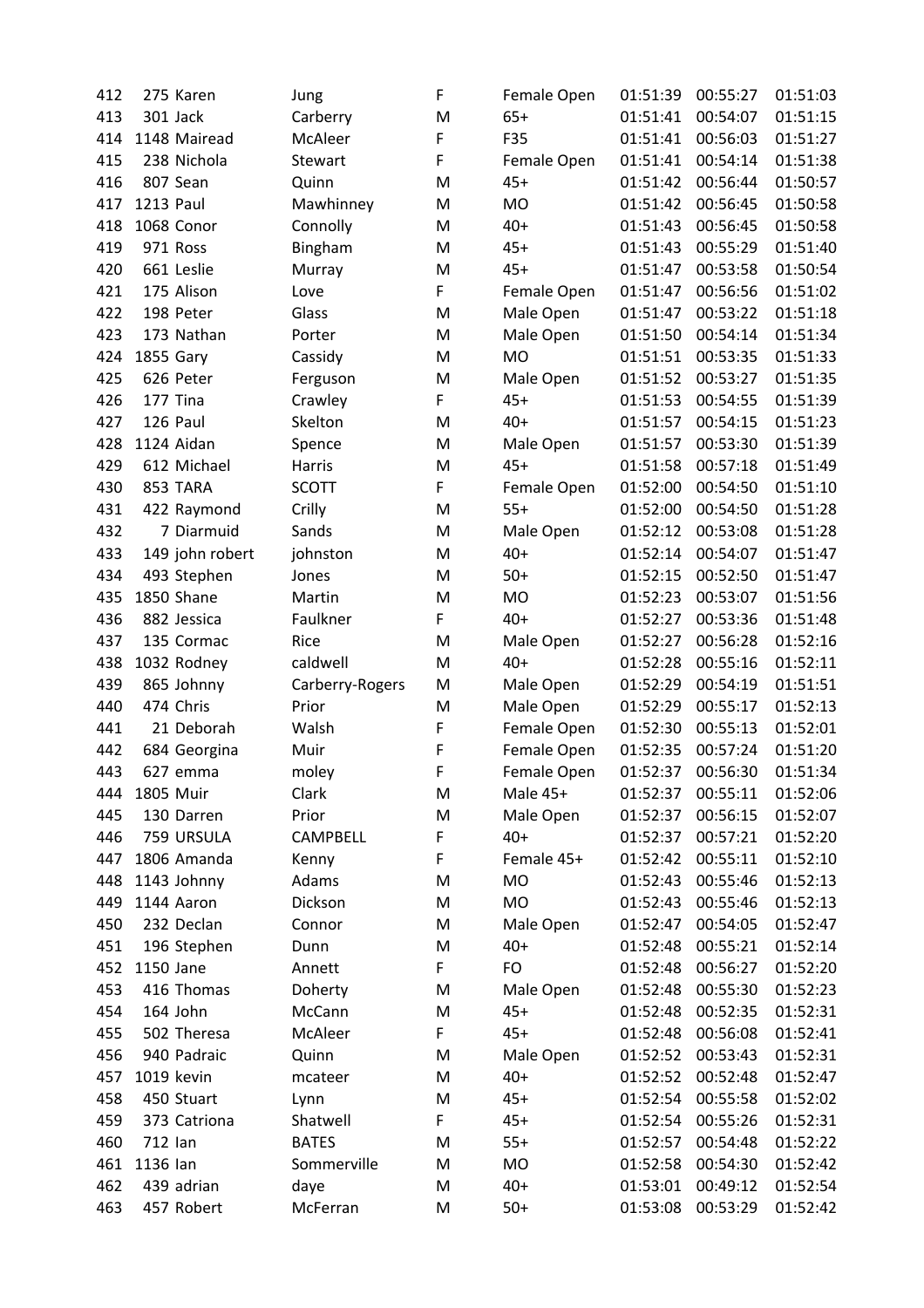| 412 | 275 Karen        | Jung            | F | Female Open | 01:51:39 | 00:55:27 | 01:51:03 |
|-----|------------------|-----------------|---|-------------|----------|----------|----------|
| 413 | 301 Jack         | Carberry        | M | $65+$       | 01:51:41 | 00:54:07 | 01:51:15 |
| 414 | 1148 Mairead     | McAleer         | F | F35         | 01:51:41 | 00:56:03 | 01:51:27 |
| 415 | 238 Nichola      | Stewart         | F | Female Open | 01:51:41 | 00:54:14 | 01:51:38 |
| 416 | 807 Sean         | Quinn           | M | $45+$       | 01:51:42 | 00:56:44 | 01:50:57 |
| 417 | <b>1213 Paul</b> | Mawhinney       | M | MO          | 01:51:42 | 00:56:45 | 01:50:58 |
| 418 | 1068 Conor       | Connolly        | M | $40+$       | 01:51:43 | 00:56:45 | 01:50:58 |
| 419 | 971 Ross         | Bingham         | M | $45+$       | 01:51:43 | 00:55:29 | 01:51:40 |
| 420 | 661 Leslie       | Murray          | M | $45+$       | 01:51:47 | 00:53:58 | 01:50:54 |
| 421 | 175 Alison       | Love            | F | Female Open | 01:51:47 | 00:56:56 | 01:51:02 |
| 422 | 198 Peter        | Glass           | M | Male Open   | 01:51:47 | 00:53:22 | 01:51:18 |
| 423 | 173 Nathan       | Porter          | M | Male Open   | 01:51:50 | 00:54:14 | 01:51:34 |
| 424 | 1855 Gary        | Cassidy         | M | <b>MO</b>   | 01:51:51 | 00:53:35 | 01:51:33 |
| 425 | 626 Peter        | Ferguson        | M | Male Open   | 01:51:52 | 00:53:27 | 01:51:35 |
| 426 | 177 Tina         | Crawley         | F | $45+$       | 01:51:53 | 00:54:55 | 01:51:39 |
| 427 | 126 Paul         | Skelton         | M | $40+$       | 01:51:57 | 00:54:15 | 01:51:23 |
| 428 | 1124 Aidan       | Spence          | M | Male Open   | 01:51:57 | 00:53:30 | 01:51:39 |
| 429 | 612 Michael      | Harris          | M | $45+$       | 01:51:58 | 00:57:18 | 01:51:49 |
| 430 | 853 TARA         | <b>SCOTT</b>    | F | Female Open | 01:52:00 | 00:54:50 | 01:51:10 |
| 431 | 422 Raymond      | Crilly          | M | $55+$       | 01:52:00 | 00:54:50 | 01:51:28 |
| 432 | 7 Diarmuid       | Sands           | M | Male Open   | 01:52:12 | 00:53:08 | 01:51:28 |
| 433 | 149 john robert  | johnston        | M | $40+$       | 01:52:14 | 00:54:07 | 01:51:47 |
| 434 | 493 Stephen      | Jones           | M | $50+$       | 01:52:15 | 00:52:50 | 01:51:47 |
| 435 | 1850 Shane       | Martin          | M | <b>MO</b>   | 01:52:23 | 00:53:07 | 01:51:56 |
| 436 | 882 Jessica      | Faulkner        | F | $40+$       | 01:52:27 | 00:53:36 | 01:51:48 |
| 437 | 135 Cormac       | Rice            | M | Male Open   | 01:52:27 | 00:56:28 | 01:52:16 |
| 438 | 1032 Rodney      | caldwell        | M | $40+$       | 01:52:28 | 00:55:16 | 01:52:11 |
| 439 | 865 Johnny       | Carberry-Rogers | M | Male Open   | 01:52:29 | 00:54:19 | 01:51:51 |
| 440 | 474 Chris        | Prior           | M | Male Open   | 01:52:29 | 00:55:17 | 01:52:13 |
| 441 | 21 Deborah       | Walsh           | F | Female Open | 01:52:30 | 00:55:13 | 01:52:01 |
| 442 | 684 Georgina     | Muir            | F | Female Open | 01:52:35 | 00:57:24 | 01:51:20 |
| 443 | 627 emma         | moley           | F | Female Open | 01:52:37 | 00:56:30 | 01:51:34 |
| 444 | 1805 Muir        | Clark           | M | Male 45+    | 01:52:37 | 00:55:11 | 01:52:06 |
| 445 | 130 Darren       | Prior           | M | Male Open   | 01:52:37 | 00:56:15 | 01:52:07 |
| 446 | 759 URSULA       | CAMPBELL        | F | $40+$       | 01:52:37 | 00:57:21 | 01:52:20 |
| 447 | 1806 Amanda      | Kenny           | F | Female 45+  | 01:52:42 | 00:55:11 | 01:52:10 |
| 448 | 1143 Johnny      | Adams           | M | MO          | 01:52:43 | 00:55:46 | 01:52:13 |
| 449 | 1144 Aaron       | Dickson         | M | <b>MO</b>   | 01:52:43 | 00:55:46 | 01:52:13 |
| 450 | 232 Declan       | Connor          | M | Male Open   | 01:52:47 | 00:54:05 | 01:52:47 |
| 451 | 196 Stephen      | Dunn            | M | $40+$       | 01:52:48 | 00:55:21 | 01:52:14 |
| 452 | 1150 Jane        | Annett          | F | FO          | 01:52:48 | 00:56:27 | 01:52:20 |
| 453 | 416 Thomas       | Doherty         | M | Male Open   | 01:52:48 | 00:55:30 | 01:52:23 |
| 454 | 164 John         | McCann          | M | $45+$       | 01:52:48 | 00:52:35 | 01:52:31 |
| 455 | 502 Theresa      | McAleer         | F | $45+$       | 01:52:48 | 00:56:08 | 01:52:41 |
| 456 | 940 Padraic      | Quinn           | M | Male Open   | 01:52:52 | 00:53:43 | 01:52:31 |
| 457 | 1019 kevin       | mcateer         | M | $40+$       | 01:52:52 | 00:52:48 | 01:52:47 |
| 458 | 450 Stuart       | Lynn            | M | $45+$       | 01:52:54 | 00:55:58 | 01:52:02 |
| 459 | 373 Catriona     | Shatwell        | F | $45+$       | 01:52:54 | 00:55:26 | 01:52:31 |
| 460 | 712 lan          | <b>BATES</b>    | M | $55+$       | 01:52:57 | 00:54:48 | 01:52:22 |
| 461 | 1136 lan         | Sommerville     | M | MO          | 01:52:58 | 00:54:30 | 01:52:42 |
| 462 | 439 adrian       | daye            | M | $40+$       | 01:53:01 | 00:49:12 | 01:52:54 |
| 463 | 457 Robert       | McFerran        | M | $50+$       | 01:53:08 | 00:53:29 | 01:52:42 |
|     |                  |                 |   |             |          |          |          |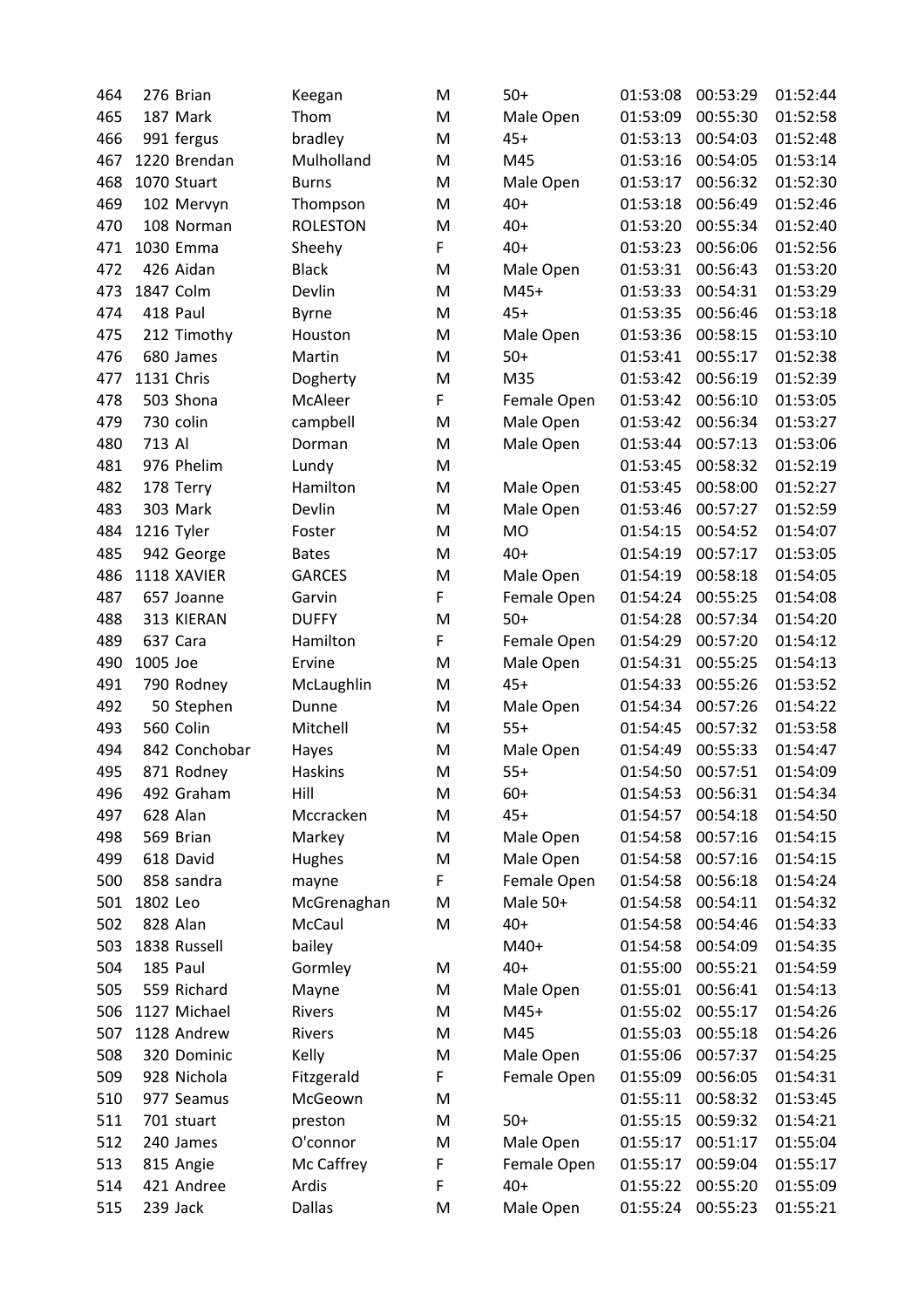| 464        | 276 Brian     | Keegan                | M      | $50+$             | 01:53:08             | 00:53:29 | 01:52:44 |
|------------|---------------|-----------------------|--------|-------------------|----------------------|----------|----------|
| 465        | 187 Mark      | Thom                  | M      | Male Open         | 01:53:09             | 00:55:30 | 01:52:58 |
| 466        | 991 fergus    | bradley               | M      | $45+$             | 01:53:13             | 00:54:03 | 01:52:48 |
| 467        | 1220 Brendan  | Mulholland            | M      | M45               | 01:53:16             | 00:54:05 | 01:53:14 |
| 468        | 1070 Stuart   | <b>Burns</b>          | M      | Male Open         | 01:53:17             | 00:56:32 | 01:52:30 |
| 469        | 102 Mervyn    | Thompson              | M      | $40+$             | 01:53:18             | 00:56:49 | 01:52:46 |
| 470        | 108 Norman    | <b>ROLESTON</b>       | M      | $40+$             | 01:53:20             | 00:55:34 | 01:52:40 |
| 471        | 1030 Emma     | Sheehy                | F      | $40+$             | 01:53:23             | 00:56:06 | 01:52:56 |
| 472        | 426 Aidan     | <b>Black</b>          | M      | Male Open         | 01:53:31             | 00:56:43 | 01:53:20 |
| 473        | 1847 Colm     | Devlin                | M      | $M45+$            | 01:53:33             | 00:54:31 | 01:53:29 |
| 474        | 418 Paul      | <b>Byrne</b>          | M      | $45+$             | 01:53:35             | 00:56:46 | 01:53:18 |
| 475        | 212 Timothy   | Houston               | M      | Male Open         | 01:53:36             | 00:58:15 | 01:53:10 |
| 476        | 680 James     | Martin                | M      | $50+$             | 01:53:41             | 00:55:17 | 01:52:38 |
| 477        | 1131 Chris    | Dogherty              | M      | M35               | 01:53:42             | 00:56:19 | 01:52:39 |
| 478        | 503 Shona     | McAleer               | F      | Female Open       | 01:53:42             | 00:56:10 | 01:53:05 |
| 479        | 730 colin     | campbell              | M      | Male Open         | 01:53:42             | 00:56:34 | 01:53:27 |
| 480        | 713 Al        | Dorman                | M      | Male Open         | 01:53:44             | 00:57:13 | 01:53:06 |
| 481        | 976 Phelim    | Lundy                 | M      |                   | 01:53:45             | 00:58:32 | 01:52:19 |
| 482        | 178 Terry     | Hamilton              | M      | Male Open         | 01:53:45             | 00:58:00 | 01:52:27 |
| 483        | 303 Mark      | Devlin                | M      | Male Open         | 01:53:46             | 00:57:27 | 01:52:59 |
| 484        | 1216 Tyler    | Foster                | M      | <b>MO</b>         | 01:54:15             | 00:54:52 | 01:54:07 |
| 485        | 942 George    | <b>Bates</b>          | M      | $40+$             | 01:54:19             | 00:57:17 | 01:53:05 |
| 486        | 1118 XAVIER   | <b>GARCES</b>         | M      | Male Open         | 01:54:19             | 00:58:18 | 01:54:05 |
| 487        | 657 Joanne    | Garvin                | F      | Female Open       | 01:54:24             | 00:55:25 | 01:54:08 |
| 488        | 313 KIERAN    | <b>DUFFY</b>          | M      | $50+$             | 01:54:28             | 00:57:34 | 01:54:20 |
| 489        | 637 Cara      | Hamilton              | F      | Female Open       | 01:54:29             | 00:57:20 | 01:54:12 |
| 490        | 1005 Joe      | Ervine                | M      | Male Open         | 01:54:31             | 00:55:25 | 01:54:13 |
| 491        | 790 Rodney    | McLaughlin            | M      | $45+$             | 01:54:33             | 00:55:26 | 01:53:52 |
| 492        | 50 Stephen    | Dunne                 | M      | Male Open         | 01:54:34             | 00:57:26 | 01:54:22 |
| 493        | 560 Colin     | Mitchell              | M      | $55+$             | 01:54:45             | 00:57:32 | 01:53:58 |
| 494        | 842 Conchobar | Hayes                 | M      | Male Open         | 01:54:49             | 00:55:33 | 01:54:47 |
| 495        | 871 Rodney    | Haskins               | M      | $55+$             | 01:54:50             | 00:57:51 | 01:54:09 |
| 496        | 492 Graham    | Hill                  | M      | $60+$             | 01:54:53             | 00:56:31 | 01:54:34 |
| 497        | 628 Alan      | Mccracken             | M      | $45+$             | 01:54:57             | 00:54:18 | 01:54:50 |
| 498        | 569 Brian     | Markey                | M      | Male Open         | 01:54:58             | 00:57:16 | 01:54:15 |
| 499        | 618 David     |                       | M      | Male Open         | 01:54:58             | 00:57:16 | 01:54:15 |
|            | 858 sandra    | Hughes                |        |                   |                      | 00:56:18 | 01:54:24 |
| 500        | 1802 Leo      | mayne                 | F      | Female Open       | 01:54:58<br>01:54:58 | 00:54:11 | 01:54:32 |
| 501<br>502 | 828 Alan      | McGrenaghan<br>McCaul | M<br>M | Male 50+<br>$40+$ | 01:54:58             | 00:54:46 |          |
|            |               |                       |        |                   |                      |          | 01:54:33 |
| 503        | 1838 Russell  | bailey                |        | M40+<br>$40+$     | 01:54:58             | 00:54:09 | 01:54:35 |
| 504        | 185 Paul      | Gormley               | M      |                   | 01:55:00             | 00:55:21 | 01:54:59 |
| 505        | 559 Richard   | Mayne                 | M      | Male Open         | 01:55:01             | 00:56:41 | 01:54:13 |
| 506        | 1127 Michael  | Rivers                | M      | M45+              | 01:55:02             | 00:55:17 | 01:54:26 |
| 507        | 1128 Andrew   | Rivers                | M      | M45               | 01:55:03             | 00:55:18 | 01:54:26 |
| 508        | 320 Dominic   | Kelly                 | M      | Male Open         | 01:55:06             | 00:57:37 | 01:54:25 |
| 509        | 928 Nichola   | Fitzgerald            | F.     | Female Open       | 01:55:09             | 00:56:05 | 01:54:31 |
| 510        | 977 Seamus    | McGeown               | M      |                   | 01:55:11             | 00:58:32 | 01:53:45 |
| 511        | 701 stuart    | preston               | M      | $50+$             | 01:55:15             | 00:59:32 | 01:54:21 |
| 512        | 240 James     | O'connor              | M      | Male Open         | 01:55:17             | 00:51:17 | 01:55:04 |
| 513        | 815 Angie     | Mc Caffrey            | F      | Female Open       | 01:55:17             | 00:59:04 | 01:55:17 |
| 514        | 421 Andree    | Ardis                 | F      | $40+$             | 01:55:22             | 00:55:20 | 01:55:09 |
| 515        | 239 Jack      | Dallas                | M      | Male Open         | 01:55:24             | 00:55:23 | 01:55:21 |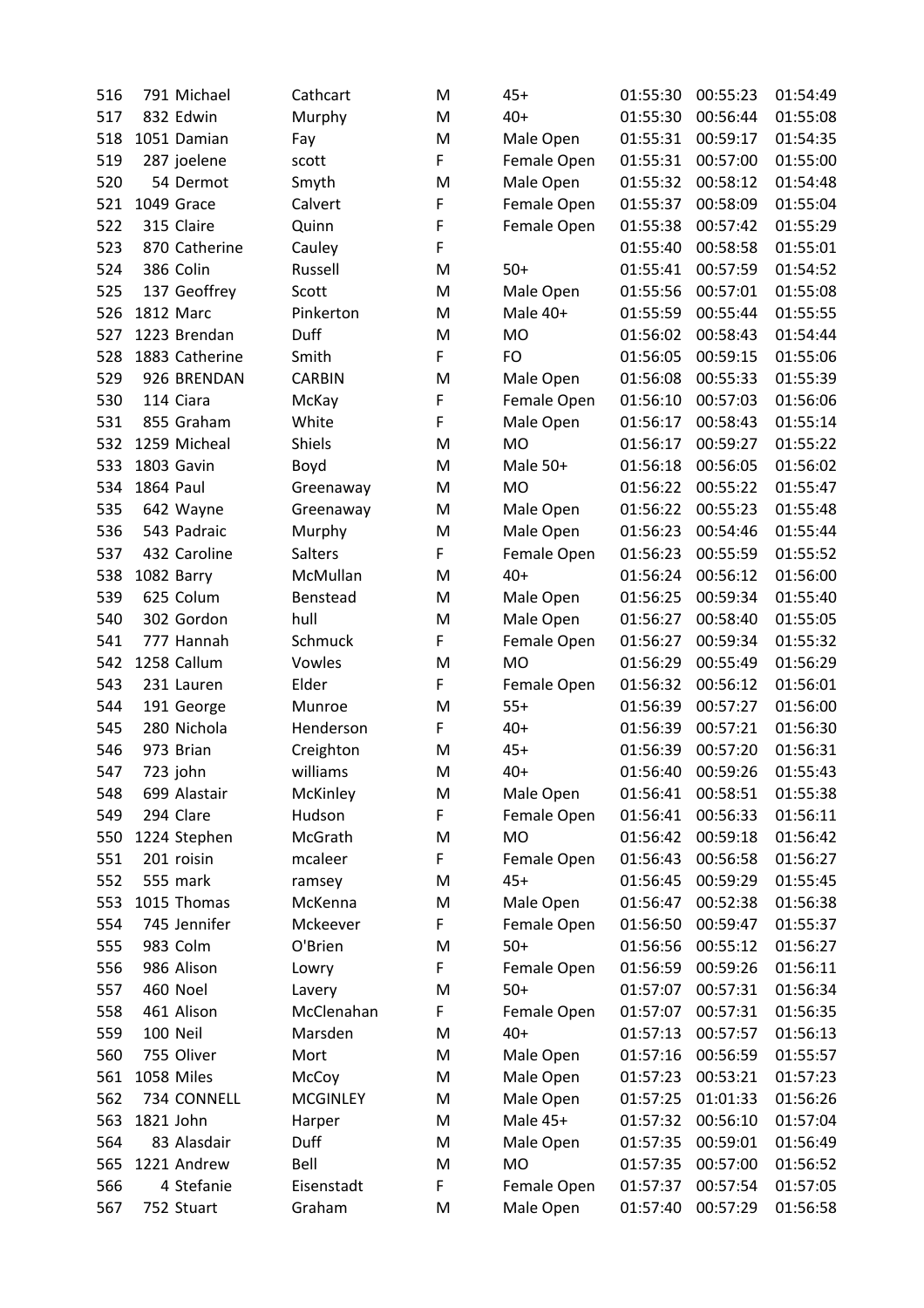| 516 | 791 Michael    | Cathcart        | M | $45+$       | 01:55:30 | 00:55:23 | 01:54:49 |
|-----|----------------|-----------------|---|-------------|----------|----------|----------|
| 517 | 832 Edwin      | Murphy          | M | $40+$       | 01:55:30 | 00:56:44 | 01:55:08 |
| 518 | 1051 Damian    | Fay             | M | Male Open   | 01:55:31 | 00:59:17 | 01:54:35 |
| 519 | 287 joelene    | scott           | F | Female Open | 01:55:31 | 00:57:00 | 01:55:00 |
| 520 | 54 Dermot      | Smyth           | M | Male Open   | 01:55:32 | 00:58:12 | 01:54:48 |
| 521 | 1049 Grace     | Calvert         | F | Female Open | 01:55:37 | 00:58:09 | 01:55:04 |
| 522 | 315 Claire     | Quinn           | F | Female Open | 01:55:38 | 00:57:42 | 01:55:29 |
| 523 | 870 Catherine  | Cauley          | F |             | 01:55:40 | 00:58:58 | 01:55:01 |
| 524 | 386 Colin      | Russell         | M | $50+$       | 01:55:41 | 00:57:59 | 01:54:52 |
| 525 | 137 Geoffrey   | Scott           | M | Male Open   | 01:55:56 | 00:57:01 | 01:55:08 |
| 526 | 1812 Marc      | Pinkerton       | M | Male 40+    | 01:55:59 | 00:55:44 | 01:55:55 |
| 527 | 1223 Brendan   | Duff            | M | <b>MO</b>   | 01:56:02 | 00:58:43 | 01:54:44 |
| 528 | 1883 Catherine | Smith           | F | <b>FO</b>   | 01:56:05 | 00:59:15 | 01:55:06 |
| 529 | 926 BRENDAN    | <b>CARBIN</b>   | M | Male Open   | 01:56:08 | 00:55:33 | 01:55:39 |
| 530 | 114 Ciara      | McKay           | F | Female Open | 01:56:10 | 00:57:03 | 01:56:06 |
| 531 | 855 Graham     | White           | F | Male Open   | 01:56:17 | 00:58:43 | 01:55:14 |
| 532 | 1259 Micheal   | <b>Shiels</b>   | M | <b>MO</b>   | 01:56:17 | 00:59:27 | 01:55:22 |
| 533 | 1803 Gavin     | Boyd            | M | Male 50+    | 01:56:18 | 00:56:05 | 01:56:02 |
| 534 | 1864 Paul      | Greenaway       | M | <b>MO</b>   | 01:56:22 | 00:55:22 | 01:55:47 |
| 535 | 642 Wayne      | Greenaway       | M | Male Open   | 01:56:22 | 00:55:23 | 01:55:48 |
| 536 | 543 Padraic    | Murphy          | M | Male Open   | 01:56:23 | 00:54:46 | 01:55:44 |
| 537 | 432 Caroline   | Salters         | F | Female Open | 01:56:23 | 00:55:59 | 01:55:52 |
| 538 | 1082 Barry     | McMullan        | M | $40+$       | 01:56:24 | 00:56:12 | 01:56:00 |
| 539 | 625 Colum      | Benstead        | M | Male Open   | 01:56:25 | 00:59:34 | 01:55:40 |
| 540 | 302 Gordon     | hull            | M | Male Open   | 01:56:27 | 00:58:40 | 01:55:05 |
| 541 | 777 Hannah     | Schmuck         | F | Female Open | 01:56:27 | 00:59:34 | 01:55:32 |
| 542 | 1258 Callum    | Vowles          | M | <b>MO</b>   | 01:56:29 | 00:55:49 | 01:56:29 |
| 543 | 231 Lauren     | Elder           | F | Female Open | 01:56:32 | 00:56:12 | 01:56:01 |
| 544 | 191 George     | Munroe          | M | $55+$       | 01:56:39 | 00:57:27 | 01:56:00 |
| 545 | 280 Nichola    | Henderson       | F | $40+$       | 01:56:39 | 00:57:21 | 01:56:30 |
| 546 | 973 Brian      | Creighton       | M | $45+$       | 01:56:39 | 00:57:20 | 01:56:31 |
| 547 | 723 john       | williams        | M | $40+$       | 01:56:40 | 00:59:26 | 01:55:43 |
| 548 | 699 Alastair   | McKinley        | M | Male Open   | 01:56:41 | 00:58:51 | 01:55:38 |
| 549 | 294 Clare      | Hudson          | F | Female Open | 01:56:41 | 00:56:33 | 01:56:11 |
| 550 | 1224 Stephen   | McGrath         | M | MO          | 01:56:42 | 00:59:18 | 01:56:42 |
| 551 | 201 roisin     | mcaleer         | F | Female Open | 01:56:43 | 00:56:58 | 01:56:27 |
| 552 | 555 mark       | ramsey          | M | $45+$       | 01:56:45 | 00:59:29 | 01:55:45 |
| 553 | 1015 Thomas    | McKenna         | M | Male Open   | 01:56:47 | 00:52:38 | 01:56:38 |
| 554 | 745 Jennifer   | Mckeever        | F | Female Open | 01:56:50 | 00:59:47 | 01:55:37 |
| 555 | 983 Colm       | O'Brien         | M | $50+$       | 01:56:56 | 00:55:12 | 01:56:27 |
| 556 | 986 Alison     | Lowry           | F | Female Open | 01:56:59 | 00:59:26 | 01:56:11 |
| 557 | 460 Noel       | Lavery          | M | $50+$       | 01:57:07 | 00:57:31 | 01:56:34 |
| 558 | 461 Alison     | McClenahan      | F | Female Open | 01:57:07 | 00:57:31 | 01:56:35 |
| 559 | 100 Neil       | Marsden         | M | $40+$       | 01:57:13 | 00:57:57 | 01:56:13 |
| 560 | 755 Oliver     | Mort            | M | Male Open   | 01:57:16 | 00:56:59 | 01:55:57 |
| 561 | 1058 Miles     | McCoy           | M | Male Open   | 01:57:23 | 00:53:21 | 01:57:23 |
| 562 | 734 CONNELL    | <b>MCGINLEY</b> | M | Male Open   | 01:57:25 | 01:01:33 | 01:56:26 |
| 563 | 1821 John      | Harper          | M | Male 45+    | 01:57:32 | 00:56:10 | 01:57:04 |
| 564 | 83 Alasdair    | Duff            | M | Male Open   | 01:57:35 | 00:59:01 | 01:56:49 |
| 565 | 1221 Andrew    | Bell            | M | MO          | 01:57:35 | 00:57:00 | 01:56:52 |
| 566 | 4 Stefanie     | Eisenstadt      | F | Female Open | 01:57:37 | 00:57:54 | 01:57:05 |
| 567 | 752 Stuart     | Graham          | M | Male Open   | 01:57:40 | 00:57:29 | 01:56:58 |
|     |                |                 |   |             |          |          |          |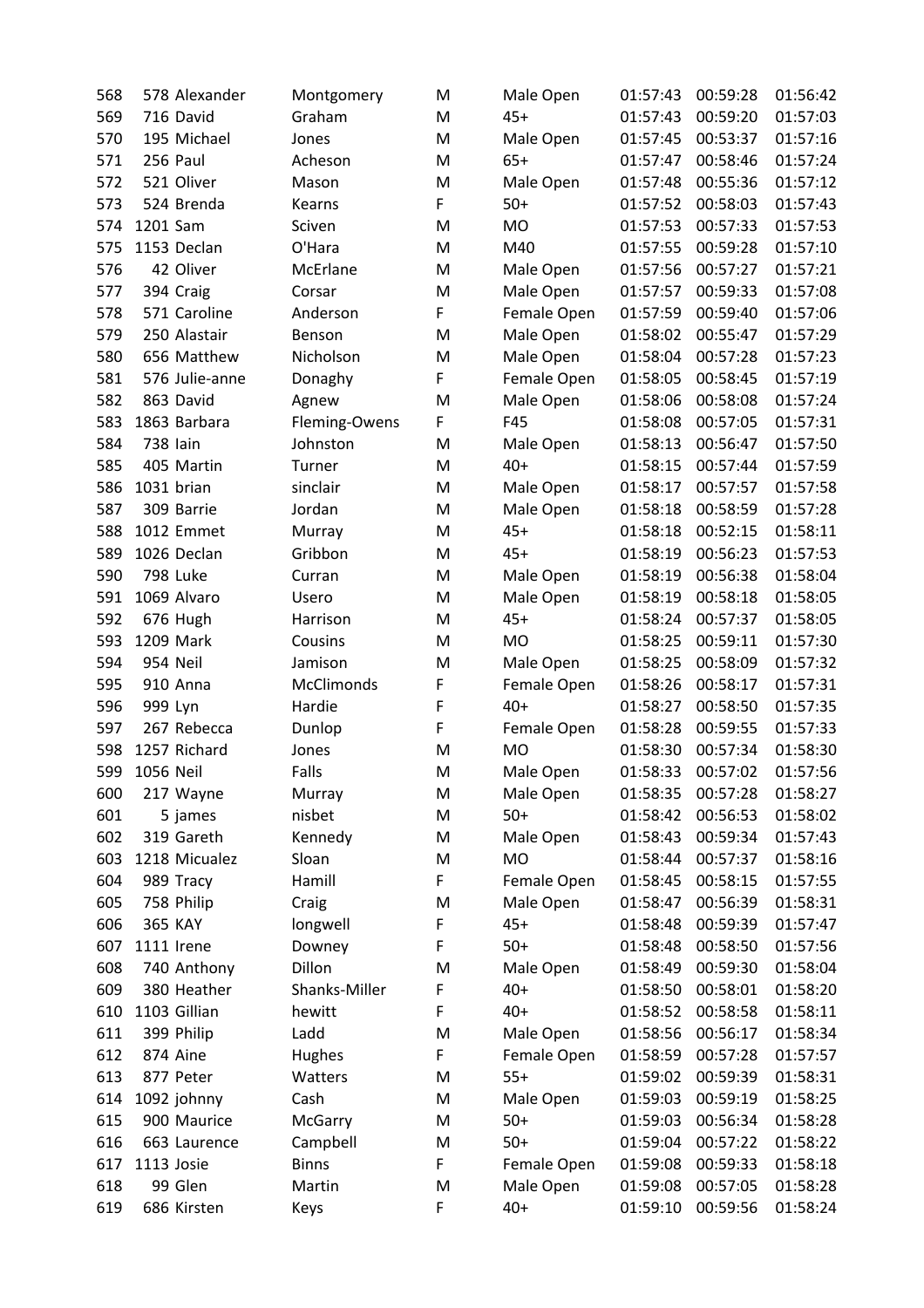| 568 | 578 Alexander     | Montgomery     | M      | Male Open          | 01:57:43 | 00:59:28 | 01:56:42             |
|-----|-------------------|----------------|--------|--------------------|----------|----------|----------------------|
| 569 | 716 David         | Graham         | M      | $45+$              | 01:57:43 | 00:59:20 | 01:57:03             |
| 570 | 195 Michael       | Jones          | M      | Male Open          | 01:57:45 | 00:53:37 | 01:57:16             |
| 571 | 256 Paul          | Acheson        | M      | $65+$              | 01:57:47 | 00:58:46 | 01:57:24             |
| 572 | 521 Oliver        | Mason          | M      | Male Open          | 01:57:48 | 00:55:36 | 01:57:12             |
| 573 | 524 Brenda        | Kearns         | F      | $50+$              | 01:57:52 | 00:58:03 | 01:57:43             |
| 574 | 1201 Sam          | Sciven         | M      | MO                 | 01:57:53 | 00:57:33 | 01:57:53             |
| 575 | 1153 Declan       | O'Hara         | M      | M40                | 01:57:55 | 00:59:28 | 01:57:10             |
| 576 | 42 Oliver         | McErlane       | M      | Male Open          | 01:57:56 | 00:57:27 | 01:57:21             |
| 577 | 394 Craig         | Corsar         | M      | Male Open          | 01:57:57 | 00:59:33 | 01:57:08             |
| 578 | 571 Caroline      | Anderson       | F      | Female Open        | 01:57:59 | 00:59:40 | 01:57:06             |
| 579 | 250 Alastair      | Benson         | M      | Male Open          | 01:58:02 | 00:55:47 | 01:57:29             |
| 580 | 656 Matthew       | Nicholson      | M      | Male Open          | 01:58:04 | 00:57:28 | 01:57:23             |
| 581 | 576 Julie-anne    | Donaghy        | F      | Female Open        | 01:58:05 | 00:58:45 | 01:57:19             |
| 582 | 863 David         | Agnew          | M      | Male Open          | 01:58:06 | 00:58:08 | 01:57:24             |
| 583 | 1863 Barbara      | Fleming-Owens  | F      | F45                | 01:58:08 | 00:57:05 | 01:57:31             |
| 584 | 738 lain          | Johnston       | M      | Male Open          | 01:58:13 | 00:56:47 | 01:57:50             |
| 585 | 405 Martin        | Turner         | M      | $40+$              | 01:58:15 | 00:57:44 | 01:57:59             |
| 586 | 1031 brian        | sinclair       | M      | Male Open          | 01:58:17 | 00:57:57 | 01:57:58             |
| 587 | 309 Barrie        | Jordan         | M      | Male Open          | 01:58:18 | 00:58:59 | 01:57:28             |
| 588 | 1012 Emmet        | Murray         | M      | $45+$              | 01:58:18 | 00:52:15 | 01:58:11             |
| 589 | 1026 Declan       | Gribbon        | M      | $45+$              | 01:58:19 | 00:56:23 | 01:57:53             |
| 590 | <b>798 Luke</b>   | Curran         | M      | Male Open          | 01:58:19 | 00:56:38 | 01:58:04             |
| 591 | 1069 Alvaro       | Usero          | M      | Male Open          | 01:58:19 | 00:58:18 | 01:58:05             |
| 592 | 676 Hugh          | Harrison       | M      | $45+$              | 01:58:24 | 00:57:37 | 01:58:05             |
| 593 | 1209 Mark         | Cousins        | M      | <b>MO</b>          | 01:58:25 | 00:59:11 | 01:57:30             |
| 594 | 954 Neil          | Jamison        | M      | Male Open          | 01:58:25 | 00:58:09 | 01:57:32             |
| 595 | 910 Anna          | McClimonds     | F      | Female Open        | 01:58:26 | 00:58:17 | 01:57:31             |
| 596 | 999 Lyn           | Hardie         | F      | $40+$              | 01:58:27 | 00:58:50 | 01:57:35             |
| 597 | 267 Rebecca       | Dunlop         | F      | Female Open        | 01:58:28 | 00:59:55 | 01:57:33             |
| 598 | 1257 Richard      | Jones          | M      | <b>MO</b>          | 01:58:30 | 00:57:34 | 01:58:30             |
| 599 | 1056 Neil         | Falls          | M      | Male Open          | 01:58:33 | 00:57:02 | 01:57:56             |
| 600 | 217 Wayne         | Murray         | M      | Male Open          | 01:58:35 | 00:57:28 | 01:58:27             |
| 601 | 5 james           | nisbet         | M      | $50+$              | 01:58:42 | 00:56:53 | 01:58:02             |
| 602 | 319 Gareth        | Kennedy        | M      | Male Open          | 01:58:43 | 00:59:34 | 01:57:43             |
| 603 | 1218 Micualez     | Sloan          | M      | MO                 | 01:58:44 | 00:57:37 | 01:58:16             |
| 604 | 989 Tracy         | Hamill         | F      | Female Open        | 01:58:45 | 00:58:15 | 01:57:55             |
| 605 | 758 Philip        | Craig          | M      | Male Open          | 01:58:47 | 00:56:39 | 01:58:31             |
| 606 | 365 KAY           | longwell       | F      | $45+$              | 01:58:48 | 00:59:39 |                      |
|     | <b>1111 Irene</b> | Downey         | F      | $50+$              |          | 00:58:50 | 01:57:47<br>01:57:56 |
| 607 |                   | Dillon         |        |                    | 01:58:48 | 00:59:30 | 01:58:04             |
| 608 | 740 Anthony       |                | M      | Male Open<br>$40+$ | 01:58:49 |          |                      |
| 609 | 380 Heather       | Shanks-Miller  | F<br>F | $40+$              | 01:58:50 | 00:58:01 | 01:58:20             |
| 610 | 1103 Gillian      | hewitt         |        |                    | 01:58:52 | 00:58:58 | 01:58:11             |
| 611 | 399 Philip        | Ladd           | M      | Male Open          | 01:58:56 | 00:56:17 | 01:58:34             |
| 612 | 874 Aine          | Hughes         | F      | Female Open        | 01:58:59 | 00:57:28 | 01:57:57             |
| 613 | 877 Peter         | Watters        | M      | $55+$              | 01:59:02 | 00:59:39 | 01:58:31             |
| 614 | 1092 johnny       | Cash           | M      | Male Open          | 01:59:03 | 00:59:19 | 01:58:25             |
| 615 | 900 Maurice       | <b>McGarry</b> | M      | $50+$              | 01:59:03 | 00:56:34 | 01:58:28             |
| 616 | 663 Laurence      | Campbell       | M      | $50+$              | 01:59:04 | 00:57:22 | 01:58:22             |
| 617 | 1113 Josie        | <b>Binns</b>   | F      | Female Open        | 01:59:08 | 00:59:33 | 01:58:18             |
| 618 | 99 Glen           | Martin         | M      | Male Open          | 01:59:08 | 00:57:05 | 01:58:28             |
| 619 | 686 Kirsten       | Keys           | F      | $40+$              | 01:59:10 | 00:59:56 | 01:58:24             |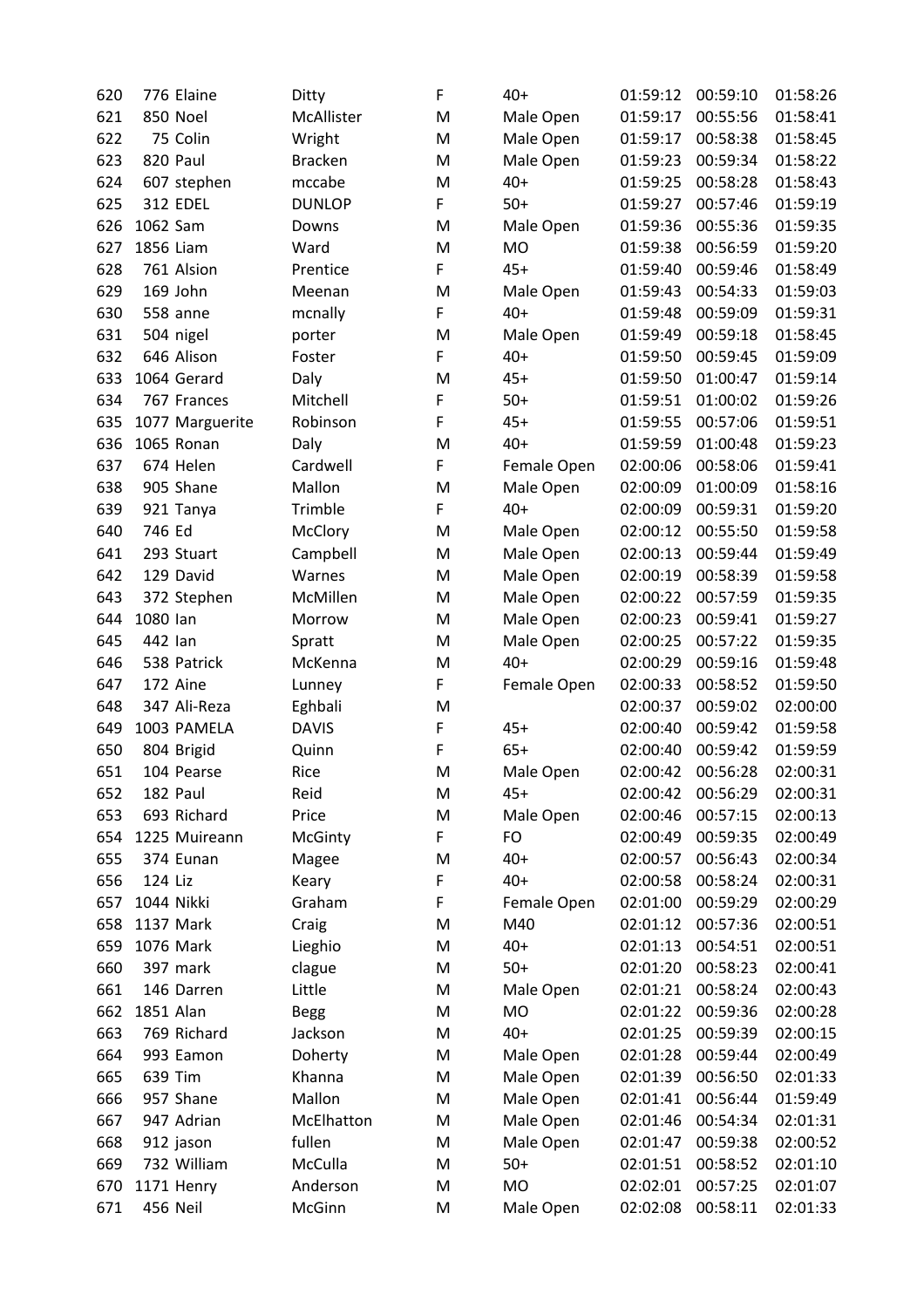| 620 | 776 Elaine      | Ditty          | F | $40+$       | 01:59:12 | 00:59:10 | 01:58:26 |
|-----|-----------------|----------------|---|-------------|----------|----------|----------|
| 621 | 850 Noel        | McAllister     | M | Male Open   | 01:59:17 | 00:55:56 | 01:58:41 |
| 622 | 75 Colin        | Wright         | M | Male Open   | 01:59:17 | 00:58:38 | 01:58:45 |
| 623 | 820 Paul        | <b>Bracken</b> | M | Male Open   | 01:59:23 | 00:59:34 | 01:58:22 |
| 624 | 607 stephen     | mccabe         | M | $40+$       | 01:59:25 | 00:58:28 | 01:58:43 |
| 625 | <b>312 EDEL</b> | <b>DUNLOP</b>  | F | $50+$       | 01:59:27 | 00:57:46 | 01:59:19 |
| 626 | 1062 Sam        | Downs          | M | Male Open   | 01:59:36 | 00:55:36 | 01:59:35 |
| 627 | 1856 Liam       | Ward           | M | MO          | 01:59:38 | 00:56:59 | 01:59:20 |
| 628 | 761 Alsion      | Prentice       | F | $45+$       | 01:59:40 | 00:59:46 | 01:58:49 |
| 629 | 169 John        | Meenan         | M | Male Open   | 01:59:43 | 00:54:33 | 01:59:03 |
| 630 | 558 anne        | mcnally        | F | $40+$       | 01:59:48 | 00:59:09 | 01:59:31 |
| 631 | 504 nigel       | porter         | M | Male Open   | 01:59:49 | 00:59:18 | 01:58:45 |
| 632 | 646 Alison      | Foster         | F | $40+$       | 01:59:50 | 00:59:45 | 01:59:09 |
| 633 | 1064 Gerard     | Daly           | M | $45+$       | 01:59:50 | 01:00:47 | 01:59:14 |
| 634 | 767 Frances     | Mitchell       | F | $50+$       | 01:59:51 | 01:00:02 | 01:59:26 |
| 635 | 1077 Marguerite | Robinson       | F | $45+$       | 01:59:55 | 00:57:06 | 01:59:51 |
| 636 | 1065 Ronan      | Daly           | M | $40+$       | 01:59:59 | 01:00:48 | 01:59:23 |
| 637 | 674 Helen       | Cardwell       | F | Female Open | 02:00:06 | 00:58:06 | 01:59:41 |
| 638 | 905 Shane       | Mallon         | M | Male Open   | 02:00:09 | 01:00:09 | 01:58:16 |
| 639 | 921 Tanya       | Trimble        | F | $40+$       | 02:00:09 | 00:59:31 | 01:59:20 |
| 640 | 746 Ed          | McClory        | M | Male Open   | 02:00:12 | 00:55:50 | 01:59:58 |
| 641 | 293 Stuart      | Campbell       | M | Male Open   | 02:00:13 | 00:59:44 | 01:59:49 |
| 642 | 129 David       | Warnes         | M | Male Open   | 02:00:19 | 00:58:39 | 01:59:58 |
| 643 | 372 Stephen     | McMillen       | M | Male Open   | 02:00:22 | 00:57:59 | 01:59:35 |
| 644 | 1080 lan        | Morrow         | M | Male Open   | 02:00:23 | 00:59:41 | 01:59:27 |
| 645 | 442 lan         | Spratt         | M | Male Open   | 02:00:25 | 00:57:22 | 01:59:35 |
| 646 | 538 Patrick     | McKenna        | M | $40+$       | 02:00:29 | 00:59:16 | 01:59:48 |
| 647 | 172 Aine        | Lunney         | F | Female Open | 02:00:33 | 00:58:52 | 01:59:50 |
| 648 | 347 Ali-Reza    | Eghbali        | M |             | 02:00:37 | 00:59:02 | 02:00:00 |
| 649 | 1003 PAMELA     | <b>DAVIS</b>   | F | $45+$       | 02:00:40 | 00:59:42 | 01:59:58 |
| 650 | 804 Brigid      | Quinn          | F | $65+$       | 02:00:40 | 00:59:42 | 01:59:59 |
| 651 | 104 Pearse      | Rice           | M | Male Open   | 02:00:42 | 00:56:28 | 02:00:31 |
| 652 | 182 Paul        | Reid           | M | $45+$       | 02:00:42 | 00:56:29 | 02:00:31 |
| 653 | 693 Richard     | Price          | M | Male Open   | 02:00:46 | 00:57:15 | 02:00:13 |
| 654 | 1225 Muireann   | McGinty        | F | FO          | 02:00:49 | 00:59:35 | 02:00:49 |
| 655 | 374 Eunan       | Magee          | M | $40+$       | 02:00:57 | 00:56:43 | 02:00:34 |
| 656 | 124 Liz         | Keary          | F | $40+$       | 02:00:58 | 00:58:24 | 02:00:31 |
| 657 | 1044 Nikki      | Graham         | F | Female Open | 02:01:00 | 00:59:29 | 02:00:29 |
| 658 | 1137 Mark       | Craig          | M | M40         | 02:01:12 | 00:57:36 | 02:00:51 |
| 659 | 1076 Mark       | Lieghio        | M | $40+$       | 02:01:13 | 00:54:51 | 02:00:51 |
| 660 | 397 mark        | clague         | M | $50+$       | 02:01:20 | 00:58:23 | 02:00:41 |
| 661 | 146 Darren      | Little         | M | Male Open   | 02:01:21 | 00:58:24 | 02:00:43 |
| 662 | 1851 Alan       | <b>Begg</b>    | M | MO          | 02:01:22 | 00:59:36 | 02:00:28 |
| 663 | 769 Richard     | Jackson        | M | $40+$       | 02:01:25 | 00:59:39 | 02:00:15 |
| 664 | 993 Eamon       | Doherty        | M | Male Open   | 02:01:28 | 00:59:44 | 02:00:49 |
| 665 | 639 Tim         | Khanna         | M | Male Open   | 02:01:39 | 00:56:50 | 02:01:33 |
| 666 | 957 Shane       | Mallon         | M | Male Open   | 02:01:41 | 00:56:44 | 01:59:49 |
| 667 | 947 Adrian      | McElhatton     | M | Male Open   | 02:01:46 | 00:54:34 | 02:01:31 |
| 668 | 912 jason       | fullen         | M | Male Open   | 02:01:47 | 00:59:38 | 02:00:52 |
| 669 | 732 William     | McCulla        | M | $50+$       | 02:01:51 | 00:58:52 | 02:01:10 |
| 670 | 1171 Henry      | Anderson       | M | MO          | 02:02:01 | 00:57:25 | 02:01:07 |
| 671 | 456 Neil        | McGinn         | M | Male Open   | 02:02:08 | 00:58:11 | 02:01:33 |
|     |                 |                |   |             |          |          |          |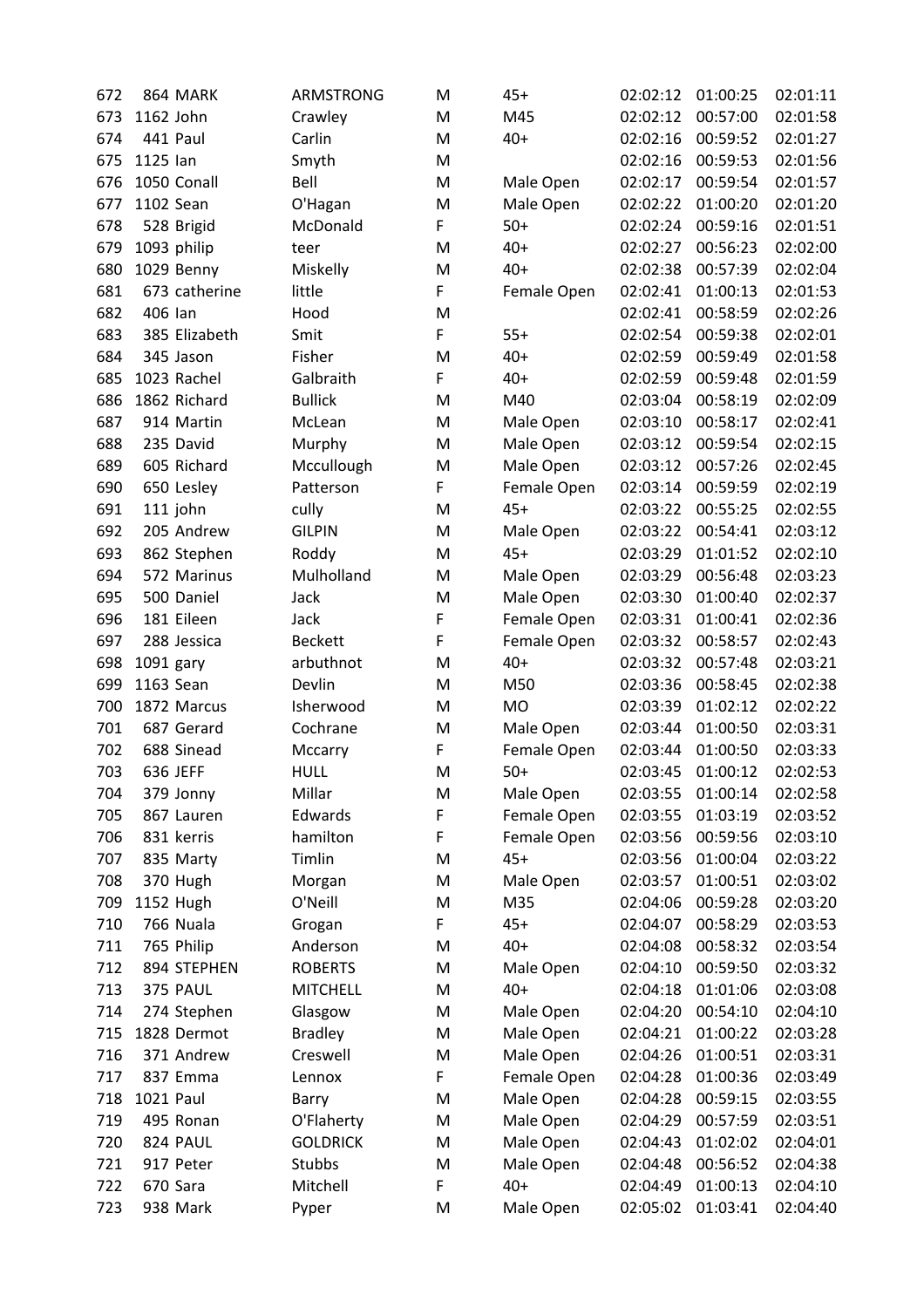| 672 | 864 MARK         | ARMSTRONG       | M | $45+$       | 02:02:12 | 01:00:25 | 02:01:11 |
|-----|------------------|-----------------|---|-------------|----------|----------|----------|
| 673 | 1162 John        | Crawley         | M | M45         | 02:02:12 | 00:57:00 | 02:01:58 |
| 674 | 441 Paul         | Carlin          | M | $40+$       | 02:02:16 | 00:59:52 | 02:01:27 |
| 675 | 1125 lan         | Smyth           | M |             | 02:02:16 | 00:59:53 | 02:01:56 |
| 676 | 1050 Conall      | Bell            | M | Male Open   | 02:02:17 | 00:59:54 | 02:01:57 |
| 677 | 1102 Sean        | O'Hagan         | M | Male Open   | 02:02:22 | 01:00:20 | 02:01:20 |
| 678 | 528 Brigid       | McDonald        | F | $50+$       | 02:02:24 | 00:59:16 | 02:01:51 |
| 679 | 1093 philip      | teer            | M | $40+$       | 02:02:27 | 00:56:23 | 02:02:00 |
| 680 | 1029 Benny       | Miskelly        | M | $40+$       | 02:02:38 | 00:57:39 | 02:02:04 |
| 681 | 673 catherine    | little          | F | Female Open | 02:02:41 | 01:00:13 | 02:01:53 |
| 682 | 406 lan          | Hood            | M |             | 02:02:41 | 00:58:59 | 02:02:26 |
| 683 | 385 Elizabeth    | Smit            | F | $55+$       | 02:02:54 | 00:59:38 | 02:02:01 |
| 684 | 345 Jason        | Fisher          | M | $40+$       | 02:02:59 | 00:59:49 | 02:01:58 |
| 685 | 1023 Rachel      | Galbraith       | F | $40+$       | 02:02:59 | 00:59:48 | 02:01:59 |
| 686 | 1862 Richard     | <b>Bullick</b>  | M | M40         | 02:03:04 | 00:58:19 | 02:02:09 |
| 687 | 914 Martin       | McLean          | M | Male Open   | 02:03:10 | 00:58:17 | 02:02:41 |
| 688 | 235 David        | Murphy          | M | Male Open   | 02:03:12 | 00:59:54 | 02:02:15 |
| 689 | 605 Richard      | Mccullough      | M | Male Open   | 02:03:12 | 00:57:26 | 02:02:45 |
| 690 | 650 Lesley       | Patterson       | F | Female Open | 02:03:14 | 00:59:59 | 02:02:19 |
| 691 | 111 john         | cully           | M | $45+$       | 02:03:22 | 00:55:25 | 02:02:55 |
| 692 | 205 Andrew       | <b>GILPIN</b>   | M | Male Open   | 02:03:22 | 00:54:41 | 02:03:12 |
| 693 | 862 Stephen      | Roddy           | M | $45+$       | 02:03:29 | 01:01:52 | 02:02:10 |
| 694 | 572 Marinus      | Mulholland      | M | Male Open   | 02:03:29 | 00:56:48 | 02:03:23 |
| 695 | 500 Daniel       | Jack            | M | Male Open   | 02:03:30 | 01:00:40 | 02:02:37 |
| 696 | 181 Eileen       | Jack            | F | Female Open | 02:03:31 | 01:00:41 | 02:02:36 |
| 697 | 288 Jessica      | <b>Beckett</b>  | F | Female Open | 02:03:32 | 00:58:57 | 02:02:43 |
| 698 | 1091 gary        | arbuthnot       | M | $40+$       | 02:03:32 | 00:57:48 | 02:03:21 |
| 699 | 1163 Sean        | Devlin          | M | M50         | 02:03:36 | 00:58:45 | 02:02:38 |
| 700 | 1872 Marcus      | Isherwood       | M | <b>MO</b>   | 02:03:39 | 01:02:12 | 02:02:22 |
| 701 | 687 Gerard       | Cochrane        | M | Male Open   | 02:03:44 | 01:00:50 | 02:03:31 |
| 702 | 688 Sinead       | Mccarry         | F | Female Open | 02:03:44 | 01:00:50 | 02:03:33 |
| 703 | 636 JEFF         | <b>HULL</b>     | M | $50+$       | 02:03:45 | 01:00:12 | 02:02:53 |
| 704 | 379 Jonny        | Millar          | M | Male Open   | 02:03:55 | 01:00:14 | 02:02:58 |
| 705 | 867 Lauren       | Edwards         | F | Female Open | 02:03:55 | 01:03:19 | 02:03:52 |
| 706 | 831 kerris       | hamilton        | F | Female Open | 02:03:56 | 00:59:56 | 02:03:10 |
| 707 | 835 Marty        | Timlin          | M | $45+$       | 02:03:56 | 01:00:04 | 02:03:22 |
| 708 | 370 Hugh         | Morgan          | M | Male Open   | 02:03:57 | 01:00:51 | 02:03:02 |
| 709 | 1152 Hugh        | O'Neill         | M | M35         | 02:04:06 | 00:59:28 | 02:03:20 |
| 710 | 766 Nuala        | Grogan          | F | $45+$       | 02:04:07 | 00:58:29 | 02:03:53 |
| 711 | 765 Philip       | Anderson        | M | $40+$       | 02:04:08 | 00:58:32 | 02:03:54 |
| 712 | 894 STEPHEN      | <b>ROBERTS</b>  | M | Male Open   | 02:04:10 | 00:59:50 | 02:03:32 |
| 713 | 375 PAUL         | <b>MITCHELL</b> | M | $40+$       | 02:04:18 | 01:01:06 | 02:03:08 |
| 714 | 274 Stephen      | Glasgow         | M | Male Open   | 02:04:20 | 00:54:10 | 02:04:10 |
| 715 | 1828 Dermot      | <b>Bradley</b>  | M | Male Open   | 02:04:21 | 01:00:22 | 02:03:28 |
| 716 | 371 Andrew       | Creswell        | M | Male Open   | 02:04:26 | 01:00:51 | 02:03:31 |
| 717 | 837 Emma         | Lennox          | F | Female Open | 02:04:28 | 01:00:36 | 02:03:49 |
| 718 | <b>1021 Paul</b> | Barry           | M | Male Open   | 02:04:28 | 00:59:15 | 02:03:55 |
| 719 | 495 Ronan        | O'Flaherty      | M | Male Open   | 02:04:29 | 00:57:59 | 02:03:51 |
| 720 | 824 PAUL         | <b>GOLDRICK</b> | M | Male Open   | 02:04:43 | 01:02:02 | 02:04:01 |
| 721 | 917 Peter        | Stubbs          | M | Male Open   | 02:04:48 | 00:56:52 | 02:04:38 |
|     |                  |                 | F |             |          | 01:00:13 |          |
| 722 | 670 Sara         | Mitchell        |   | $40+$       | 02:04:49 |          | 02:04:10 |
| 723 | 938 Mark         | Pyper           | M | Male Open   | 02:05:02 | 01:03:41 | 02:04:40 |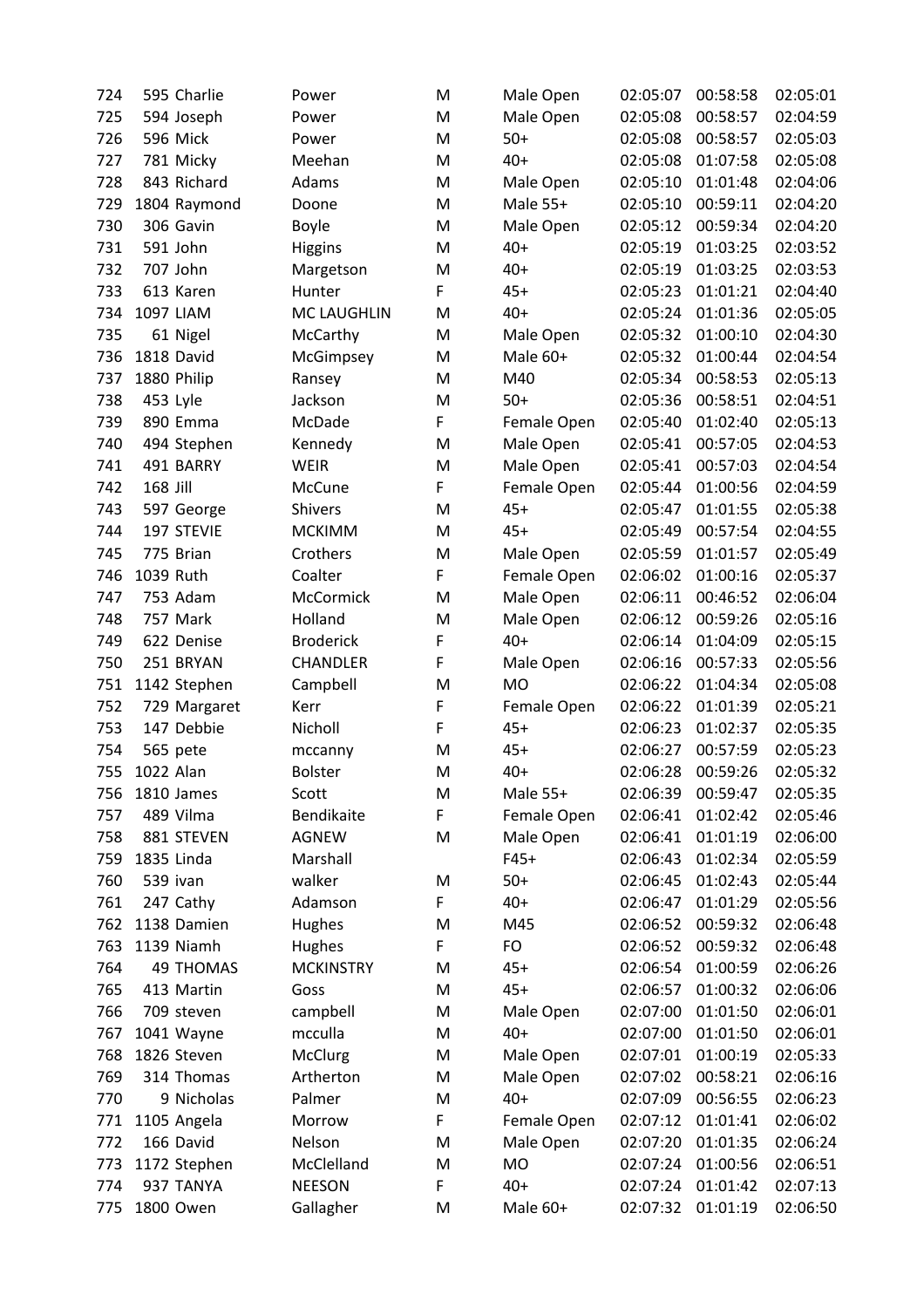| 724 | 595 Charlie           | Power              | M | Male Open   | 02:05:07 | 00:58:58             | 02:05:01 |
|-----|-----------------------|--------------------|---|-------------|----------|----------------------|----------|
| 725 | 594 Joseph            | Power              | M | Male Open   | 02:05:08 | 00:58:57             | 02:04:59 |
| 726 | 596 Mick              | Power              | M | $50+$       | 02:05:08 | 00:58:57             | 02:05:03 |
| 727 | 781 Micky             | Meehan             | M | $40+$       | 02:05:08 | 01:07:58             | 02:05:08 |
| 728 | 843 Richard           | Adams              | M | Male Open   | 02:05:10 | 01:01:48             | 02:04:06 |
| 729 | 1804 Raymond          | Doone              | M | Male 55+    | 02:05:10 | 00:59:11             | 02:04:20 |
| 730 | 306 Gavin             | <b>Boyle</b>       | M | Male Open   | 02:05:12 | 00:59:34             | 02:04:20 |
| 731 | 591 John              | <b>Higgins</b>     | M | $40+$       | 02:05:19 | 01:03:25             | 02:03:52 |
| 732 | 707 John              | Margetson          | M | $40+$       | 02:05:19 | 01:03:25             | 02:03:53 |
| 733 | 613 Karen             | Hunter             | F | $45+$       | 02:05:23 | 01:01:21             | 02:04:40 |
| 734 | 1097 LIAM             | <b>MC LAUGHLIN</b> | M | $40+$       | 02:05:24 | 01:01:36             | 02:05:05 |
| 735 | 61 Nigel              | McCarthy           | M | Male Open   | 02:05:32 | 01:00:10             | 02:04:30 |
| 736 | 1818 David            | McGimpsey          | M | Male 60+    | 02:05:32 | 01:00:44             | 02:04:54 |
| 737 | 1880 Philip           | Ransey             | M | M40         | 02:05:34 | 00:58:53             | 02:05:13 |
| 738 | 453 Lyle              | Jackson            | M | $50+$       | 02:05:36 | 00:58:51             | 02:04:51 |
| 739 | 890 Emma              | McDade             | F | Female Open | 02:05:40 | 01:02:40             | 02:05:13 |
| 740 | 494 Stephen           | Kennedy            | M | Male Open   | 02:05:41 | 00:57:05             | 02:04:53 |
| 741 | 491 BARRY             | <b>WEIR</b>        | M | Male Open   | 02:05:41 | 00:57:03             | 02:04:54 |
| 742 | 168 Jill              | McCune             | F | Female Open | 02:05:44 | 01:00:56             | 02:04:59 |
| 743 | 597 George            | <b>Shivers</b>     | M | $45+$       | 02:05:47 | 01:01:55             | 02:05:38 |
| 744 | 197 STEVIE            | <b>MCKIMM</b>      | M | $45+$       | 02:05:49 | 00:57:54             | 02:04:55 |
| 745 | 775 Brian             | Crothers           | M | Male Open   | 02:05:59 | 01:01:57             | 02:05:49 |
| 746 | 1039 Ruth             | Coalter            | F | Female Open | 02:06:02 | 01:00:16             | 02:05:37 |
| 747 | 753 Adam              | McCormick          | M | Male Open   | 02:06:11 | 00:46:52             | 02:06:04 |
| 748 | 757 Mark              | Holland            | M | Male Open   | 02:06:12 | 00:59:26             | 02:05:16 |
| 749 | 622 Denise            | <b>Broderick</b>   | F | $40+$       | 02:06:14 | 01:04:09             | 02:05:15 |
| 750 | 251 BRYAN             | <b>CHANDLER</b>    | F | Male Open   | 02:06:16 | 00:57:33             | 02:05:56 |
| 751 | 1142 Stephen          | Campbell           | M | <b>MO</b>   | 02:06:22 | 01:04:34             | 02:05:08 |
| 752 | 729 Margaret          | Kerr               | F | Female Open | 02:06:22 | 01:01:39             | 02:05:21 |
| 753 | 147 Debbie            | Nicholl            | F | $45+$       | 02:06:23 | 01:02:37             | 02:05:35 |
|     |                       |                    | M | $45+$       |          |                      |          |
| 754 | 565 pete<br>1022 Alan | mccanny            |   | $40+$       | 02:06:27 | 00:57:59<br>00:59:26 | 02:05:23 |
| 755 |                       | <b>Bolster</b>     | M |             | 02:06:28 |                      | 02:05:32 |
| 756 | 1810 James            | Scott              | M | Male 55+    | 02:06:39 | 00:59:47             | 02:05:35 |
| 757 | 489 Vilma             | Bendikaite         | F | Female Open | 02:06:41 | 01:02:42             | 02:05:46 |
| 758 | 881 STEVEN            | AGNEW              | M | Male Open   | 02:06:41 | 01:01:19             | 02:06:00 |
| 759 | 1835 Linda            | Marshall           |   | $F45+$      | 02:06:43 | 01:02:34             | 02:05:59 |
| 760 | 539 ivan              | walker             | M | $50+$       | 02:06:45 | 01:02:43             | 02:05:44 |
| 761 | 247 Cathy             | Adamson            | F | $40+$       | 02:06:47 | 01:01:29             | 02:05:56 |
| 762 | 1138 Damien           | Hughes             | M | M45         | 02:06:52 | 00:59:32             | 02:06:48 |
| 763 | 1139 Niamh            | Hughes             | F | FO          | 02:06:52 | 00:59:32             | 02:06:48 |
| 764 | <b>49 THOMAS</b>      | <b>MCKINSTRY</b>   | M | $45+$       | 02:06:54 | 01:00:59             | 02:06:26 |
| 765 | 413 Martin            | Goss               | M | $45+$       | 02:06:57 | 01:00:32             | 02:06:06 |
| 766 | 709 steven            | campbell           | M | Male Open   | 02:07:00 | 01:01:50             | 02:06:01 |
| 767 | 1041 Wayne            | mcculla            | M | $40+$       | 02:07:00 | 01:01:50             | 02:06:01 |
| 768 | 1826 Steven           | McClurg            | M | Male Open   | 02:07:01 | 01:00:19             | 02:05:33 |
| 769 | 314 Thomas            | Artherton          | M | Male Open   | 02:07:02 | 00:58:21             | 02:06:16 |
| 770 | 9 Nicholas            | Palmer             | M | $40+$       | 02:07:09 | 00:56:55             | 02:06:23 |
| 771 | 1105 Angela           | Morrow             | F | Female Open | 02:07:12 | 01:01:41             | 02:06:02 |
| 772 | 166 David             | Nelson             | M | Male Open   | 02:07:20 | 01:01:35             | 02:06:24 |
| 773 | 1172 Stephen          | McClelland         | M | MO          | 02:07:24 | 01:00:56             | 02:06:51 |
| 774 | 937 TANYA             | <b>NEESON</b>      | F | $40+$       | 02:07:24 | 01:01:42             | 02:07:13 |
| 775 | 1800 Owen             | Gallagher          | M | Male 60+    | 02:07:32 | 01:01:19             | 02:06:50 |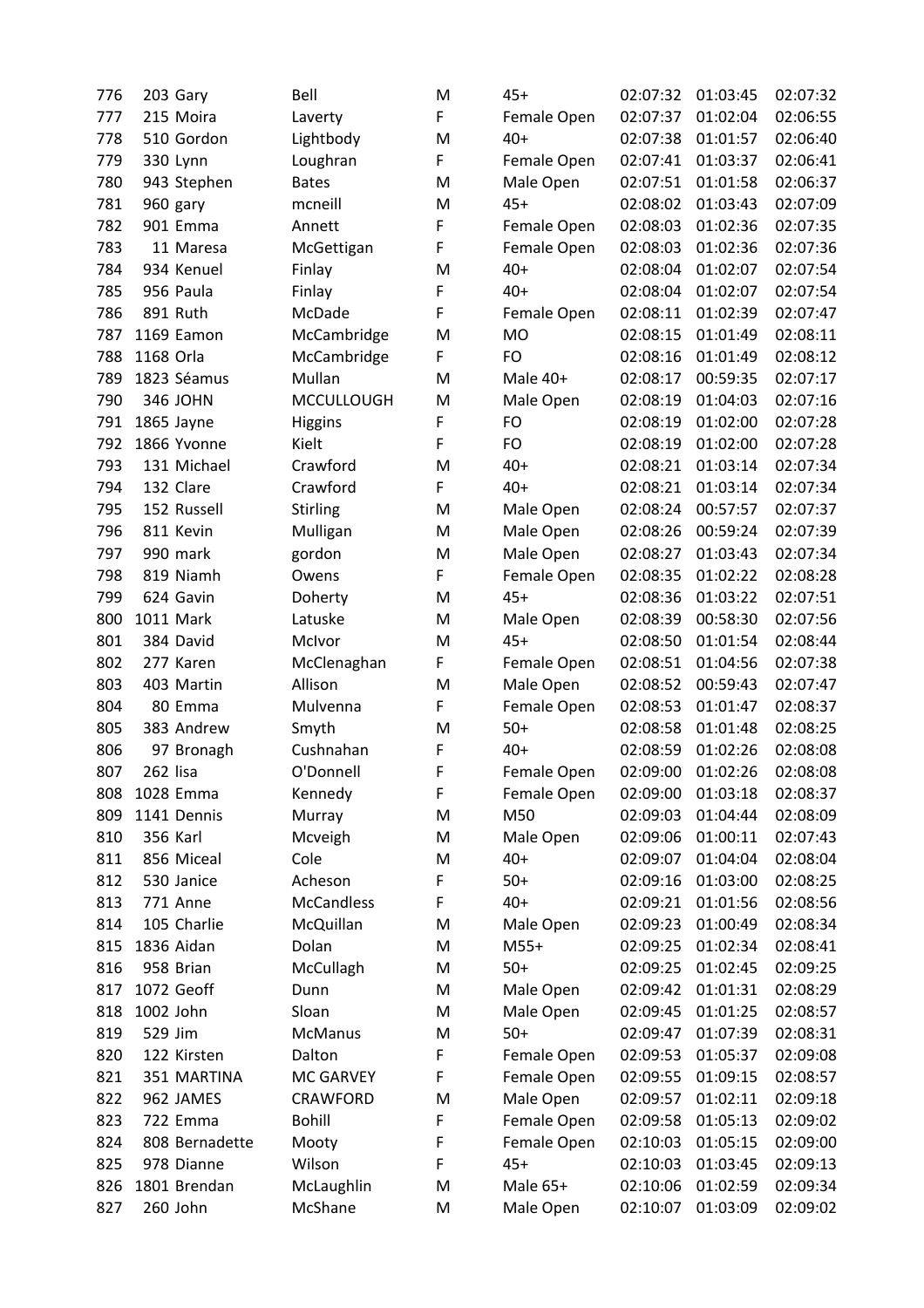| 776 | 203 Gary        | Bell              | M | $45+$       | 02:07:32 | 01:03:45 | 02:07:32 |
|-----|-----------------|-------------------|---|-------------|----------|----------|----------|
| 777 | 215 Moira       | Laverty           | F | Female Open | 02:07:37 | 01:02:04 | 02:06:55 |
| 778 | 510 Gordon      | Lightbody         | M | $40+$       | 02:07:38 | 01:01:57 | 02:06:40 |
| 779 | 330 Lynn        | Loughran          | F | Female Open | 02:07:41 | 01:03:37 | 02:06:41 |
| 780 | 943 Stephen     | <b>Bates</b>      | M | Male Open   | 02:07:51 | 01:01:58 | 02:06:37 |
| 781 | 960 gary        | mcneill           | M | $45+$       | 02:08:02 | 01:03:43 | 02:07:09 |
| 782 | 901 Emma        | Annett            | F | Female Open | 02:08:03 | 01:02:36 | 02:07:35 |
| 783 | 11 Maresa       | McGettigan        | F | Female Open | 02:08:03 | 01:02:36 | 02:07:36 |
| 784 | 934 Kenuel      | Finlay            | M | $40+$       | 02:08:04 | 01:02:07 | 02:07:54 |
| 785 | 956 Paula       | Finlay            | F | $40+$       | 02:08:04 | 01:02:07 | 02:07:54 |
| 786 | 891 Ruth        | McDade            | F | Female Open | 02:08:11 | 01:02:39 | 02:07:47 |
| 787 | 1169 Eamon      | McCambridge       | M | <b>MO</b>   | 02:08:15 | 01:01:49 | 02:08:11 |
| 788 | 1168 Orla       | McCambridge       | F | FO          | 02:08:16 | 01:01:49 | 02:08:12 |
| 789 | 1823 Séamus     | Mullan            | M | Male 40+    | 02:08:17 | 00:59:35 | 02:07:17 |
| 790 | 346 JOHN        | <b>MCCULLOUGH</b> | M | Male Open   | 02:08:19 | 01:04:03 | 02:07:16 |
| 791 | 1865 Jayne      | <b>Higgins</b>    | F | FO          | 02:08:19 | 01:02:00 | 02:07:28 |
| 792 | 1866 Yvonne     | Kielt             | F | FO          | 02:08:19 | 01:02:00 | 02:07:28 |
| 793 | 131 Michael     | Crawford          | M | $40+$       | 02:08:21 | 01:03:14 | 02:07:34 |
| 794 | 132 Clare       | Crawford          | F | $40+$       | 02:08:21 | 01:03:14 | 02:07:34 |
| 795 | 152 Russell     | <b>Stirling</b>   | M | Male Open   | 02:08:24 | 00:57:57 | 02:07:37 |
| 796 | 811 Kevin       | Mulligan          | M | Male Open   | 02:08:26 | 00:59:24 | 02:07:39 |
| 797 | 990 mark        | gordon            | M | Male Open   | 02:08:27 | 01:03:43 | 02:07:34 |
| 798 | 819 Niamh       | Owens             | F | Female Open | 02:08:35 | 01:02:22 | 02:08:28 |
| 799 | 624 Gavin       | Doherty           | M | $45+$       | 02:08:36 | 01:03:22 | 02:07:51 |
| 800 | 1011 Mark       | Latuske           | M | Male Open   | 02:08:39 | 00:58:30 | 02:07:56 |
| 801 | 384 David       | McIvor            | M | $45+$       | 02:08:50 | 01:01:54 | 02:08:44 |
| 802 | 277 Karen       | McClenaghan       | F | Female Open | 02:08:51 | 01:04:56 | 02:07:38 |
| 803 | 403 Martin      | Allison           | M | Male Open   | 02:08:52 | 00:59:43 | 02:07:47 |
| 804 | 80 Emma         | Mulvenna          | F | Female Open | 02:08:53 | 01:01:47 | 02:08:37 |
| 805 | 383 Andrew      | Smyth             | M | $50+$       | 02:08:58 | 01:01:48 | 02:08:25 |
| 806 | 97 Bronagh      | Cushnahan         | F | $40+$       | 02:08:59 | 01:02:26 | 02:08:08 |
| 807 | 262 lisa        | O'Donnell         | F | Female Open | 02:09:00 | 01:02:26 | 02:08:08 |
| 808 | 1028 Emma       | Kennedy           | F | Female Open | 02:09:00 | 01:03:18 | 02:08:37 |
| 809 | 1141 Dennis     | Murray            | M | M50         | 02:09:03 | 01:04:44 | 02:08:09 |
| 810 | 356 Karl        | Mcveigh           | M | Male Open   | 02:09:06 | 01:00:11 | 02:07:43 |
| 811 | 856 Miceal      | Cole              | M | $40+$       | 02:09:07 | 01:04:04 | 02:08:04 |
| 812 | 530 Janice      | Acheson           | F | $50+$       | 02:09:16 | 01:03:00 | 02:08:25 |
| 813 | <b>771 Anne</b> | <b>McCandless</b> | F | $40+$       | 02:09:21 | 01:01:56 | 02:08:56 |
| 814 | 105 Charlie     | McQuillan         | M | Male Open   | 02:09:23 | 01:00:49 | 02:08:34 |
| 815 | 1836 Aidan      | Dolan             | M | $M55+$      | 02:09:25 | 01:02:34 | 02:08:41 |
| 816 | 958 Brian       | McCullagh         | M | $50+$       | 02:09:25 | 01:02:45 | 02:09:25 |
| 817 | 1072 Geoff      | Dunn              | M | Male Open   | 02:09:42 | 01:01:31 | 02:08:29 |
| 818 | 1002 John       | Sloan             | M | Male Open   | 02:09:45 | 01:01:25 | 02:08:57 |
| 819 | 529 Jim         | <b>McManus</b>    | M | $50+$       | 02:09:47 | 01:07:39 | 02:08:31 |
| 820 | 122 Kirsten     | Dalton            | F | Female Open | 02:09:53 | 01:05:37 | 02:09:08 |
| 821 | 351 MARTINA     | MC GARVEY         | F | Female Open | 02:09:55 | 01:09:15 | 02:08:57 |
| 822 | 962 JAMES       | CRAWFORD          | M | Male Open   | 02:09:57 | 01:02:11 | 02:09:18 |
| 823 | 722 Emma        | <b>Bohill</b>     | F | Female Open | 02:09:58 | 01:05:13 | 02:09:02 |
| 824 | 808 Bernadette  | Mooty             | F | Female Open | 02:10:03 | 01:05:15 | 02:09:00 |
| 825 | 978 Dianne      | Wilson            | F | $45+$       | 02:10:03 | 01:03:45 | 02:09:13 |
| 826 | 1801 Brendan    | McLaughlin        | M | Male 65+    | 02:10:06 | 01:02:59 | 02:09:34 |
| 827 | 260 John        | McShane           | M | Male Open   | 02:10:07 | 01:03:09 | 02:09:02 |
|     |                 |                   |   |             |          |          |          |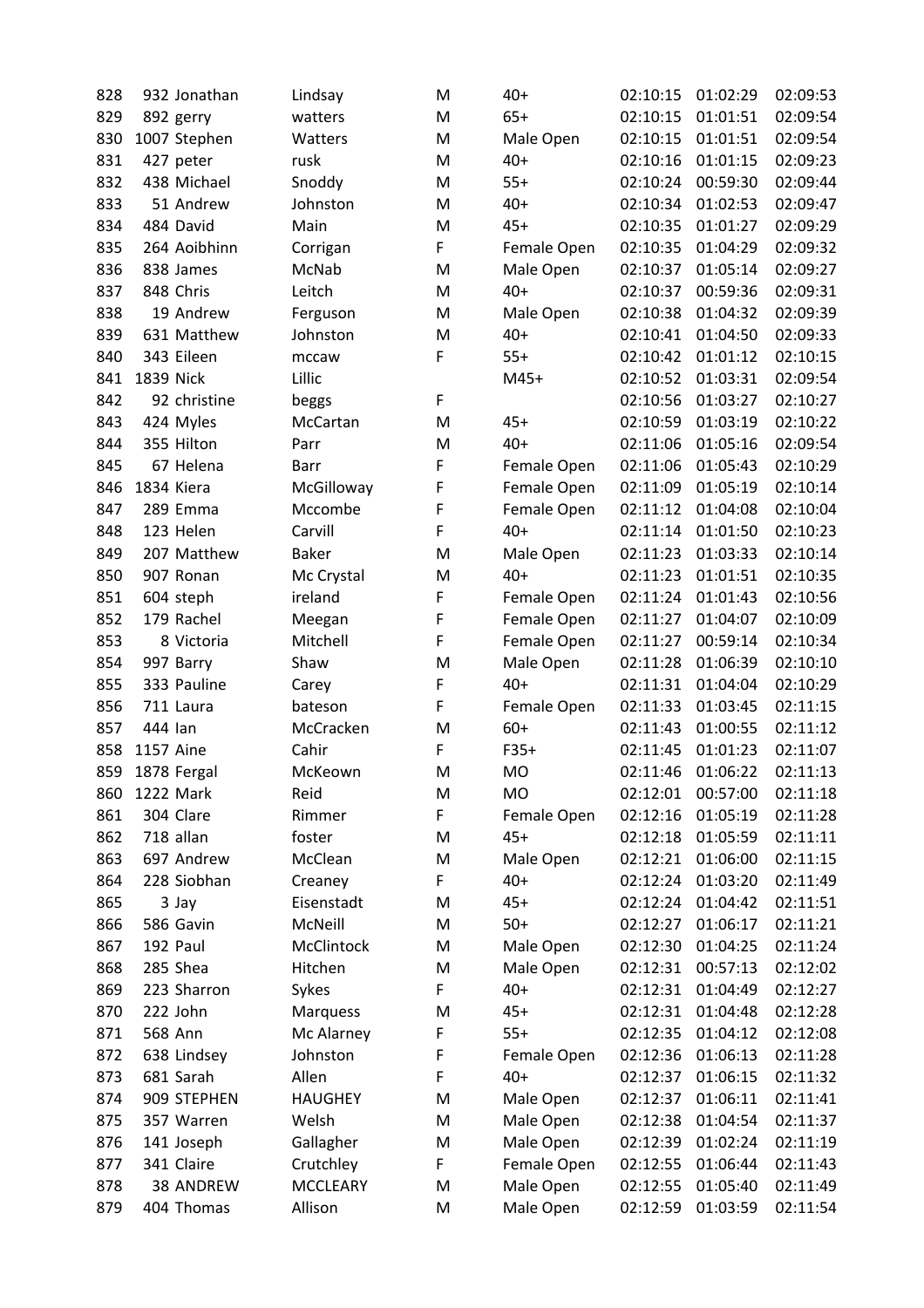| 828 | 932 Jonathan     | Lindsay         | M | $40+$       | 02:10:15 | 01:02:29 | 02:09:53 |
|-----|------------------|-----------------|---|-------------|----------|----------|----------|
| 829 | 892 gerry        | watters         | M | $65+$       | 02:10:15 | 01:01:51 | 02:09:54 |
| 830 | 1007 Stephen     | Watters         | M | Male Open   | 02:10:15 | 01:01:51 | 02:09:54 |
| 831 | 427 peter        | rusk            | M | $40+$       | 02:10:16 | 01:01:15 | 02:09:23 |
| 832 | 438 Michael      | Snoddy          | M | $55+$       | 02:10:24 | 00:59:30 | 02:09:44 |
| 833 | 51 Andrew        | Johnston        | M | $40+$       | 02:10:34 | 01:02:53 | 02:09:47 |
| 834 | 484 David        | Main            | M | $45+$       | 02:10:35 | 01:01:27 | 02:09:29 |
| 835 | 264 Aoibhinn     | Corrigan        | F | Female Open | 02:10:35 | 01:04:29 | 02:09:32 |
| 836 | 838 James        | McNab           | M | Male Open   | 02:10:37 | 01:05:14 | 02:09:27 |
| 837 | 848 Chris        | Leitch          | M | $40+$       | 02:10:37 | 00:59:36 | 02:09:31 |
| 838 | 19 Andrew        | Ferguson        | M | Male Open   | 02:10:38 | 01:04:32 | 02:09:39 |
| 839 | 631 Matthew      | Johnston        | M | $40+$       | 02:10:41 | 01:04:50 | 02:09:33 |
| 840 | 343 Eileen       | mccaw           | F | $55+$       | 02:10:42 | 01:01:12 | 02:10:15 |
| 841 | 1839 Nick        | Lillic          |   | $M45+$      | 02:10:52 | 01:03:31 | 02:09:54 |
| 842 | 92 christine     | beggs           | F |             | 02:10:56 | 01:03:27 | 02:10:27 |
| 843 | 424 Myles        | McCartan        | M | $45+$       | 02:10:59 | 01:03:19 | 02:10:22 |
| 844 | 355 Hilton       | Parr            | M | $40+$       | 02:11:06 | 01:05:16 | 02:09:54 |
| 845 | 67 Helena        | <b>Barr</b>     | F | Female Open | 02:11:06 | 01:05:43 | 02:10:29 |
| 846 | 1834 Kiera       | McGilloway      | F | Female Open | 02:11:09 | 01:05:19 | 02:10:14 |
| 847 | 289 Emma         | Mccombe         | F | Female Open | 02:11:12 | 01:04:08 | 02:10:04 |
| 848 | 123 Helen        | Carvill         | F | $40+$       | 02:11:14 | 01:01:50 | 02:10:23 |
| 849 | 207 Matthew      | <b>Baker</b>    | M | Male Open   | 02:11:23 | 01:03:33 | 02:10:14 |
| 850 | 907 Ronan        | Mc Crystal      | M | $40+$       | 02:11:23 | 01:01:51 | 02:10:35 |
| 851 | 604 steph        | ireland         | F | Female Open | 02:11:24 | 01:01:43 | 02:10:56 |
| 852 | 179 Rachel       | Meegan          | F | Female Open | 02:11:27 | 01:04:07 | 02:10:09 |
| 853 | 8 Victoria       | Mitchell        | F | Female Open | 02:11:27 | 00:59:14 | 02:10:34 |
| 854 | 997 Barry        | Shaw            | M | Male Open   | 02:11:28 | 01:06:39 | 02:10:10 |
| 855 | 333 Pauline      | Carey           | F | $40+$       | 02:11:31 | 01:04:04 | 02:10:29 |
| 856 | 711 Laura        | bateson         | F | Female Open | 02:11:33 | 01:03:45 | 02:11:15 |
| 857 | 444 lan          | McCracken       | M | $60+$       | 02:11:43 | 01:00:55 | 02:11:12 |
| 858 | <b>1157 Aine</b> | Cahir           | F | $F35+$      | 02:11:45 | 01:01:23 | 02:11:07 |
| 859 | 1878 Fergal      | McKeown         | M | MO          | 02:11:46 | 01:06:22 | 02:11:13 |
| 860 | 1222 Mark        | Reid            | M | MO          | 02:12:01 | 00:57:00 | 02:11:18 |
| 861 | 304 Clare        | Rimmer          | F | Female Open | 02:12:16 | 01:05:19 | 02:11:28 |
| 862 | 718 allan        | foster          | M | $45+$       | 02:12:18 | 01:05:59 | 02:11:11 |
| 863 | 697 Andrew       | McClean         | M | Male Open   | 02:12:21 | 01:06:00 | 02:11:15 |
| 864 | 228 Siobhan      | Creaney         | F | $40+$       | 02:12:24 | 01:03:20 | 02:11:49 |
| 865 | 3 Jay            | Eisenstadt      | M | $45+$       | 02:12:24 | 01:04:42 | 02:11:51 |
| 866 | 586 Gavin        | McNeill         | M | $50+$       | 02:12:27 | 01:06:17 | 02:11:21 |
| 867 | 192 Paul         | McClintock      | M | Male Open   | 02:12:30 | 01:04:25 | 02:11:24 |
|     | 285 Shea         | Hitchen         | M |             | 02:12:31 | 00:57:13 | 02:12:02 |
| 868 |                  |                 | F | Male Open   |          |          |          |
| 869 | 223 Sharron      | Sykes           |   | $40+$       | 02:12:31 | 01:04:49 | 02:12:27 |
| 870 | 222 John         | <b>Marquess</b> | M | $45+$       | 02:12:31 | 01:04:48 | 02:12:28 |
| 871 | 568 Ann          | Mc Alarney      | F | $55+$       | 02:12:35 | 01:04:12 | 02:12:08 |
| 872 | 638 Lindsey      | Johnston        | F | Female Open | 02:12:36 | 01:06:13 | 02:11:28 |
| 873 | 681 Sarah        | Allen           | F | $40+$       | 02:12:37 | 01:06:15 | 02:11:32 |
| 874 | 909 STEPHEN      | <b>HAUGHEY</b>  | M | Male Open   | 02:12:37 | 01:06:11 | 02:11:41 |
| 875 | 357 Warren       | Welsh           | M | Male Open   | 02:12:38 | 01:04:54 | 02:11:37 |
| 876 | 141 Joseph       | Gallagher       | M | Male Open   | 02:12:39 | 01:02:24 | 02:11:19 |
| 877 | 341 Claire       | Crutchley       | F | Female Open | 02:12:55 | 01:06:44 | 02:11:43 |
| 878 | 38 ANDREW        | <b>MCCLEARY</b> | M | Male Open   | 02:12:55 | 01:05:40 | 02:11:49 |
| 879 | 404 Thomas       | Allison         | M | Male Open   | 02:12:59 | 01:03:59 | 02:11:54 |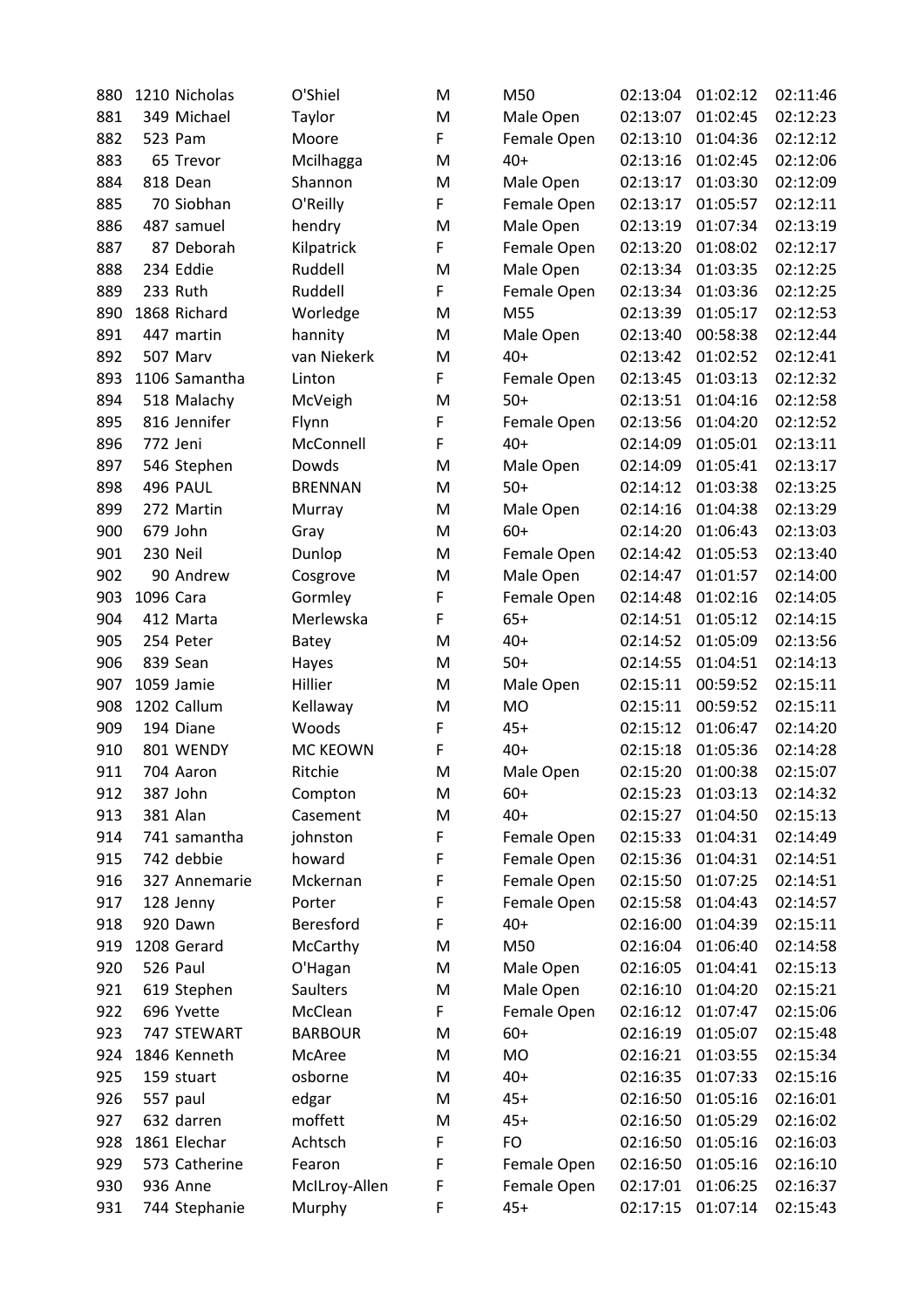| 880        | 1210 Nicholas | O'Shiel         | M      | M50         | 02:13:04             | 01:02:12             | 02:11:46             |
|------------|---------------|-----------------|--------|-------------|----------------------|----------------------|----------------------|
| 881        | 349 Michael   | Taylor          | M      | Male Open   | 02:13:07             | 01:02:45             | 02:12:23             |
| 882        | 523 Pam       | Moore           | F      | Female Open | 02:13:10             | 01:04:36             | 02:12:12             |
| 883        | 65 Trevor     | Mcilhagga       | M      | $40+$       | 02:13:16             | 01:02:45             | 02:12:06             |
| 884        | 818 Dean      | Shannon         | M      | Male Open   | 02:13:17             | 01:03:30             | 02:12:09             |
| 885        | 70 Siobhan    | O'Reilly        | F      | Female Open | 02:13:17             | 01:05:57             | 02:12:11             |
| 886        | 487 samuel    | hendry          | M      | Male Open   | 02:13:19             | 01:07:34             | 02:13:19             |
| 887        | 87 Deborah    | Kilpatrick      | F      | Female Open | 02:13:20             | 01:08:02             | 02:12:17             |
| 888        | 234 Eddie     | Ruddell         | M      | Male Open   | 02:13:34             | 01:03:35             | 02:12:25             |
| 889        | 233 Ruth      | Ruddell         | F      | Female Open | 02:13:34             | 01:03:36             | 02:12:25             |
| 890        | 1868 Richard  | Worledge        | M      | M55         | 02:13:39             | 01:05:17             | 02:12:53             |
| 891        | 447 martin    | hannity         | M      | Male Open   | 02:13:40             | 00:58:38             | 02:12:44             |
| 892        | 507 Marv      | van Niekerk     | M      | $40+$       | 02:13:42             | 01:02:52             | 02:12:41             |
| 893        | 1106 Samantha | Linton          | F      | Female Open | 02:13:45             | 01:03:13             | 02:12:32             |
| 894        | 518 Malachy   | McVeigh         | M      | $50+$       | 02:13:51             | 01:04:16             | 02:12:58             |
| 895        | 816 Jennifer  | Flynn           | F      | Female Open | 02:13:56             | 01:04:20             | 02:12:52             |
| 896        | 772 Jeni      | McConnell       | F      | 40+         | 02:14:09             | 01:05:01             | 02:13:11             |
| 897        | 546 Stephen   | Dowds           | M      | Male Open   | 02:14:09             | 01:05:41             | 02:13:17             |
| 898        | 496 PAUL      | <b>BRENNAN</b>  | M      | $50+$       | 02:14:12             | 01:03:38             | 02:13:25             |
| 899        | 272 Martin    | Murray          | M      | Male Open   | 02:14:16             | 01:04:38             | 02:13:29             |
| 900        | 679 John      | Gray            | M      | $60+$       | 02:14:20             | 01:06:43             | 02:13:03             |
| 901        | 230 Neil      | Dunlop          | M      | Female Open | 02:14:42             | 01:05:53             | 02:13:40             |
| 902        | 90 Andrew     | Cosgrove        | M      | Male Open   | 02:14:47             | 01:01:57             | 02:14:00             |
| 903        | 1096 Cara     | Gormley         | F      | Female Open | 02:14:48             | 01:02:16             | 02:14:05             |
| 904        | 412 Marta     | Merlewska       | F      | $65+$       | 02:14:51             | 01:05:12             | 02:14:15             |
| 905        | 254 Peter     | Batey           | M      | $40+$       | 02:14:52             | 01:05:09             | 02:13:56             |
| 906        | 839 Sean      | Hayes           | M      | $50+$       | 02:14:55             | 01:04:51             | 02:14:13             |
| 907        | 1059 Jamie    | Hillier         | M      | Male Open   | 02:15:11             | 00:59:52             | 02:15:11             |
| 908        | 1202 Callum   | Kellaway        | M      | MO          | 02:15:11             | 00:59:52             | 02:15:11             |
| 909        | 194 Diane     | Woods           | F      | $45+$       | 02:15:12             | 01:06:47             | 02:14:20             |
| 910        | 801 WENDY     | <b>MC KEOWN</b> | F      | $40+$       | 02:15:18             | 01:05:36             | 02:14:28             |
| 911        | 704 Aaron     | Ritchie         | M      | Male Open   | 02:15:20             | 01:00:38             | 02:15:07             |
| 912        | 387 John      | Compton         | M      | $60+$       | 02:15:23             | 01:03:13             | 02:14:32             |
| 913        | 381 Alan      | Casement        | M      | $40+$       | 02:15:27             | 01:04:50             | 02:15:13             |
| 914        | 741 samantha  | johnston        | F      | Female Open | 02:15:33             | 01:04:31             | 02:14:49             |
| 915        | 742 debbie    | howard          | F      | Female Open | 02:15:36             | 01:04:31             | 02:14:51             |
| 916        | 327 Annemarie | Mckernan        | F      | Female Open | 02:15:50             | 01:07:25             | 02:14:51             |
| 917        | 128 Jenny     | Porter          | F      | Female Open | 02:15:58             | 01:04:43             | 02:14:57             |
| 918        | 920 Dawn      | Beresford       | F      | $40+$       | 02:16:00             | 01:04:39             | 02:15:11             |
| 919        | 1208 Gerard   | McCarthy        | M      | M50         | 02:16:04             | 01:06:40             | 02:14:58             |
| 920        | 526 Paul      | O'Hagan         | M      | Male Open   | 02:16:05             | 01:04:41             | 02:15:13             |
| 921        | 619 Stephen   | <b>Saulters</b> | M      | Male Open   | 02:16:10             | 01:04:20             | 02:15:21             |
| 922        | 696 Yvette    | McClean         | F      | Female Open | 02:16:12             | 01:07:47             | 02:15:06             |
| 923        | 747 STEWART   | <b>BARBOUR</b>  | M      | $60+$       | 02:16:19             | 01:05:07             | 02:15:48             |
| 924        | 1846 Kenneth  | McAree          | M      | MO          | 02:16:21             | 01:03:55             | 02:15:34             |
| 925        | 159 stuart    | osborne         | M      | $40+$       | 02:16:35             | 01:07:33             | 02:15:16             |
| 926        | 557 paul      | edgar           | M      | $45+$       | 02:16:50             | 01:05:16             | 02:16:01             |
|            | 632 darren    | moffett         |        |             |                      |                      | 02:16:02             |
| 927<br>928 | 1861 Elechar  | Achtsch         | M<br>F | $45+$<br>FO | 02:16:50<br>02:16:50 | 01:05:29<br>01:05:16 | 02:16:03             |
| 929        | 573 Catherine | Fearon          | F      | Female Open | 02:16:50             | 01:05:16             | 02:16:10             |
|            | 936 Anne      |                 |        |             |                      | 01:06:25             |                      |
| 930<br>931 | 744 Stephanie | McILroy-Allen   | F<br>F | Female Open | 02:17:01<br>02:17:15 | 01:07:14             | 02:16:37<br>02:15:43 |
|            |               | Murphy          |        | $45+$       |                      |                      |                      |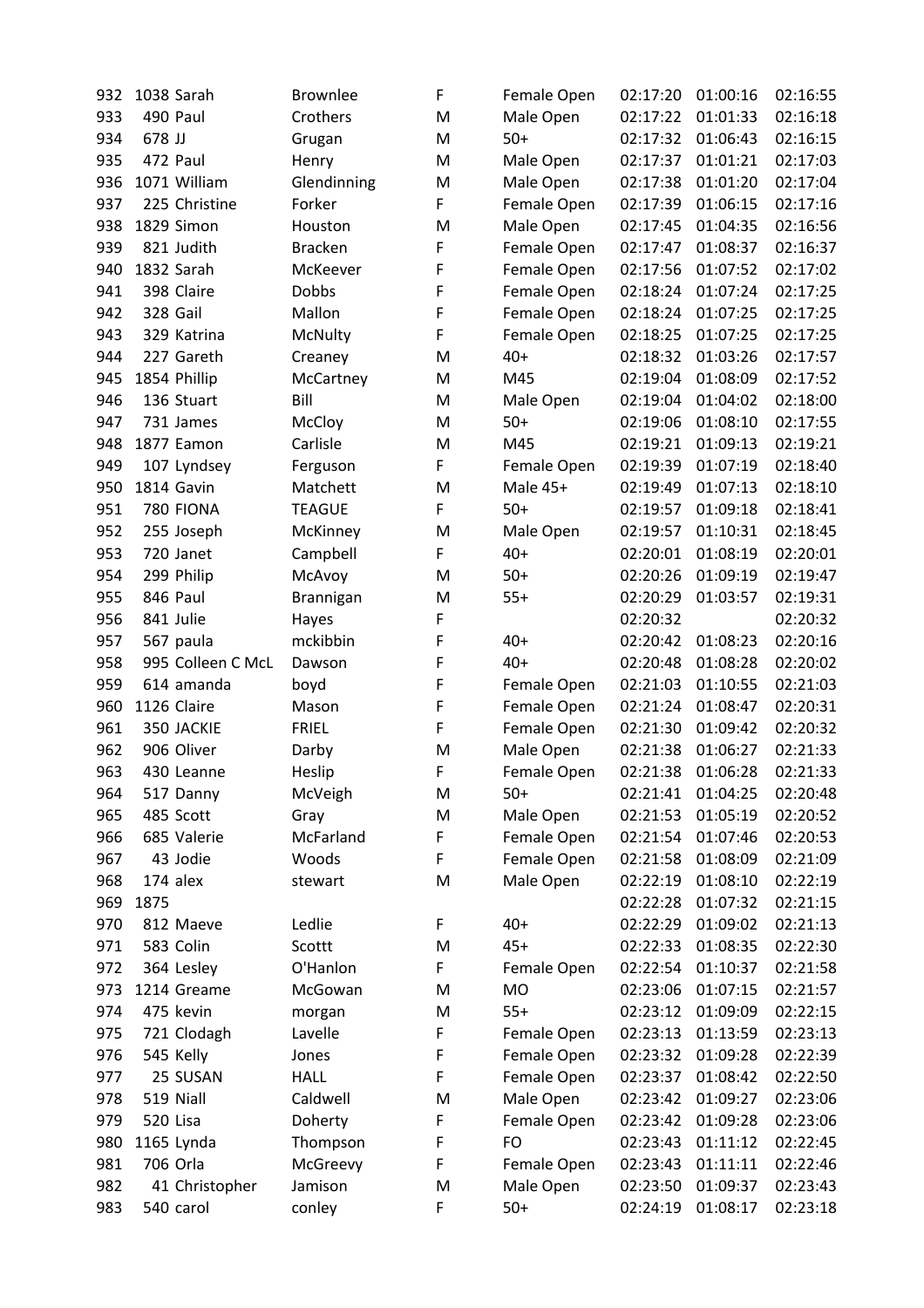| 932 | 1038 Sarah        | <b>Brownlee</b> | F      | Female Open | 02:17:20 | 01:00:16 | 02:16:55 |
|-----|-------------------|-----------------|--------|-------------|----------|----------|----------|
| 933 | 490 Paul          | Crothers        | M      | Male Open   | 02:17:22 | 01:01:33 | 02:16:18 |
| 934 | 678 JJ            | Grugan          | M      | $50+$       | 02:17:32 | 01:06:43 | 02:16:15 |
| 935 | 472 Paul          | Henry           | M      | Male Open   | 02:17:37 | 01:01:21 | 02:17:03 |
| 936 | 1071 William      | Glendinning     | M      | Male Open   | 02:17:38 | 01:01:20 | 02:17:04 |
| 937 | 225 Christine     | Forker          | F      | Female Open | 02:17:39 | 01:06:15 | 02:17:16 |
| 938 | 1829 Simon        | Houston         | M      | Male Open   | 02:17:45 | 01:04:35 | 02:16:56 |
| 939 | 821 Judith        | <b>Bracken</b>  | F      | Female Open | 02:17:47 | 01:08:37 | 02:16:37 |
| 940 | 1832 Sarah        | McKeever        | F      | Female Open | 02:17:56 | 01:07:52 | 02:17:02 |
| 941 | 398 Claire        | Dobbs           | F      | Female Open | 02:18:24 | 01:07:24 | 02:17:25 |
| 942 | 328 Gail          | Mallon          | F      | Female Open | 02:18:24 | 01:07:25 | 02:17:25 |
| 943 | 329 Katrina       | McNulty         | F      | Female Open | 02:18:25 | 01:07:25 | 02:17:25 |
| 944 | 227 Gareth        | Creaney         | M      | $40+$       | 02:18:32 | 01:03:26 | 02:17:57 |
| 945 | 1854 Phillip      | McCartney       | M      | M45         | 02:19:04 | 01:08:09 | 02:17:52 |
| 946 | 136 Stuart        | Bill            | M      | Male Open   | 02:19:04 | 01:04:02 | 02:18:00 |
| 947 | 731 James         | McCloy          | M      | $50+$       | 02:19:06 | 01:08:10 | 02:17:55 |
| 948 | 1877 Eamon        | Carlisle        | M      | M45         | 02:19:21 | 01:09:13 | 02:19:21 |
| 949 | 107 Lyndsey       | Ferguson        | F      | Female Open | 02:19:39 | 01:07:19 | 02:18:40 |
| 950 | 1814 Gavin        | Matchett        | M      | Male 45+    | 02:19:49 | 01:07:13 | 02:18:10 |
| 951 | 780 FIONA         | <b>TEAGUE</b>   | F      | $50+$       | 02:19:57 | 01:09:18 | 02:18:41 |
| 952 | 255 Joseph        | McKinney        | M      | Male Open   | 02:19:57 | 01:10:31 | 02:18:45 |
| 953 | 720 Janet         | Campbell        | F      | $40+$       | 02:20:01 | 01:08:19 | 02:20:01 |
| 954 | 299 Philip        | McAvoy          | M      | $50+$       | 02:20:26 | 01:09:19 | 02:19:47 |
| 955 | 846 Paul          | Brannigan       | M      | $55+$       | 02:20:29 | 01:03:57 | 02:19:31 |
| 956 | 841 Julie         | Hayes           | F      |             | 02:20:32 |          | 02:20:32 |
| 957 | 567 paula         | mckibbin        | F      | $40+$       | 02:20:42 | 01:08:23 | 02:20:16 |
| 958 | 995 Colleen C McL | Dawson          | F      | $40+$       | 02:20:48 | 01:08:28 | 02:20:02 |
| 959 | 614 amanda        |                 | F      |             | 02:21:03 | 01:10:55 | 02:21:03 |
| 960 | 1126 Claire       | boyd<br>Mason   | F      | Female Open | 02:21:24 | 01:08:47 | 02:20:31 |
| 961 | 350 JACKIE        | <b>FRIEL</b>    | F      | Female Open | 02:21:30 | 01:09:42 |          |
|     | 906 Oliver        |                 |        | Female Open |          | 01:06:27 | 02:20:32 |
| 962 |                   | Darby           | M<br>F | Male Open   | 02:21:38 |          | 02:21:33 |
| 963 | 430 Leanne        | Heslip          |        | Female Open | 02:21:38 | 01:06:28 | 02:21:33 |
| 964 | 517 Danny         | McVeigh         | M      | $50+$       | 02:21:41 | 01:04:25 | 02:20:48 |
| 965 | 485 Scott         | Gray            | M      | Male Open   | 02:21:53 | 01:05:19 | 02:20:52 |
| 966 | 685 Valerie       | McFarland       | F      | Female Open | 02:21:54 | 01:07:46 | 02:20:53 |
| 967 | 43 Jodie          | Woods           | F      | Female Open | 02:21:58 | 01:08:09 | 02:21:09 |
| 968 | 174 alex          | stewart         | M      | Male Open   | 02:22:19 | 01:08:10 | 02:22:19 |
| 969 | 1875              |                 |        |             | 02:22:28 | 01:07:32 | 02:21:15 |
| 970 | 812 Maeve         | Ledlie          | F      | $40+$       | 02:22:29 | 01:09:02 | 02:21:13 |
| 971 | 583 Colin         | Scottt          | M      | $45+$       | 02:22:33 | 01:08:35 | 02:22:30 |
| 972 | 364 Lesley        | O'Hanlon        | F      | Female Open | 02:22:54 | 01:10:37 | 02:21:58 |
| 973 | 1214 Greame       | McGowan         | M      | MO          | 02:23:06 | 01:07:15 | 02:21:57 |
| 974 | 475 kevin         | morgan          | M      | $55+$       | 02:23:12 | 01:09:09 | 02:22:15 |
| 975 | 721 Clodagh       | Lavelle         | F      | Female Open | 02:23:13 | 01:13:59 | 02:23:13 |
| 976 | 545 Kelly         | Jones           | F      | Female Open | 02:23:32 | 01:09:28 | 02:22:39 |
| 977 | 25 SUSAN          | <b>HALL</b>     | F      | Female Open | 02:23:37 | 01:08:42 | 02:22:50 |
| 978 | 519 Niall         | Caldwell        | M      | Male Open   | 02:23:42 | 01:09:27 | 02:23:06 |
| 979 | 520 Lisa          | Doherty         | F      | Female Open | 02:23:42 | 01:09:28 | 02:23:06 |
| 980 | 1165 Lynda        | Thompson        | F      | FO          | 02:23:43 | 01:11:12 | 02:22:45 |
| 981 | 706 Orla          | McGreevy        | F      | Female Open | 02:23:43 | 01:11:11 | 02:22:46 |
| 982 | 41 Christopher    | Jamison         | M      | Male Open   | 02:23:50 | 01:09:37 | 02:23:43 |
| 983 | 540 carol         | conley          | F      | $50+$       | 02:24:19 | 01:08:17 | 02:23:18 |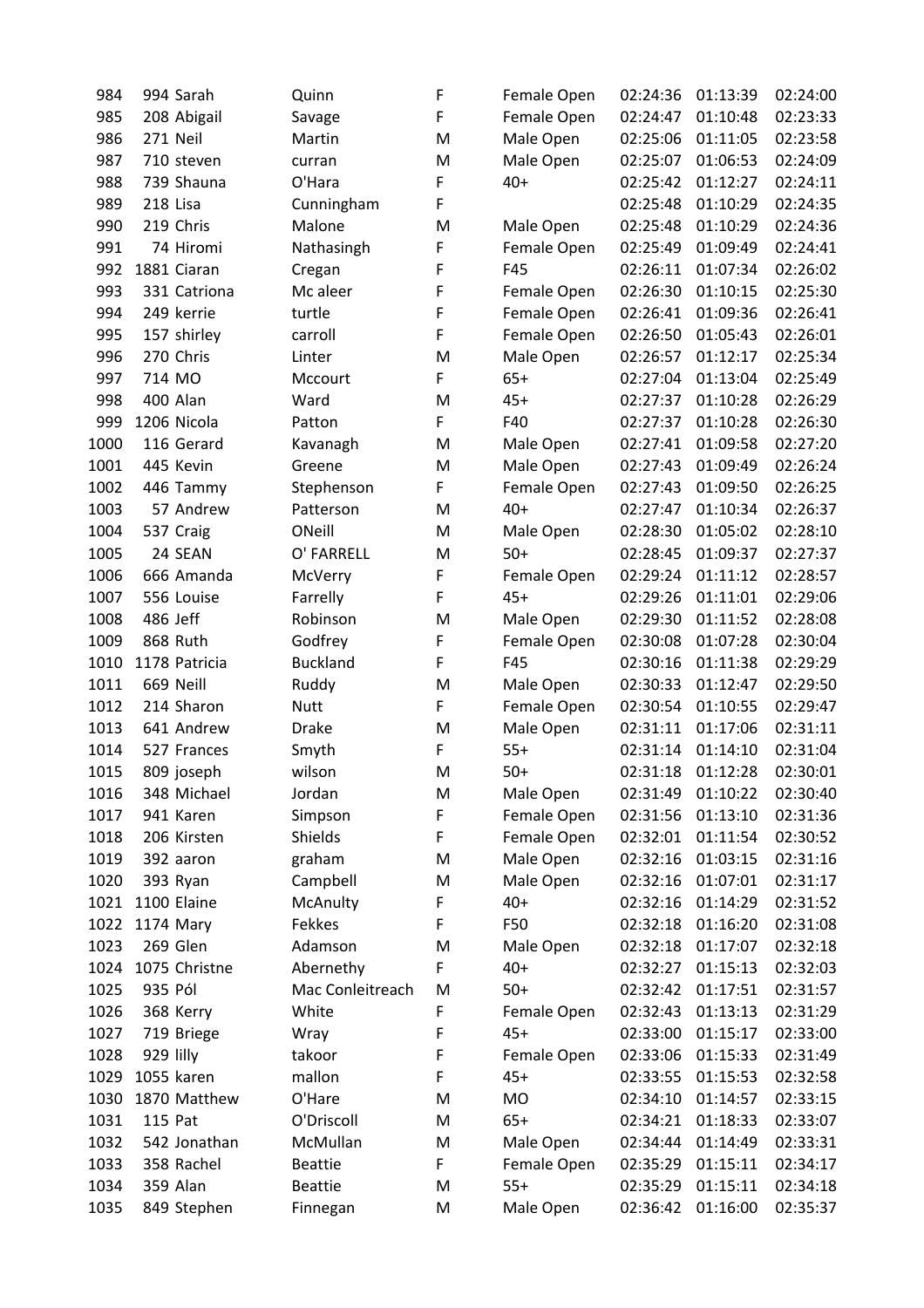| 984  |           | 994 Sarah     | Quinn            | F  | Female Open | 02:24:36 | 01:13:39 | 02:24:00 |
|------|-----------|---------------|------------------|----|-------------|----------|----------|----------|
| 985  |           | 208 Abigail   | Savage           | F  | Female Open | 02:24:47 | 01:10:48 | 02:23:33 |
| 986  |           | 271 Neil      | Martin           | M  | Male Open   | 02:25:06 | 01:11:05 | 02:23:58 |
| 987  |           | 710 steven    | curran           | M  | Male Open   | 02:25:07 | 01:06:53 | 02:24:09 |
| 988  |           | 739 Shauna    | O'Hara           | F  | $40+$       | 02:25:42 | 01:12:27 | 02:24:11 |
| 989  | 218 Lisa  |               | Cunningham       | F  |             | 02:25:48 | 01:10:29 | 02:24:35 |
| 990  |           | 219 Chris     | Malone           | M  | Male Open   | 02:25:48 | 01:10:29 | 02:24:36 |
| 991  |           | 74 Hiromi     | Nathasingh       | F  | Female Open | 02:25:49 | 01:09:49 | 02:24:41 |
| 992  |           | 1881 Ciaran   | Cregan           | F  | F45         | 02:26:11 | 01:07:34 | 02:26:02 |
| 993  |           | 331 Catriona  | Mc aleer         | F  | Female Open | 02:26:30 | 01:10:15 | 02:25:30 |
| 994  |           | 249 kerrie    | turtle           | F  | Female Open | 02:26:41 | 01:09:36 | 02:26:41 |
| 995  |           | 157 shirley   | carroll          | F  | Female Open | 02:26:50 | 01:05:43 | 02:26:01 |
| 996  |           | 270 Chris     | Linter           | M  | Male Open   | 02:26:57 | 01:12:17 | 02:25:34 |
| 997  | 714 MO    |               | Mccourt          | F  | $65+$       | 02:27:04 | 01:13:04 | 02:25:49 |
| 998  |           | 400 Alan      | Ward             | M  | $45+$       | 02:27:37 | 01:10:28 | 02:26:29 |
| 999  |           | 1206 Nicola   | Patton           | F  | F40         | 02:27:37 | 01:10:28 | 02:26:30 |
| 1000 |           | 116 Gerard    | Kavanagh         | M  | Male Open   | 02:27:41 | 01:09:58 | 02:27:20 |
| 1001 |           | 445 Kevin     | Greene           | M  | Male Open   | 02:27:43 | 01:09:49 | 02:26:24 |
| 1002 |           | 446 Tammy     | Stephenson       | F. | Female Open | 02:27:43 | 01:09:50 | 02:26:25 |
| 1003 |           | 57 Andrew     | Patterson        | M  | $40+$       | 02:27:47 | 01:10:34 | 02:26:37 |
| 1004 |           | 537 Craig     | ONeill           | M  | Male Open   | 02:28:30 | 01:05:02 | 02:28:10 |
| 1005 |           | 24 SEAN       | O' FARRELL       | M  | $50+$       | 02:28:45 | 01:09:37 | 02:27:37 |
| 1006 |           | 666 Amanda    | McVerry          | F  | Female Open | 02:29:24 | 01:11:12 | 02:28:57 |
| 1007 |           | 556 Louise    | Farrelly         | F  | $45+$       | 02:29:26 | 01:11:01 | 02:29:06 |
| 1008 | 486 Jeff  |               | Robinson         | M  | Male Open   | 02:29:30 | 01:11:52 | 02:28:08 |
| 1009 |           | 868 Ruth      | Godfrey          | F  | Female Open | 02:30:08 | 01:07:28 | 02:30:04 |
| 1010 |           | 1178 Patricia | <b>Buckland</b>  | F  | F45         | 02:30:16 | 01:11:38 | 02:29:29 |
| 1011 |           | 669 Neill     | Ruddy            | M  | Male Open   | 02:30:33 | 01:12:47 | 02:29:50 |
| 1012 |           | 214 Sharon    | Nutt             | F  | Female Open | 02:30:54 | 01:10:55 | 02:29:47 |
| 1013 |           | 641 Andrew    | <b>Drake</b>     | M  | Male Open   | 02:31:11 | 01:17:06 | 02:31:11 |
| 1014 |           | 527 Frances   | Smyth            | F  | $55+$       | 02:31:14 | 01:14:10 | 02:31:04 |
| 1015 |           | 809 joseph    | wilson           | M  | $50+$       | 02:31:18 | 01:12:28 | 02:30:01 |
| 1016 |           | 348 Michael   | Jordan           | M  | Male Open   | 02:31:49 | 01:10:22 | 02:30:40 |
| 1017 |           | 941 Karen     | Simpson          | F  | Female Open | 02:31:56 | 01:13:10 | 02:31:36 |
| 1018 |           | 206 Kirsten   | Shields          | F  | Female Open | 02:32:01 | 01:11:54 | 02:30:52 |
| 1019 |           | 392 aaron     | graham           | M  | Male Open   | 02:32:16 | 01:03:15 | 02:31:16 |
| 1020 |           | 393 Ryan      | Campbell         | M  | Male Open   | 02:32:16 | 01:07:01 | 02:31:17 |
| 1021 |           | 1100 Elaine   | McAnulty         | F  | $40+$       | 02:32:16 | 01:14:29 | 02:31:52 |
| 1022 |           | 1174 Mary     | Fekkes           | F  | F50         | 02:32:18 | 01:16:20 | 02:31:08 |
| 1023 |           | 269 Glen      | Adamson          | M  | Male Open   | 02:32:18 | 01:17:07 | 02:32:18 |
| 1024 |           | 1075 Christne | Abernethy        | F  | $40+$       | 02:32:27 | 01:15:13 | 02:32:03 |
| 1025 | 935 Pól   |               | Mac Conleitreach | M  | $50+$       | 02:32:42 | 01:17:51 | 02:31:57 |
| 1026 |           | 368 Kerry     | White            | F  | Female Open | 02:32:43 | 01:13:13 | 02:31:29 |
| 1027 |           | 719 Briege    | Wray             | F  | $45+$       | 02:33:00 | 01:15:17 | 02:33:00 |
| 1028 | 929 lilly |               | takoor           | F  | Female Open | 02:33:06 | 01:15:33 | 02:31:49 |
| 1029 |           | 1055 karen    | mallon           | F  | $45+$       | 02:33:55 | 01:15:53 | 02:32:58 |
| 1030 |           | 1870 Matthew  | O'Hare           | M  | MO          | 02:34:10 | 01:14:57 | 02:33:15 |
| 1031 | 115 Pat   |               | O'Driscoll       | M  | $65+$       | 02:34:21 | 01:18:33 | 02:33:07 |
| 1032 |           | 542 Jonathan  | McMullan         | M  | Male Open   | 02:34:44 | 01:14:49 | 02:33:31 |
| 1033 |           | 358 Rachel    | <b>Beattie</b>   | F  | Female Open | 02:35:29 | 01:15:11 | 02:34:17 |
| 1034 |           | 359 Alan      | <b>Beattie</b>   | M  | $55+$       | 02:35:29 | 01:15:11 | 02:34:18 |
| 1035 |           | 849 Stephen   | Finnegan         | M  | Male Open   | 02:36:42 | 01:16:00 | 02:35:37 |
|      |           |               |                  |    |             |          |          |          |